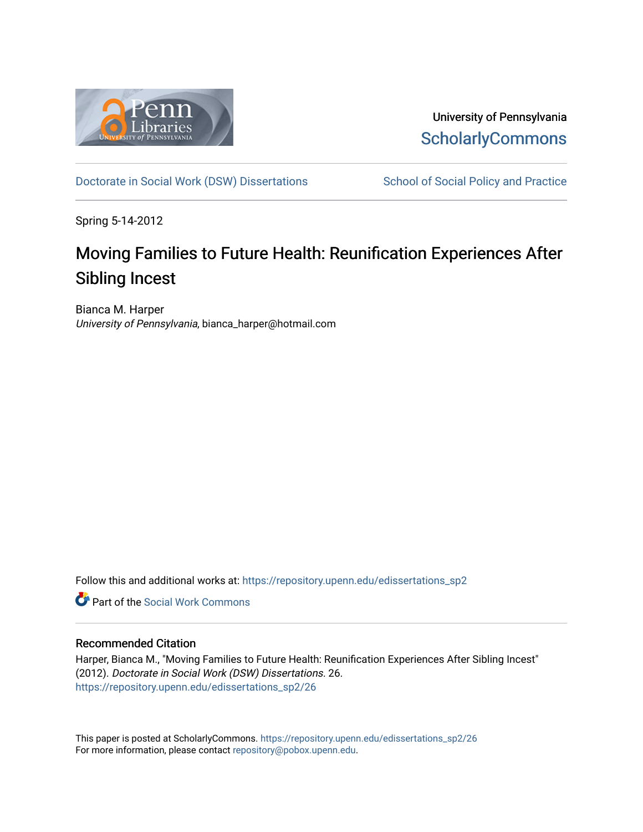

University of Pennsylvania **ScholarlyCommons** 

[Doctorate in Social Work \(DSW\) Dissertations](https://repository.upenn.edu/edissertations_sp2) School of Social Policy and Practice

Spring 5-14-2012

## Moving Families to Future Health: Reunification Experiences After Sibling Incest

Bianca M. Harper University of Pennsylvania, bianca\_harper@hotmail.com

Follow this and additional works at: [https://repository.upenn.edu/edissertations\\_sp2](https://repository.upenn.edu/edissertations_sp2?utm_source=repository.upenn.edu%2Fedissertations_sp2%2F26&utm_medium=PDF&utm_campaign=PDFCoverPages) 

**C** Part of the [Social Work Commons](http://network.bepress.com/hgg/discipline/713?utm_source=repository.upenn.edu%2Fedissertations_sp2%2F26&utm_medium=PDF&utm_campaign=PDFCoverPages)

#### Recommended Citation

Harper, Bianca M., "Moving Families to Future Health: Reunification Experiences After Sibling Incest" (2012). Doctorate in Social Work (DSW) Dissertations. 26. [https://repository.upenn.edu/edissertations\\_sp2/26](https://repository.upenn.edu/edissertations_sp2/26?utm_source=repository.upenn.edu%2Fedissertations_sp2%2F26&utm_medium=PDF&utm_campaign=PDFCoverPages)

This paper is posted at ScholarlyCommons. [https://repository.upenn.edu/edissertations\\_sp2/26](https://repository.upenn.edu/edissertations_sp2/26)  For more information, please contact [repository@pobox.upenn.edu.](mailto:repository@pobox.upenn.edu)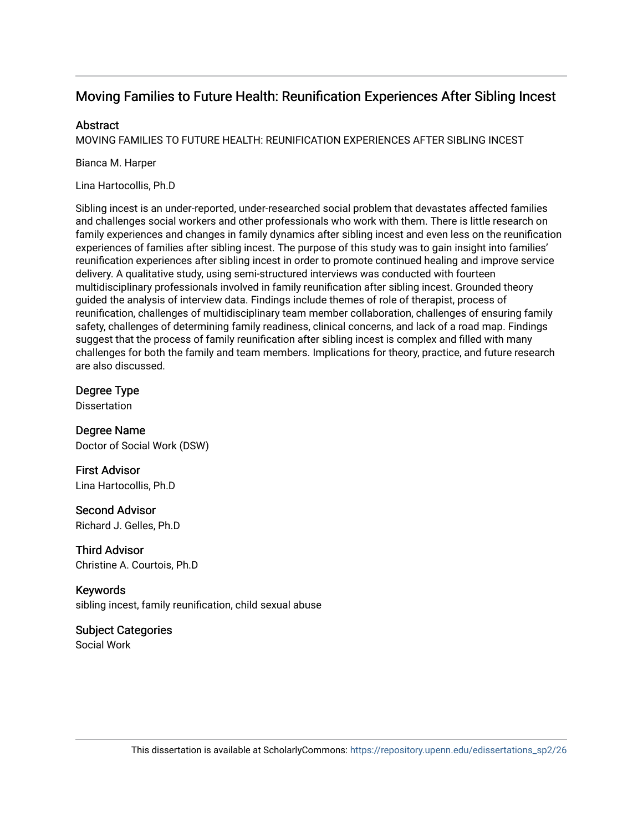### Moving Families to Future Health: Reunification Experiences After Sibling Incest

#### **Abstract**

MOVING FAMILIES TO FUTURE HEALTH: REUNIFICATION EXPERIENCES AFTER SIBLING INCEST

Bianca M. Harper

Lina Hartocollis, Ph.D

Sibling incest is an under-reported, under-researched social problem that devastates affected families and challenges social workers and other professionals who work with them. There is little research on family experiences and changes in family dynamics after sibling incest and even less on the reunification experiences of families after sibling incest. The purpose of this study was to gain insight into families' reunification experiences after sibling incest in order to promote continued healing and improve service delivery. A qualitative study, using semi-structured interviews was conducted with fourteen multidisciplinary professionals involved in family reunification after sibling incest. Grounded theory guided the analysis of interview data. Findings include themes of role of therapist, process of reunification, challenges of multidisciplinary team member collaboration, challenges of ensuring family safety, challenges of determining family readiness, clinical concerns, and lack of a road map. Findings suggest that the process of family reunification after sibling incest is complex and filled with many challenges for both the family and team members. Implications for theory, practice, and future research are also discussed.

Degree Type **Dissertation** 

Degree Name Doctor of Social Work (DSW)

First Advisor Lina Hartocollis, Ph.D

Second Advisor Richard J. Gelles, Ph.D

Third Advisor Christine A. Courtois, Ph.D

Keywords sibling incest, family reunification, child sexual abuse

Subject Categories Social Work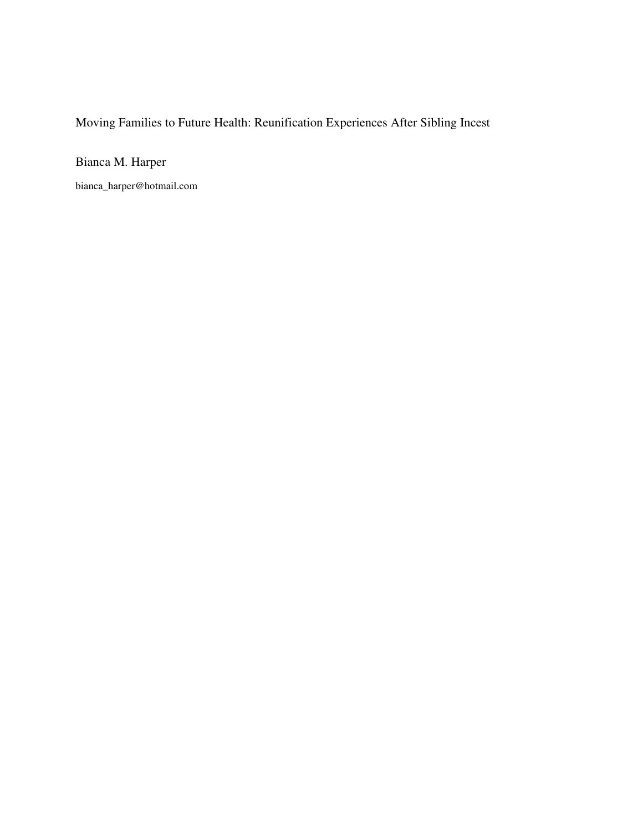## Moving Families to Future Health: Reunification Experiences After Sibling Incest

Bianca M. Harper

bianca\_harper@hotmail.com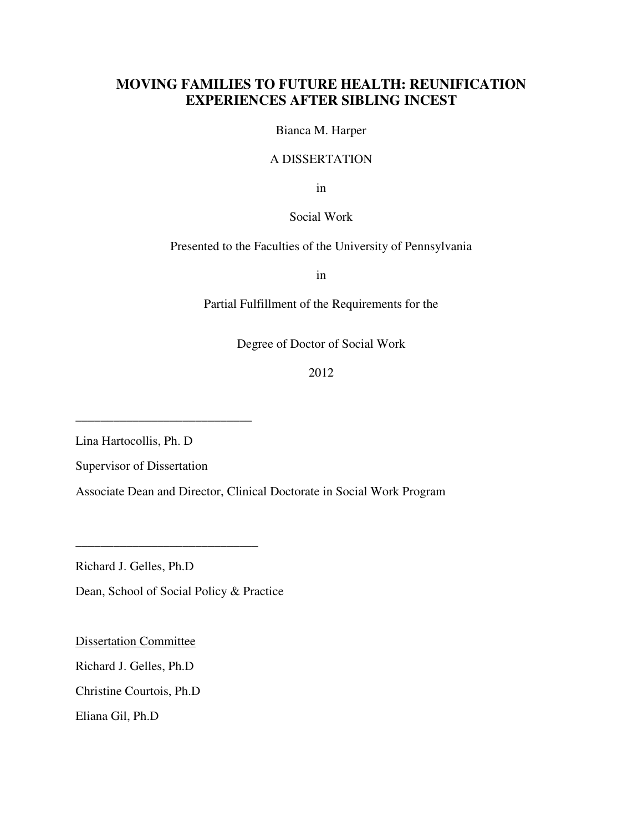### **MOVING FAMILIES TO FUTURE HEALTH: REUNIFICATION EXPERIENCES AFTER SIBLING INCEST**

Bianca M. Harper

#### A DISSERTATION

in

#### Social Work

Presented to the Faculties of the University of Pennsylvania

in

Partial Fulfillment of the Requirements for the

Degree of Doctor of Social Work

2012

Lina Hartocollis, Ph. D

Supervisor of Dissertation

\_\_\_\_\_\_\_\_\_\_\_\_\_\_\_\_\_\_\_\_\_\_\_\_\_\_\_\_

Associate Dean and Director, Clinical Doctorate in Social Work Program

Richard J. Gelles, Ph.D

Dean, School of Social Policy & Practice

\_\_\_\_\_\_\_\_\_\_\_\_\_\_\_\_\_\_\_\_\_\_\_\_\_\_\_\_\_

Dissertation Committee

Richard J. Gelles, Ph.D

Christine Courtois, Ph.D

Eliana Gil, Ph.D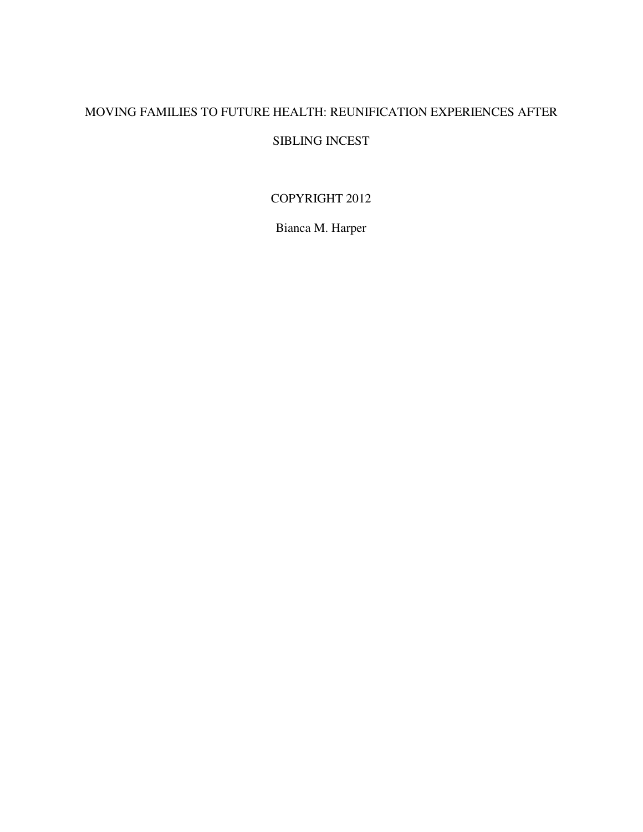### MOVING FAMILIES TO FUTURE HEALTH: REUNIFICATION EXPERIENCES AFTER

### SIBLING INCEST

### COPYRIGHT 2012

Bianca M. Harper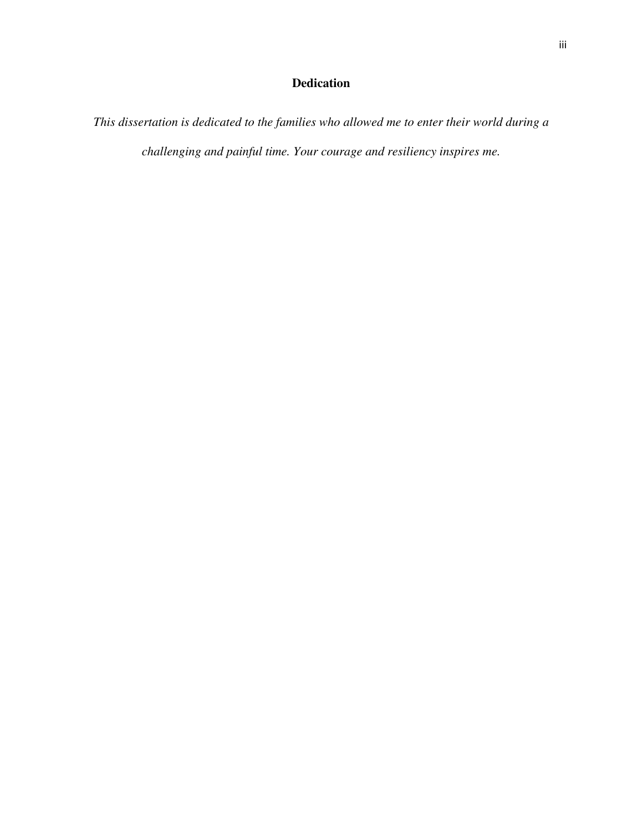### **Dedication**

*This dissertation is dedicated to the families who allowed me to enter their world during a challenging and painful time. Your courage and resiliency inspires me.*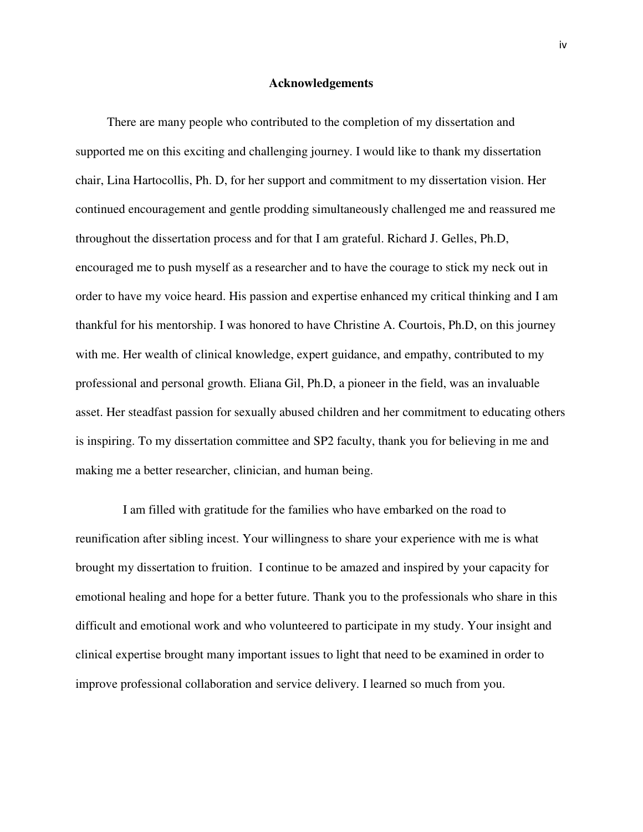#### **Acknowledgements**

 There are many people who contributed to the completion of my dissertation and supported me on this exciting and challenging journey. I would like to thank my dissertation chair, Lina Hartocollis, Ph. D, for her support and commitment to my dissertation vision. Her continued encouragement and gentle prodding simultaneously challenged me and reassured me throughout the dissertation process and for that I am grateful. Richard J. Gelles, Ph.D, encouraged me to push myself as a researcher and to have the courage to stick my neck out in order to have my voice heard. His passion and expertise enhanced my critical thinking and I am thankful for his mentorship. I was honored to have Christine A. Courtois, Ph.D, on this journey with me. Her wealth of clinical knowledge, expert guidance, and empathy, contributed to my professional and personal growth. Eliana Gil, Ph.D, a pioneer in the field, was an invaluable asset. Her steadfast passion for sexually abused children and her commitment to educating others is inspiring. To my dissertation committee and SP2 faculty, thank you for believing in me and making me a better researcher, clinician, and human being.

 I am filled with gratitude for the families who have embarked on the road to reunification after sibling incest. Your willingness to share your experience with me is what brought my dissertation to fruition. I continue to be amazed and inspired by your capacity for emotional healing and hope for a better future. Thank you to the professionals who share in this difficult and emotional work and who volunteered to participate in my study. Your insight and clinical expertise brought many important issues to light that need to be examined in order to improve professional collaboration and service delivery. I learned so much from you.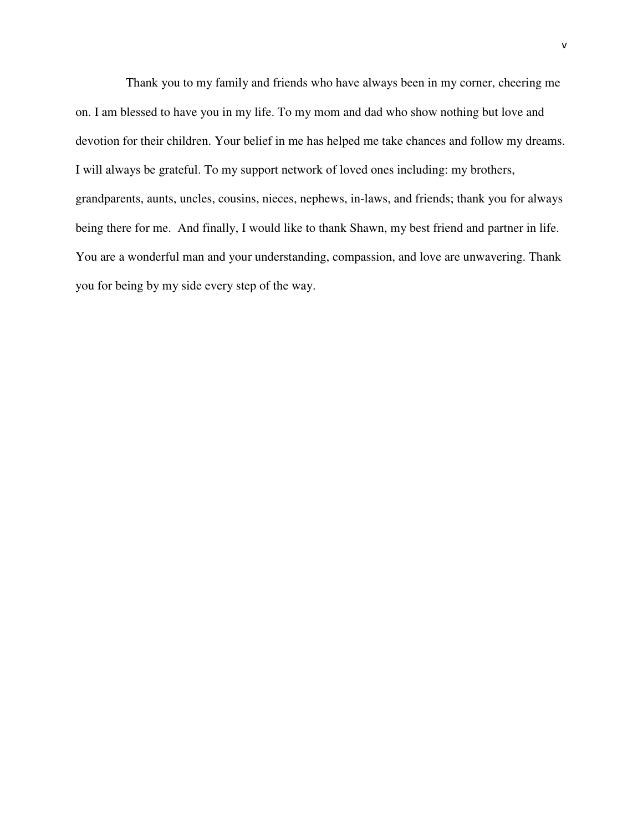Thank you to my family and friends who have always been in my corner, cheering me on. I am blessed to have you in my life. To my mom and dad who show nothing but love and devotion for their children. Your belief in me has helped me take chances and follow my dreams. I will always be grateful. To my support network of loved ones including: my brothers, grandparents, aunts, uncles, cousins, nieces, nephews, in-laws, and friends; thank you for always being there for me. And finally, I would like to thank Shawn, my best friend and partner in life. You are a wonderful man and your understanding, compassion, and love are unwavering. Thank you for being by my side every step of the way.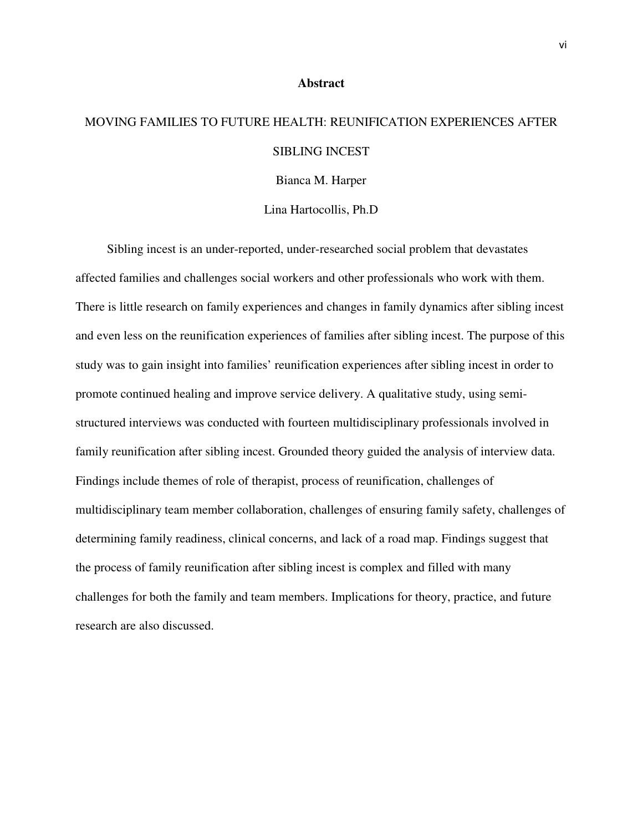#### **Abstract**

# MOVING FAMILIES TO FUTURE HEALTH: REUNIFICATION EXPERIENCES AFTER SIBLING INCEST

Bianca M. Harper

Lina Hartocollis, Ph.D

 Sibling incest is an under-reported, under-researched social problem that devastates affected families and challenges social workers and other professionals who work with them. There is little research on family experiences and changes in family dynamics after sibling incest and even less on the reunification experiences of families after sibling incest. The purpose of this study was to gain insight into families' reunification experiences after sibling incest in order to promote continued healing and improve service delivery. A qualitative study, using semistructured interviews was conducted with fourteen multidisciplinary professionals involved in family reunification after sibling incest. Grounded theory guided the analysis of interview data. Findings include themes of role of therapist, process of reunification, challenges of multidisciplinary team member collaboration, challenges of ensuring family safety, challenges of determining family readiness, clinical concerns, and lack of a road map. Findings suggest that the process of family reunification after sibling incest is complex and filled with many challenges for both the family and team members. Implications for theory, practice, and future research are also discussed.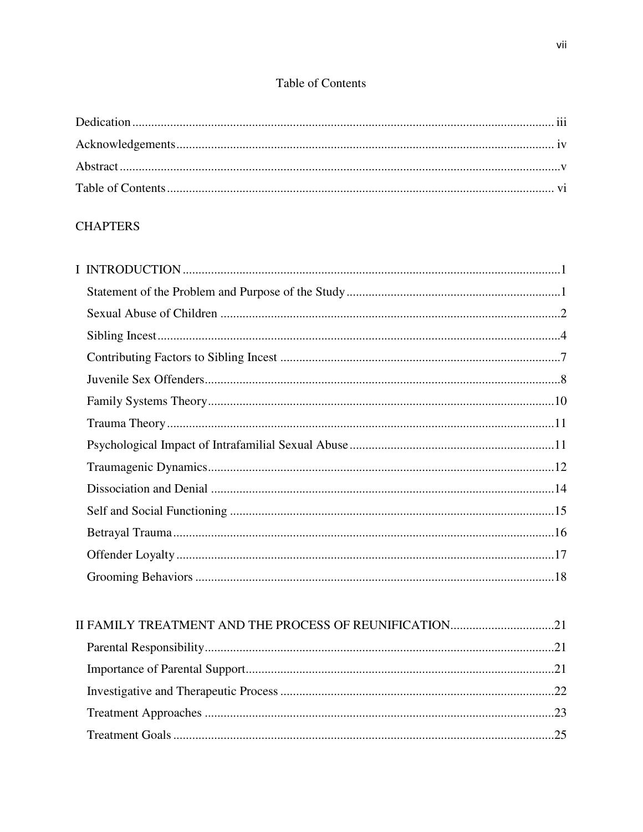### Table of Contents

### **CHAPTERS**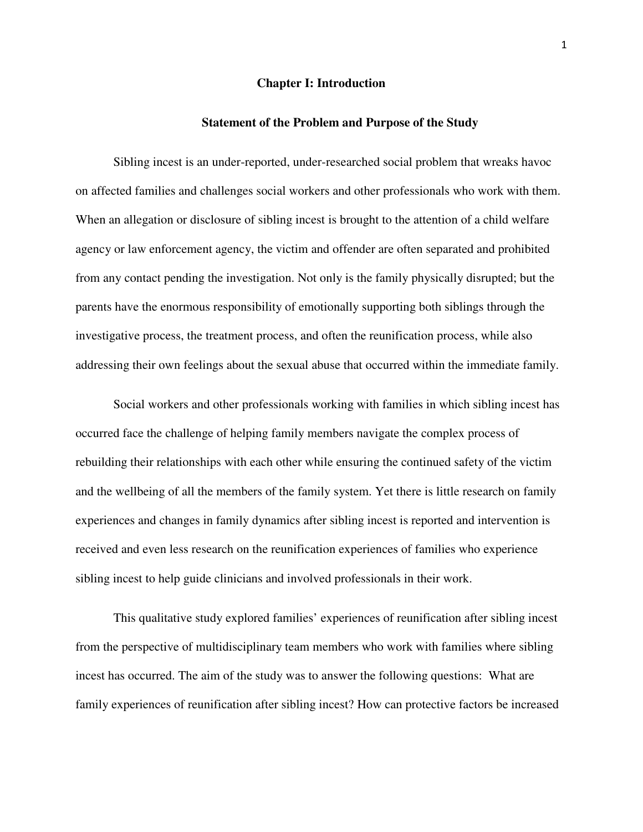#### **Chapter I: Introduction**

#### **Statement of the Problem and Purpose of the Study**

Sibling incest is an under-reported, under-researched social problem that wreaks havoc on affected families and challenges social workers and other professionals who work with them. When an allegation or disclosure of sibling incest is brought to the attention of a child welfare agency or law enforcement agency, the victim and offender are often separated and prohibited from any contact pending the investigation. Not only is the family physically disrupted; but the parents have the enormous responsibility of emotionally supporting both siblings through the investigative process, the treatment process, and often the reunification process, while also addressing their own feelings about the sexual abuse that occurred within the immediate family.

 Social workers and other professionals working with families in which sibling incest has occurred face the challenge of helping family members navigate the complex process of rebuilding their relationships with each other while ensuring the continued safety of the victim and the wellbeing of all the members of the family system. Yet there is little research on family experiences and changes in family dynamics after sibling incest is reported and intervention is received and even less research on the reunification experiences of families who experience sibling incest to help guide clinicians and involved professionals in their work.

 This qualitative study explored families' experiences of reunification after sibling incest from the perspective of multidisciplinary team members who work with families where sibling incest has occurred. The aim of the study was to answer the following questions: What are family experiences of reunification after sibling incest? How can protective factors be increased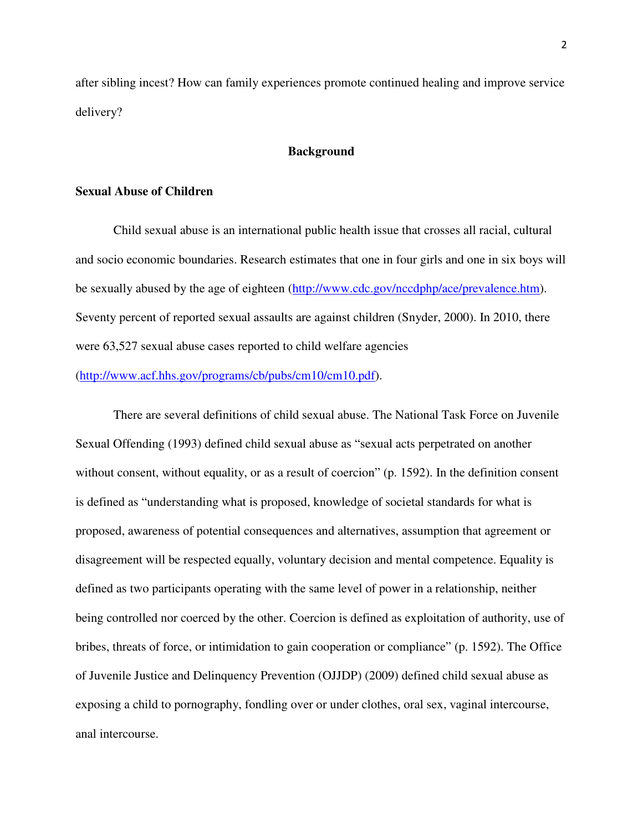after sibling incest? How can family experiences promote continued healing and improve service delivery?

#### **Background**

#### **Sexual Abuse of Children**

 Child sexual abuse is an international public health issue that crosses all racial, cultural and socio economic boundaries. Research estimates that one in four girls and one in six boys will be sexually abused by the age of eighteen (http://www.cdc.gov/nccdphp/ace/prevalence.htm). Seventy percent of reported sexual assaults are against children (Snyder, 2000). In 2010, there were 63,527 sexual abuse cases reported to child welfare agencies

(http://www.acf.hhs.gov/programs/cb/pubs/cm10/cm10.pdf).

There are several definitions of child sexual abuse. The National Task Force on Juvenile Sexual Offending (1993) defined child sexual abuse as "sexual acts perpetrated on another without consent, without equality, or as a result of coercion" (p. 1592). In the definition consent is defined as "understanding what is proposed, knowledge of societal standards for what is proposed, awareness of potential consequences and alternatives, assumption that agreement or disagreement will be respected equally, voluntary decision and mental competence. Equality is defined as two participants operating with the same level of power in a relationship, neither being controlled nor coerced by the other. Coercion is defined as exploitation of authority, use of bribes, threats of force, or intimidation to gain cooperation or compliance" (p. 1592). The Office of Juvenile Justice and Delinquency Prevention (OJJDP) (2009) defined child sexual abuse as exposing a child to pornography, fondling over or under clothes, oral sex, vaginal intercourse, anal intercourse.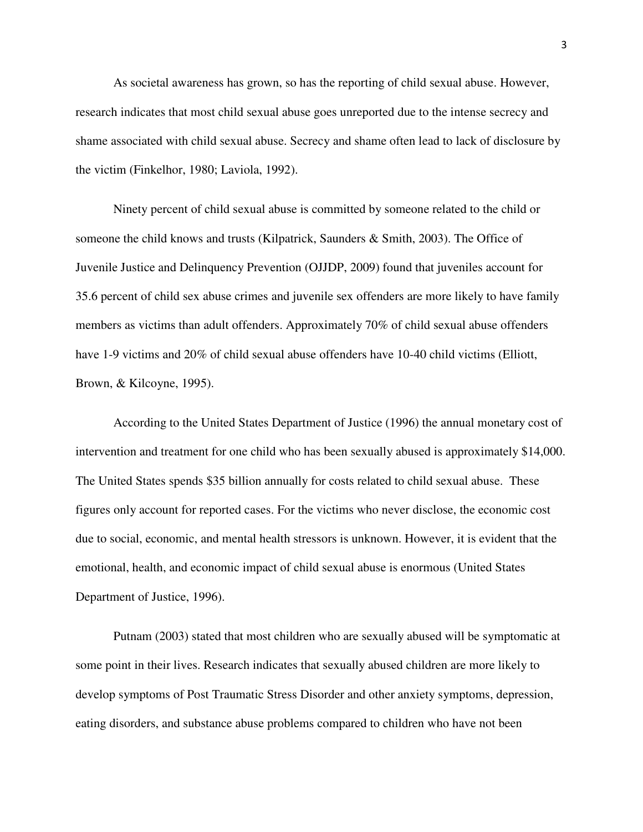As societal awareness has grown, so has the reporting of child sexual abuse. However, research indicates that most child sexual abuse goes unreported due to the intense secrecy and shame associated with child sexual abuse. Secrecy and shame often lead to lack of disclosure by the victim (Finkelhor, 1980; Laviola, 1992).

Ninety percent of child sexual abuse is committed by someone related to the child or someone the child knows and trusts (Kilpatrick, Saunders & Smith, 2003). The Office of Juvenile Justice and Delinquency Prevention (OJJDP, 2009) found that juveniles account for 35.6 percent of child sex abuse crimes and juvenile sex offenders are more likely to have family members as victims than adult offenders. Approximately 70% of child sexual abuse offenders have 1-9 victims and 20% of child sexual abuse offenders have 10-40 child victims (Elliott, Brown, & Kilcoyne, 1995).

According to the United States Department of Justice (1996) the annual monetary cost of intervention and treatment for one child who has been sexually abused is approximately \$14,000. The United States spends \$35 billion annually for costs related to child sexual abuse. These figures only account for reported cases. For the victims who never disclose, the economic cost due to social, economic, and mental health stressors is unknown. However, it is evident that the emotional, health, and economic impact of child sexual abuse is enormous (United States Department of Justice, 1996).

Putnam (2003) stated that most children who are sexually abused will be symptomatic at some point in their lives. Research indicates that sexually abused children are more likely to develop symptoms of Post Traumatic Stress Disorder and other anxiety symptoms, depression, eating disorders, and substance abuse problems compared to children who have not been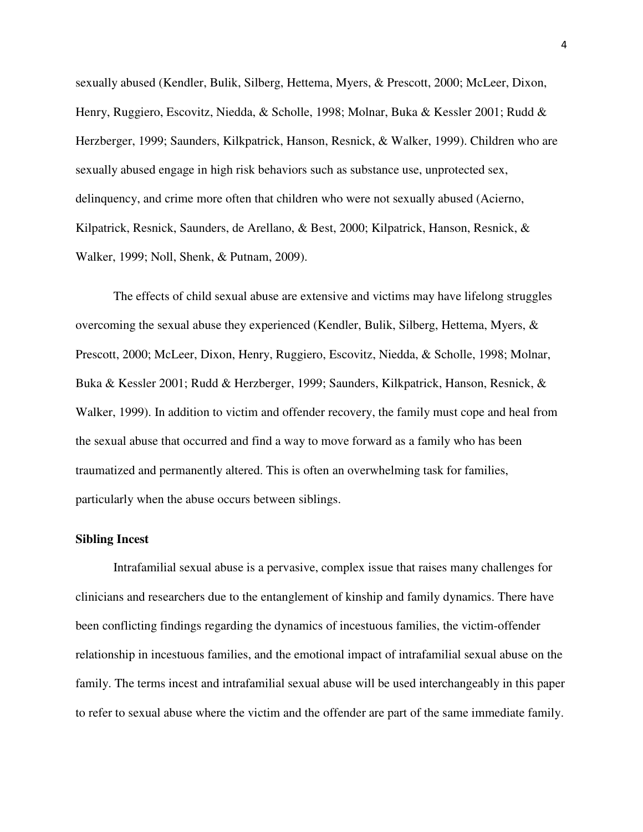sexually abused (Kendler, Bulik, Silberg, Hettema, Myers, & Prescott, 2000; McLeer, Dixon, Henry, Ruggiero, Escovitz, Niedda, & Scholle, 1998; Molnar, Buka & Kessler 2001; Rudd & Herzberger, 1999; Saunders, Kilkpatrick, Hanson, Resnick, & Walker, 1999). Children who are sexually abused engage in high risk behaviors such as substance use, unprotected sex, delinquency, and crime more often that children who were not sexually abused (Acierno, Kilpatrick, Resnick, Saunders, de Arellano, & Best, 2000; Kilpatrick, Hanson, Resnick, & Walker, 1999; Noll, Shenk, & Putnam, 2009).

The effects of child sexual abuse are extensive and victims may have lifelong struggles overcoming the sexual abuse they experienced (Kendler, Bulik, Silberg, Hettema, Myers, & Prescott, 2000; McLeer, Dixon, Henry, Ruggiero, Escovitz, Niedda, & Scholle, 1998; Molnar, Buka & Kessler 2001; Rudd & Herzberger, 1999; Saunders, Kilkpatrick, Hanson, Resnick, & Walker, 1999). In addition to victim and offender recovery, the family must cope and heal from the sexual abuse that occurred and find a way to move forward as a family who has been traumatized and permanently altered. This is often an overwhelming task for families, particularly when the abuse occurs between siblings.

#### **Sibling Incest**

Intrafamilial sexual abuse is a pervasive, complex issue that raises many challenges for clinicians and researchers due to the entanglement of kinship and family dynamics. There have been conflicting findings regarding the dynamics of incestuous families, the victim-offender relationship in incestuous families, and the emotional impact of intrafamilial sexual abuse on the family. The terms incest and intrafamilial sexual abuse will be used interchangeably in this paper to refer to sexual abuse where the victim and the offender are part of the same immediate family.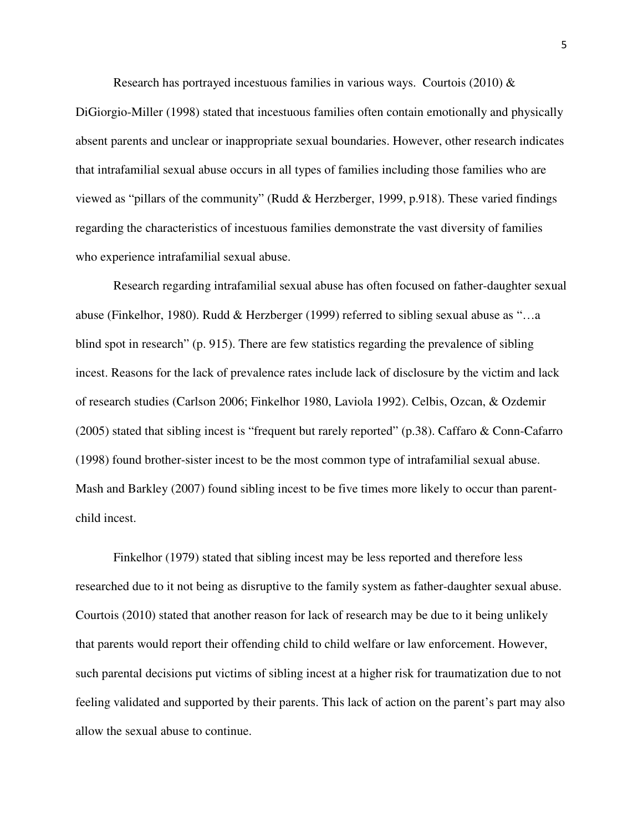Research has portrayed incestuous families in various ways. Courtois (2010)  $\&$ 

DiGiorgio-Miller (1998) stated that incestuous families often contain emotionally and physically absent parents and unclear or inappropriate sexual boundaries. However, other research indicates that intrafamilial sexual abuse occurs in all types of families including those families who are viewed as "pillars of the community" (Rudd & Herzberger, 1999, p.918). These varied findings regarding the characteristics of incestuous families demonstrate the vast diversity of families who experience intrafamilial sexual abuse.

Research regarding intrafamilial sexual abuse has often focused on father-daughter sexual abuse (Finkelhor, 1980). Rudd & Herzberger (1999) referred to sibling sexual abuse as "…a blind spot in research" (p. 915). There are few statistics regarding the prevalence of sibling incest. Reasons for the lack of prevalence rates include lack of disclosure by the victim and lack of research studies (Carlson 2006; Finkelhor 1980, Laviola 1992). Celbis, Ozcan, & Ozdemir (2005) stated that sibling incest is "frequent but rarely reported" (p.38). Caffaro & Conn-Cafarro (1998) found brother-sister incest to be the most common type of intrafamilial sexual abuse. Mash and Barkley (2007) found sibling incest to be five times more likely to occur than parentchild incest.

Finkelhor (1979) stated that sibling incest may be less reported and therefore less researched due to it not being as disruptive to the family system as father-daughter sexual abuse. Courtois (2010) stated that another reason for lack of research may be due to it being unlikely that parents would report their offending child to child welfare or law enforcement. However, such parental decisions put victims of sibling incest at a higher risk for traumatization due to not feeling validated and supported by their parents. This lack of action on the parent's part may also allow the sexual abuse to continue.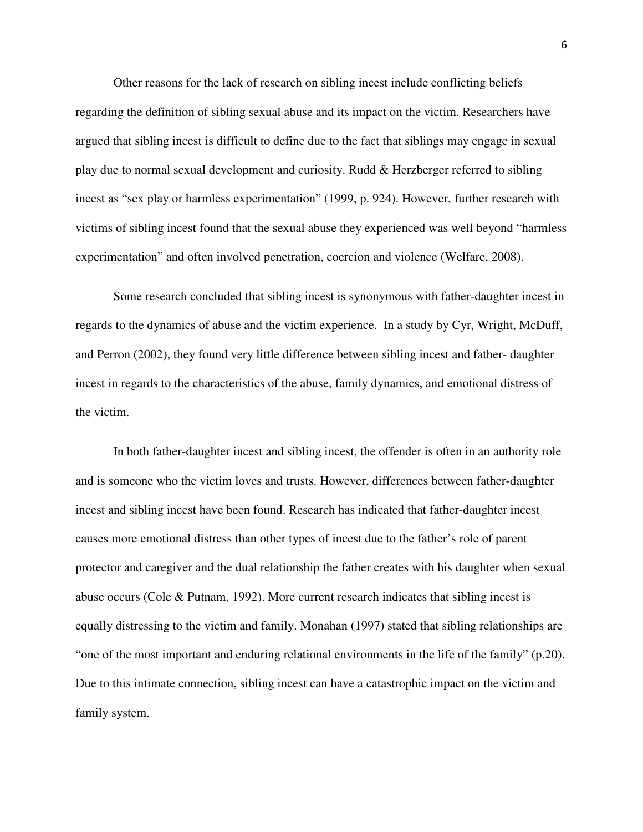Other reasons for the lack of research on sibling incest include conflicting beliefs regarding the definition of sibling sexual abuse and its impact on the victim. Researchers have argued that sibling incest is difficult to define due to the fact that siblings may engage in sexual play due to normal sexual development and curiosity. Rudd & Herzberger referred to sibling incest as "sex play or harmless experimentation" (1999, p. 924). However, further research with victims of sibling incest found that the sexual abuse they experienced was well beyond "harmless experimentation" and often involved penetration, coercion and violence (Welfare, 2008).

Some research concluded that sibling incest is synonymous with father-daughter incest in regards to the dynamics of abuse and the victim experience. In a study by Cyr, Wright, McDuff, and Perron (2002), they found very little difference between sibling incest and father- daughter incest in regards to the characteristics of the abuse, family dynamics, and emotional distress of the victim.

In both father-daughter incest and sibling incest, the offender is often in an authority role and is someone who the victim loves and trusts. However, differences between father-daughter incest and sibling incest have been found. Research has indicated that father-daughter incest causes more emotional distress than other types of incest due to the father's role of parent protector and caregiver and the dual relationship the father creates with his daughter when sexual abuse occurs (Cole & Putnam, 1992). More current research indicates that sibling incest is equally distressing to the victim and family. Monahan (1997) stated that sibling relationships are "one of the most important and enduring relational environments in the life of the family" (p.20). Due to this intimate connection, sibling incest can have a catastrophic impact on the victim and family system.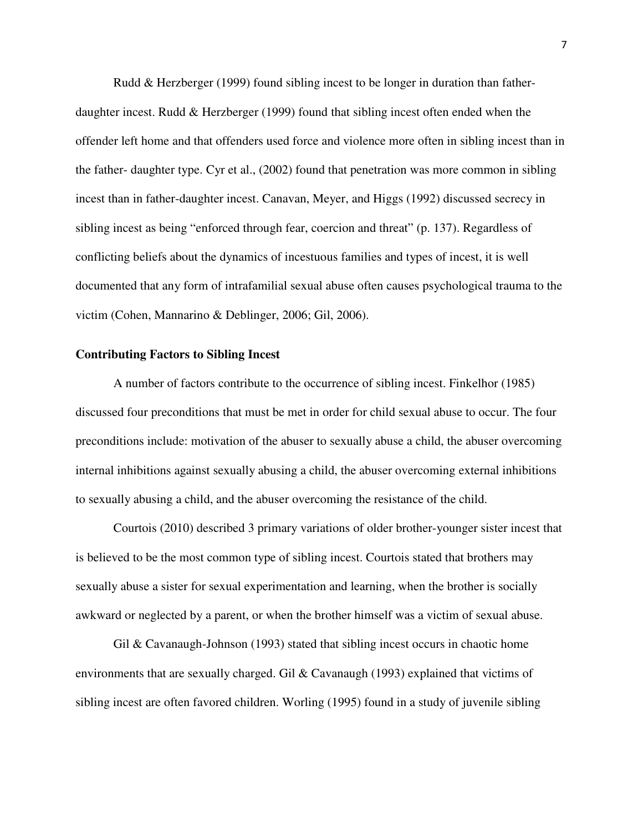Rudd & Herzberger (1999) found sibling incest to be longer in duration than fatherdaughter incest. Rudd & Herzberger (1999) found that sibling incest often ended when the offender left home and that offenders used force and violence more often in sibling incest than in the father- daughter type. Cyr et al., (2002) found that penetration was more common in sibling incest than in father-daughter incest. Canavan, Meyer, and Higgs (1992) discussed secrecy in sibling incest as being "enforced through fear, coercion and threat" (p. 137). Regardless of conflicting beliefs about the dynamics of incestuous families and types of incest, it is well documented that any form of intrafamilial sexual abuse often causes psychological trauma to the victim (Cohen, Mannarino & Deblinger, 2006; Gil, 2006).

#### **Contributing Factors to Sibling Incest**

A number of factors contribute to the occurrence of sibling incest. Finkelhor (1985) discussed four preconditions that must be met in order for child sexual abuse to occur. The four preconditions include: motivation of the abuser to sexually abuse a child, the abuser overcoming internal inhibitions against sexually abusing a child, the abuser overcoming external inhibitions to sexually abusing a child, and the abuser overcoming the resistance of the child.

Courtois (2010) described 3 primary variations of older brother-younger sister incest that is believed to be the most common type of sibling incest. Courtois stated that brothers may sexually abuse a sister for sexual experimentation and learning, when the brother is socially awkward or neglected by a parent, or when the brother himself was a victim of sexual abuse.

Gil & Cavanaugh-Johnson (1993) stated that sibling incest occurs in chaotic home environments that are sexually charged. Gil & Cavanaugh (1993) explained that victims of sibling incest are often favored children. Worling (1995) found in a study of juvenile sibling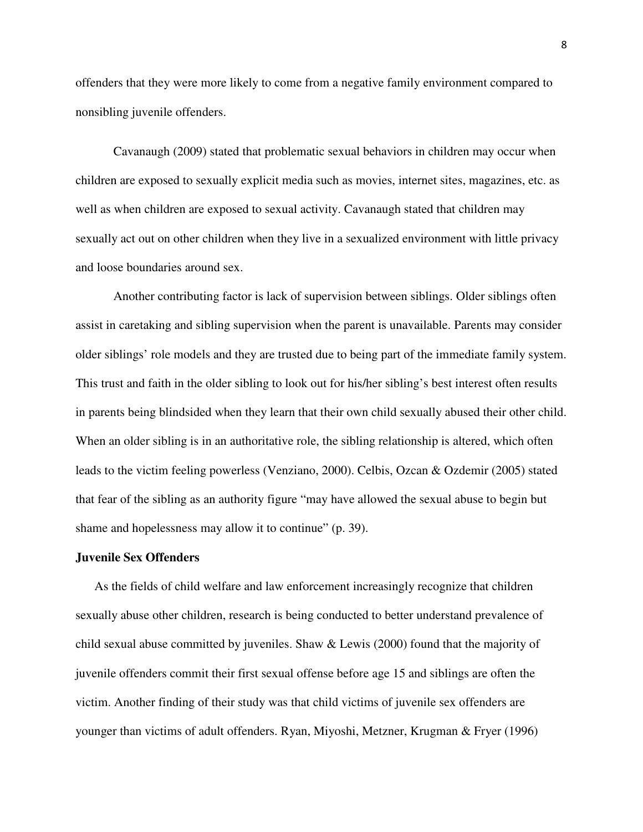offenders that they were more likely to come from a negative family environment compared to nonsibling juvenile offenders.

Cavanaugh (2009) stated that problematic sexual behaviors in children may occur when children are exposed to sexually explicit media such as movies, internet sites, magazines, etc. as well as when children are exposed to sexual activity. Cavanaugh stated that children may sexually act out on other children when they live in a sexualized environment with little privacy and loose boundaries around sex.

Another contributing factor is lack of supervision between siblings. Older siblings often assist in caretaking and sibling supervision when the parent is unavailable. Parents may consider older siblings' role models and they are trusted due to being part of the immediate family system. This trust and faith in the older sibling to look out for his/her sibling's best interest often results in parents being blindsided when they learn that their own child sexually abused their other child. When an older sibling is in an authoritative role, the sibling relationship is altered, which often leads to the victim feeling powerless (Venziano, 2000). Celbis, Ozcan & Ozdemir (2005) stated that fear of the sibling as an authority figure "may have allowed the sexual abuse to begin but shame and hopelessness may allow it to continue" (p. 39).

#### **Juvenile Sex Offenders**

 As the fields of child welfare and law enforcement increasingly recognize that children sexually abuse other children, research is being conducted to better understand prevalence of child sexual abuse committed by juveniles. Shaw & Lewis (2000) found that the majority of juvenile offenders commit their first sexual offense before age 15 and siblings are often the victim. Another finding of their study was that child victims of juvenile sex offenders are younger than victims of adult offenders. Ryan, Miyoshi, Metzner, Krugman & Fryer (1996)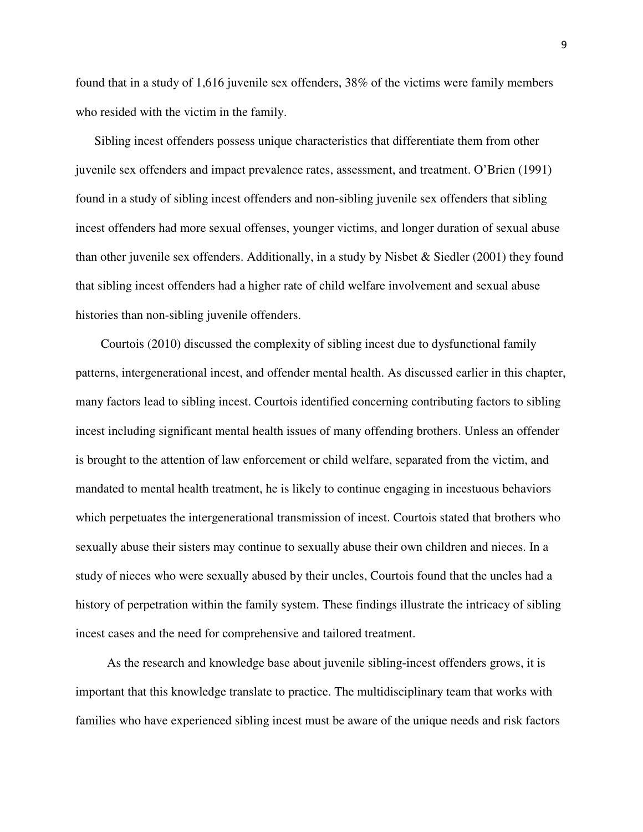found that in a study of 1,616 juvenile sex offenders, 38% of the victims were family members who resided with the victim in the family.

 Sibling incest offenders possess unique characteristics that differentiate them from other juvenile sex offenders and impact prevalence rates, assessment, and treatment. O'Brien (1991) found in a study of sibling incest offenders and non-sibling juvenile sex offenders that sibling incest offenders had more sexual offenses, younger victims, and longer duration of sexual abuse than other juvenile sex offenders. Additionally, in a study by Nisbet & Siedler (2001) they found that sibling incest offenders had a higher rate of child welfare involvement and sexual abuse histories than non-sibling juvenile offenders.

 Courtois (2010) discussed the complexity of sibling incest due to dysfunctional family patterns, intergenerational incest, and offender mental health. As discussed earlier in this chapter, many factors lead to sibling incest. Courtois identified concerning contributing factors to sibling incest including significant mental health issues of many offending brothers. Unless an offender is brought to the attention of law enforcement or child welfare, separated from the victim, and mandated to mental health treatment, he is likely to continue engaging in incestuous behaviors which perpetuates the intergenerational transmission of incest. Courtois stated that brothers who sexually abuse their sisters may continue to sexually abuse their own children and nieces. In a study of nieces who were sexually abused by their uncles, Courtois found that the uncles had a history of perpetration within the family system. These findings illustrate the intricacy of sibling incest cases and the need for comprehensive and tailored treatment.

 As the research and knowledge base about juvenile sibling-incest offenders grows, it is important that this knowledge translate to practice. The multidisciplinary team that works with families who have experienced sibling incest must be aware of the unique needs and risk factors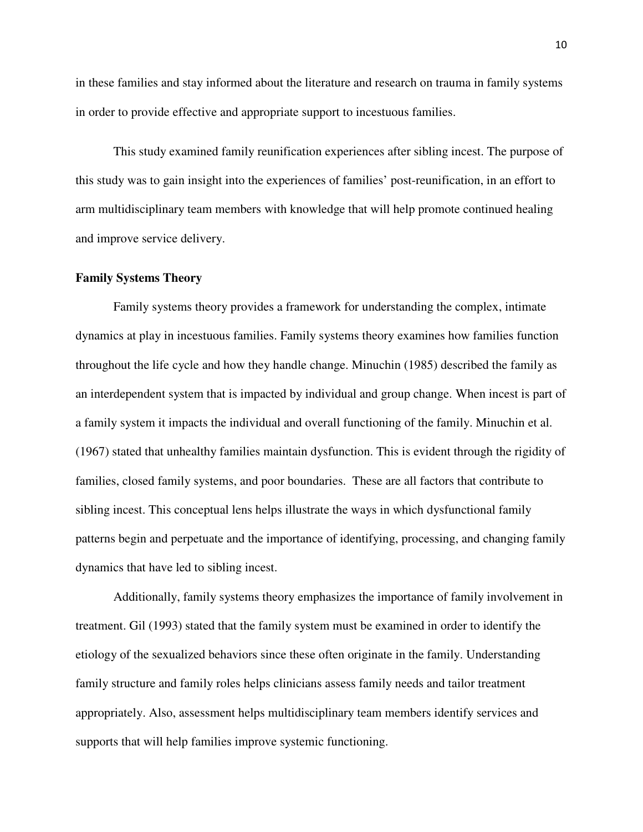in these families and stay informed about the literature and research on trauma in family systems in order to provide effective and appropriate support to incestuous families.

This study examined family reunification experiences after sibling incest. The purpose of this study was to gain insight into the experiences of families' post-reunification, in an effort to arm multidisciplinary team members with knowledge that will help promote continued healing and improve service delivery.

#### **Family Systems Theory**

Family systems theory provides a framework for understanding the complex, intimate dynamics at play in incestuous families. Family systems theory examines how families function throughout the life cycle and how they handle change. Minuchin (1985) described the family as an interdependent system that is impacted by individual and group change. When incest is part of a family system it impacts the individual and overall functioning of the family. Minuchin et al. (1967) stated that unhealthy families maintain dysfunction. This is evident through the rigidity of families, closed family systems, and poor boundaries. These are all factors that contribute to sibling incest. This conceptual lens helps illustrate the ways in which dysfunctional family patterns begin and perpetuate and the importance of identifying, processing, and changing family dynamics that have led to sibling incest.

Additionally, family systems theory emphasizes the importance of family involvement in treatment. Gil (1993) stated that the family system must be examined in order to identify the etiology of the sexualized behaviors since these often originate in the family. Understanding family structure and family roles helps clinicians assess family needs and tailor treatment appropriately. Also, assessment helps multidisciplinary team members identify services and supports that will help families improve systemic functioning.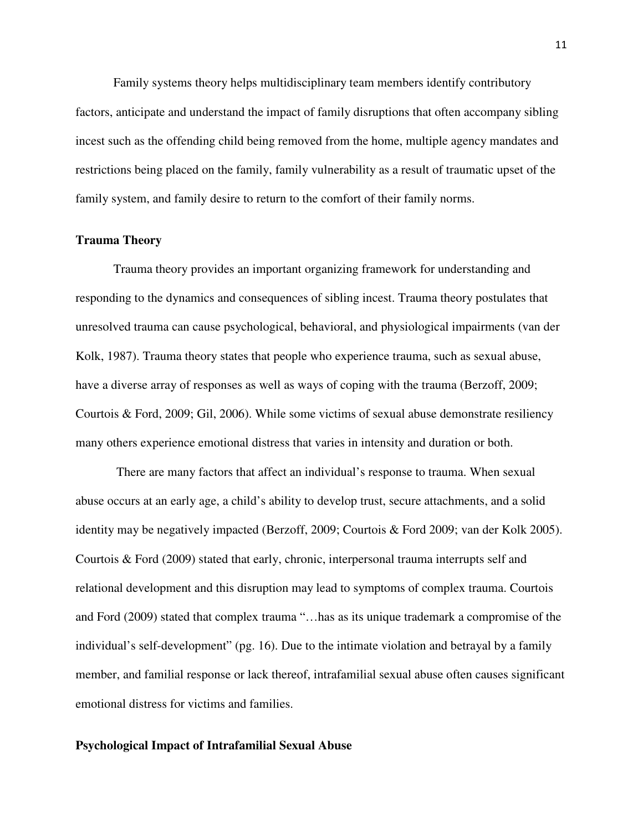Family systems theory helps multidisciplinary team members identify contributory factors, anticipate and understand the impact of family disruptions that often accompany sibling incest such as the offending child being removed from the home, multiple agency mandates and restrictions being placed on the family, family vulnerability as a result of traumatic upset of the family system, and family desire to return to the comfort of their family norms.

#### **Trauma Theory**

Trauma theory provides an important organizing framework for understanding and responding to the dynamics and consequences of sibling incest. Trauma theory postulates that unresolved trauma can cause psychological, behavioral, and physiological impairments (van der Kolk, 1987). Trauma theory states that people who experience trauma, such as sexual abuse, have a diverse array of responses as well as ways of coping with the trauma (Berzoff, 2009; Courtois & Ford, 2009; Gil, 2006). While some victims of sexual abuse demonstrate resiliency many others experience emotional distress that varies in intensity and duration or both.

 There are many factors that affect an individual's response to trauma. When sexual abuse occurs at an early age, a child's ability to develop trust, secure attachments, and a solid identity may be negatively impacted (Berzoff, 2009; Courtois & Ford 2009; van der Kolk 2005). Courtois & Ford (2009) stated that early, chronic, interpersonal trauma interrupts self and relational development and this disruption may lead to symptoms of complex trauma. Courtois and Ford (2009) stated that complex trauma "…has as its unique trademark a compromise of the individual's self-development" (pg. 16). Due to the intimate violation and betrayal by a family member, and familial response or lack thereof, intrafamilial sexual abuse often causes significant emotional distress for victims and families.

#### **Psychological Impact of Intrafamilial Sexual Abuse**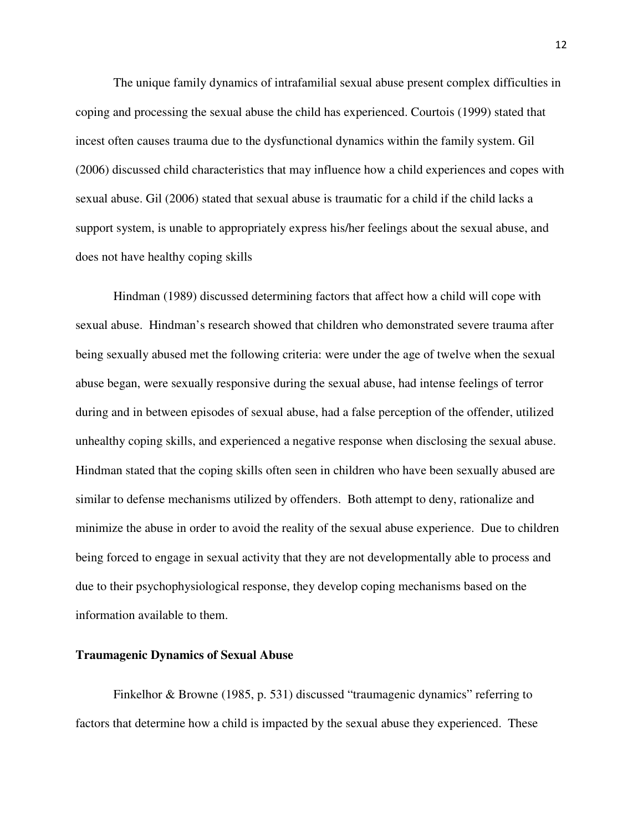The unique family dynamics of intrafamilial sexual abuse present complex difficulties in coping and processing the sexual abuse the child has experienced. Courtois (1999) stated that incest often causes trauma due to the dysfunctional dynamics within the family system. Gil (2006) discussed child characteristics that may influence how a child experiences and copes with sexual abuse. Gil (2006) stated that sexual abuse is traumatic for a child if the child lacks a support system, is unable to appropriately express his/her feelings about the sexual abuse, and does not have healthy coping skills

Hindman (1989) discussed determining factors that affect how a child will cope with sexual abuse. Hindman's research showed that children who demonstrated severe trauma after being sexually abused met the following criteria: were under the age of twelve when the sexual abuse began, were sexually responsive during the sexual abuse, had intense feelings of terror during and in between episodes of sexual abuse, had a false perception of the offender, utilized unhealthy coping skills, and experienced a negative response when disclosing the sexual abuse. Hindman stated that the coping skills often seen in children who have been sexually abused are similar to defense mechanisms utilized by offenders. Both attempt to deny, rationalize and minimize the abuse in order to avoid the reality of the sexual abuse experience. Due to children being forced to engage in sexual activity that they are not developmentally able to process and due to their psychophysiological response, they develop coping mechanisms based on the information available to them.

#### **Traumagenic Dynamics of Sexual Abuse**

Finkelhor & Browne (1985, p. 531) discussed "traumagenic dynamics" referring to factors that determine how a child is impacted by the sexual abuse they experienced. These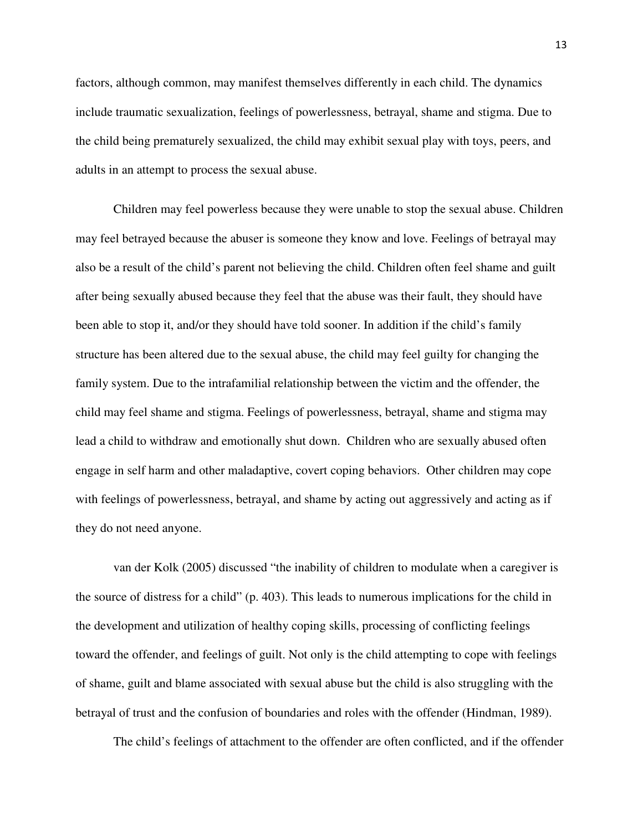factors, although common, may manifest themselves differently in each child. The dynamics include traumatic sexualization, feelings of powerlessness, betrayal, shame and stigma. Due to the child being prematurely sexualized, the child may exhibit sexual play with toys, peers, and adults in an attempt to process the sexual abuse.

Children may feel powerless because they were unable to stop the sexual abuse. Children may feel betrayed because the abuser is someone they know and love. Feelings of betrayal may also be a result of the child's parent not believing the child. Children often feel shame and guilt after being sexually abused because they feel that the abuse was their fault, they should have been able to stop it, and/or they should have told sooner. In addition if the child's family structure has been altered due to the sexual abuse, the child may feel guilty for changing the family system. Due to the intrafamilial relationship between the victim and the offender, the child may feel shame and stigma. Feelings of powerlessness, betrayal, shame and stigma may lead a child to withdraw and emotionally shut down. Children who are sexually abused often engage in self harm and other maladaptive, covert coping behaviors. Other children may cope with feelings of powerlessness, betrayal, and shame by acting out aggressively and acting as if they do not need anyone.

van der Kolk (2005) discussed "the inability of children to modulate when a caregiver is the source of distress for a child" (p. 403). This leads to numerous implications for the child in the development and utilization of healthy coping skills, processing of conflicting feelings toward the offender, and feelings of guilt. Not only is the child attempting to cope with feelings of shame, guilt and blame associated with sexual abuse but the child is also struggling with the betrayal of trust and the confusion of boundaries and roles with the offender (Hindman, 1989).

The child's feelings of attachment to the offender are often conflicted, and if the offender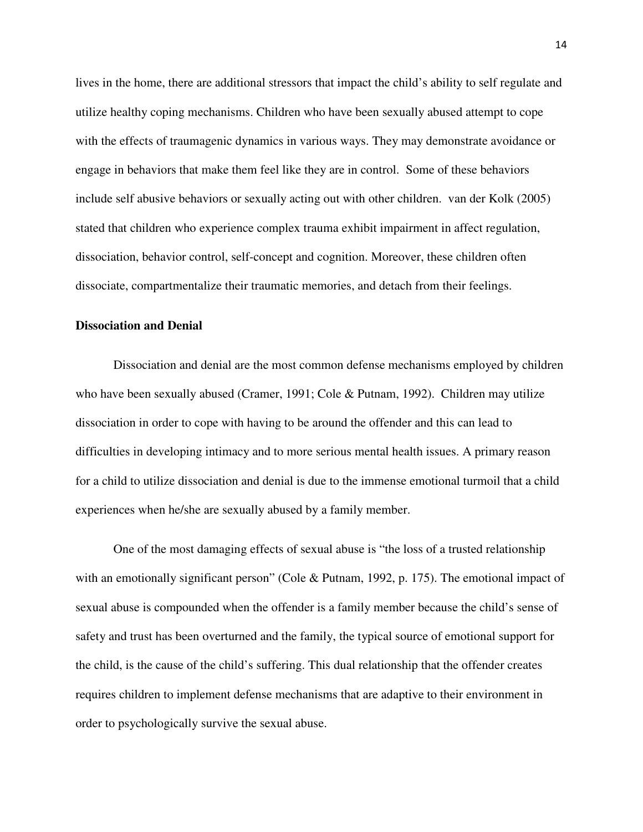lives in the home, there are additional stressors that impact the child's ability to self regulate and utilize healthy coping mechanisms. Children who have been sexually abused attempt to cope with the effects of traumagenic dynamics in various ways. They may demonstrate avoidance or engage in behaviors that make them feel like they are in control. Some of these behaviors include self abusive behaviors or sexually acting out with other children. van der Kolk (2005) stated that children who experience complex trauma exhibit impairment in affect regulation, dissociation, behavior control, self-concept and cognition. Moreover, these children often dissociate, compartmentalize their traumatic memories, and detach from their feelings.

#### **Dissociation and Denial**

Dissociation and denial are the most common defense mechanisms employed by children who have been sexually abused (Cramer, 1991; Cole & Putnam, 1992). Children may utilize dissociation in order to cope with having to be around the offender and this can lead to difficulties in developing intimacy and to more serious mental health issues. A primary reason for a child to utilize dissociation and denial is due to the immense emotional turmoil that a child experiences when he/she are sexually abused by a family member.

One of the most damaging effects of sexual abuse is "the loss of a trusted relationship with an emotionally significant person" (Cole & Putnam, 1992, p. 175). The emotional impact of sexual abuse is compounded when the offender is a family member because the child's sense of safety and trust has been overturned and the family, the typical source of emotional support for the child, is the cause of the child's suffering. This dual relationship that the offender creates requires children to implement defense mechanisms that are adaptive to their environment in order to psychologically survive the sexual abuse.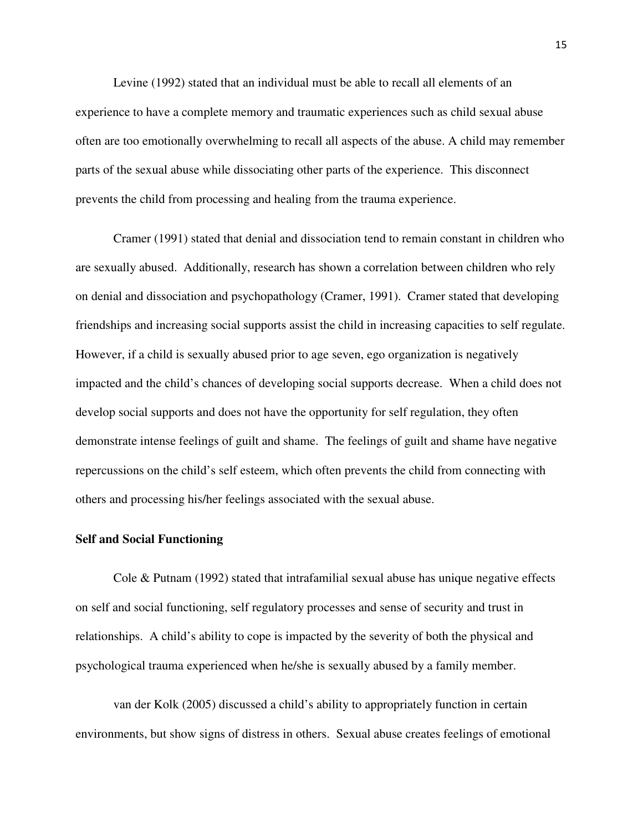Levine (1992) stated that an individual must be able to recall all elements of an experience to have a complete memory and traumatic experiences such as child sexual abuse often are too emotionally overwhelming to recall all aspects of the abuse. A child may remember parts of the sexual abuse while dissociating other parts of the experience. This disconnect prevents the child from processing and healing from the trauma experience.

Cramer (1991) stated that denial and dissociation tend to remain constant in children who are sexually abused. Additionally, research has shown a correlation between children who rely on denial and dissociation and psychopathology (Cramer, 1991). Cramer stated that developing friendships and increasing social supports assist the child in increasing capacities to self regulate. However, if a child is sexually abused prior to age seven, ego organization is negatively impacted and the child's chances of developing social supports decrease. When a child does not develop social supports and does not have the opportunity for self regulation, they often demonstrate intense feelings of guilt and shame. The feelings of guilt and shame have negative repercussions on the child's self esteem, which often prevents the child from connecting with others and processing his/her feelings associated with the sexual abuse.

#### **Self and Social Functioning**

Cole & Putnam (1992) stated that intrafamilial sexual abuse has unique negative effects on self and social functioning, self regulatory processes and sense of security and trust in relationships. A child's ability to cope is impacted by the severity of both the physical and psychological trauma experienced when he/she is sexually abused by a family member.

van der Kolk (2005) discussed a child's ability to appropriately function in certain environments, but show signs of distress in others. Sexual abuse creates feelings of emotional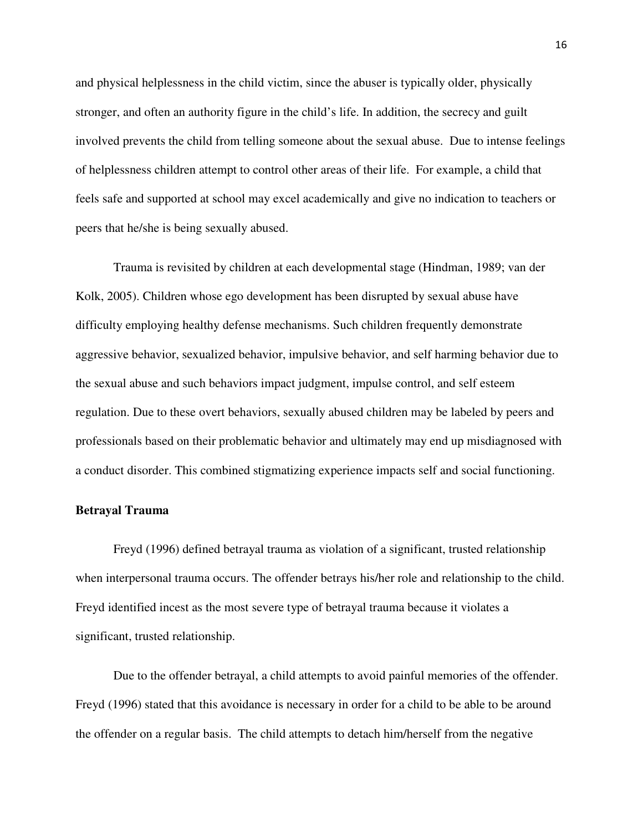and physical helplessness in the child victim, since the abuser is typically older, physically stronger, and often an authority figure in the child's life. In addition, the secrecy and guilt involved prevents the child from telling someone about the sexual abuse. Due to intense feelings of helplessness children attempt to control other areas of their life. For example, a child that feels safe and supported at school may excel academically and give no indication to teachers or peers that he/she is being sexually abused.

Trauma is revisited by children at each developmental stage (Hindman, 1989; van der Kolk, 2005). Children whose ego development has been disrupted by sexual abuse have difficulty employing healthy defense mechanisms. Such children frequently demonstrate aggressive behavior, sexualized behavior, impulsive behavior, and self harming behavior due to the sexual abuse and such behaviors impact judgment, impulse control, and self esteem regulation. Due to these overt behaviors, sexually abused children may be labeled by peers and professionals based on their problematic behavior and ultimately may end up misdiagnosed with a conduct disorder. This combined stigmatizing experience impacts self and social functioning.

#### **Betrayal Trauma**

Freyd (1996) defined betrayal trauma as violation of a significant, trusted relationship when interpersonal trauma occurs. The offender betrays his/her role and relationship to the child. Freyd identified incest as the most severe type of betrayal trauma because it violates a significant, trusted relationship.

Due to the offender betrayal, a child attempts to avoid painful memories of the offender. Freyd (1996) stated that this avoidance is necessary in order for a child to be able to be around the offender on a regular basis. The child attempts to detach him/herself from the negative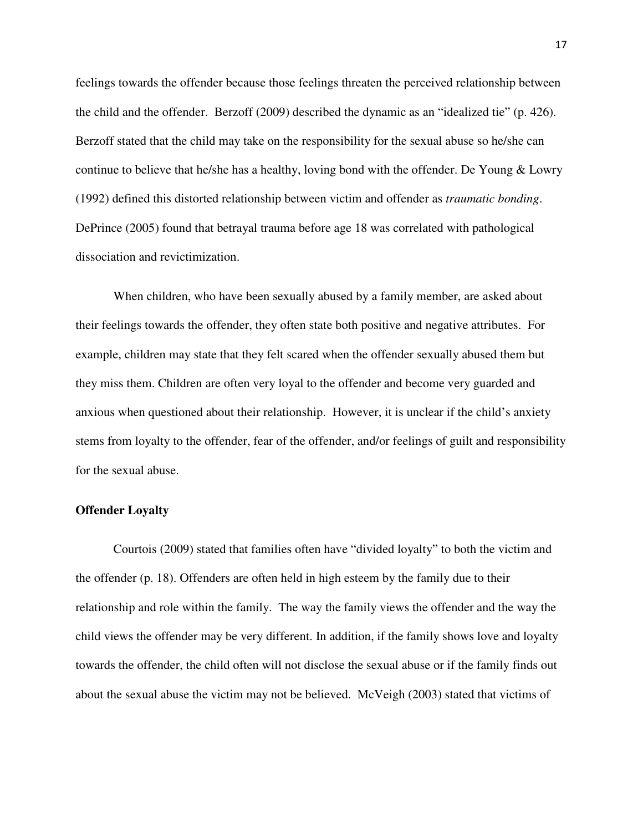feelings towards the offender because those feelings threaten the perceived relationship between the child and the offender. Berzoff (2009) described the dynamic as an "idealized tie" (p. 426). Berzoff stated that the child may take on the responsibility for the sexual abuse so he/she can continue to believe that he/she has a healthy, loving bond with the offender. De Young & Lowry (1992) defined this distorted relationship between victim and offender as *traumatic bonding*. DePrince (2005) found that betrayal trauma before age 18 was correlated with pathological dissociation and revictimization.

When children, who have been sexually abused by a family member, are asked about their feelings towards the offender, they often state both positive and negative attributes. For example, children may state that they felt scared when the offender sexually abused them but they miss them. Children are often very loyal to the offender and become very guarded and anxious when questioned about their relationship. However, it is unclear if the child's anxiety stems from loyalty to the offender, fear of the offender, and/or feelings of guilt and responsibility for the sexual abuse.

#### **Offender Loyalty**

Courtois (2009) stated that families often have "divided loyalty" to both the victim and the offender (p. 18). Offenders are often held in high esteem by the family due to their relationship and role within the family. The way the family views the offender and the way the child views the offender may be very different. In addition, if the family shows love and loyalty towards the offender, the child often will not disclose the sexual abuse or if the family finds out about the sexual abuse the victim may not be believed. McVeigh (2003) stated that victims of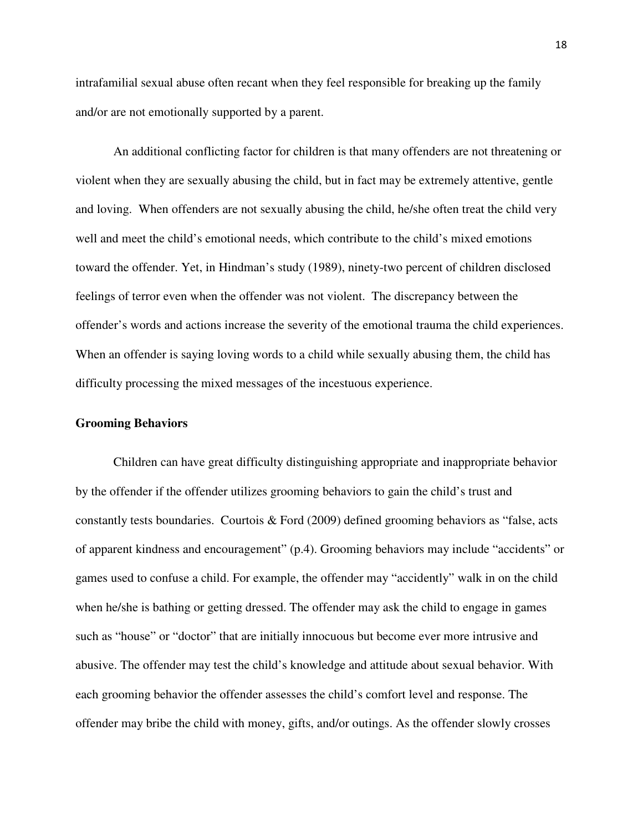intrafamilial sexual abuse often recant when they feel responsible for breaking up the family and/or are not emotionally supported by a parent.

An additional conflicting factor for children is that many offenders are not threatening or violent when they are sexually abusing the child, but in fact may be extremely attentive, gentle and loving. When offenders are not sexually abusing the child, he/she often treat the child very well and meet the child's emotional needs, which contribute to the child's mixed emotions toward the offender. Yet, in Hindman's study (1989), ninety-two percent of children disclosed feelings of terror even when the offender was not violent. The discrepancy between the offender's words and actions increase the severity of the emotional trauma the child experiences. When an offender is saying loving words to a child while sexually abusing them, the child has difficulty processing the mixed messages of the incestuous experience.

#### **Grooming Behaviors**

Children can have great difficulty distinguishing appropriate and inappropriate behavior by the offender if the offender utilizes grooming behaviors to gain the child's trust and constantly tests boundaries. Courtois & Ford (2009) defined grooming behaviors as "false, acts of apparent kindness and encouragement" (p.4). Grooming behaviors may include "accidents" or games used to confuse a child. For example, the offender may "accidently" walk in on the child when he/she is bathing or getting dressed. The offender may ask the child to engage in games such as "house" or "doctor" that are initially innocuous but become ever more intrusive and abusive. The offender may test the child's knowledge and attitude about sexual behavior. With each grooming behavior the offender assesses the child's comfort level and response. The offender may bribe the child with money, gifts, and/or outings. As the offender slowly crosses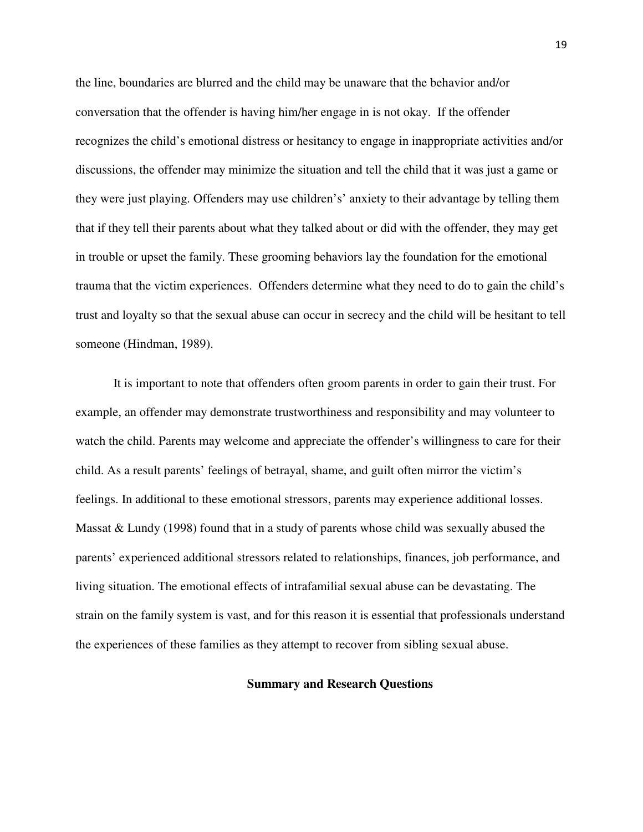the line, boundaries are blurred and the child may be unaware that the behavior and/or conversation that the offender is having him/her engage in is not okay. If the offender recognizes the child's emotional distress or hesitancy to engage in inappropriate activities and/or discussions, the offender may minimize the situation and tell the child that it was just a game or they were just playing. Offenders may use children's' anxiety to their advantage by telling them that if they tell their parents about what they talked about or did with the offender, they may get in trouble or upset the family. These grooming behaviors lay the foundation for the emotional trauma that the victim experiences. Offenders determine what they need to do to gain the child's trust and loyalty so that the sexual abuse can occur in secrecy and the child will be hesitant to tell someone (Hindman, 1989).

It is important to note that offenders often groom parents in order to gain their trust. For example, an offender may demonstrate trustworthiness and responsibility and may volunteer to watch the child. Parents may welcome and appreciate the offender's willingness to care for their child. As a result parents' feelings of betrayal, shame, and guilt often mirror the victim's feelings. In additional to these emotional stressors, parents may experience additional losses. Massat & Lundy (1998) found that in a study of parents whose child was sexually abused the parents' experienced additional stressors related to relationships, finances, job performance, and living situation. The emotional effects of intrafamilial sexual abuse can be devastating. The strain on the family system is vast, and for this reason it is essential that professionals understand the experiences of these families as they attempt to recover from sibling sexual abuse.

#### **Summary and Research Questions**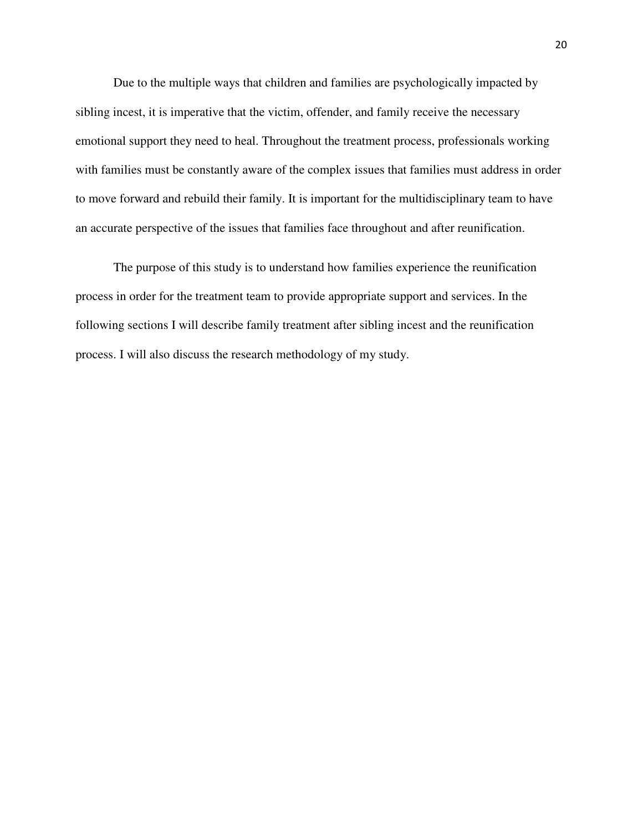Due to the multiple ways that children and families are psychologically impacted by sibling incest, it is imperative that the victim, offender, and family receive the necessary emotional support they need to heal. Throughout the treatment process, professionals working with families must be constantly aware of the complex issues that families must address in order to move forward and rebuild their family. It is important for the multidisciplinary team to have an accurate perspective of the issues that families face throughout and after reunification.

The purpose of this study is to understand how families experience the reunification process in order for the treatment team to provide appropriate support and services. In the following sections I will describe family treatment after sibling incest and the reunification process. I will also discuss the research methodology of my study.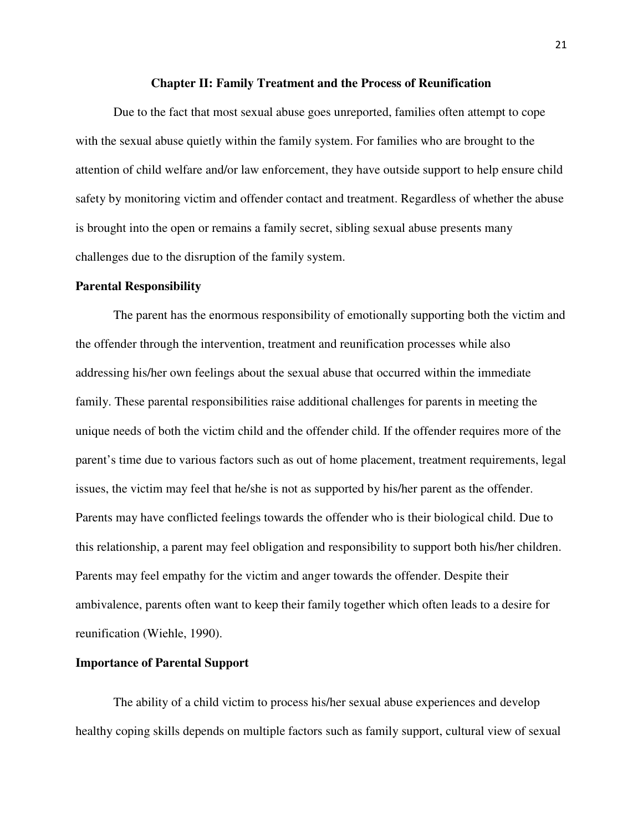#### **Chapter II: Family Treatment and the Process of Reunification**

Due to the fact that most sexual abuse goes unreported, families often attempt to cope with the sexual abuse quietly within the family system. For families who are brought to the attention of child welfare and/or law enforcement, they have outside support to help ensure child safety by monitoring victim and offender contact and treatment. Regardless of whether the abuse is brought into the open or remains a family secret, sibling sexual abuse presents many challenges due to the disruption of the family system.

#### **Parental Responsibility**

The parent has the enormous responsibility of emotionally supporting both the victim and the offender through the intervention, treatment and reunification processes while also addressing his/her own feelings about the sexual abuse that occurred within the immediate family. These parental responsibilities raise additional challenges for parents in meeting the unique needs of both the victim child and the offender child. If the offender requires more of the parent's time due to various factors such as out of home placement, treatment requirements, legal issues, the victim may feel that he/she is not as supported by his/her parent as the offender. Parents may have conflicted feelings towards the offender who is their biological child. Due to this relationship, a parent may feel obligation and responsibility to support both his/her children. Parents may feel empathy for the victim and anger towards the offender. Despite their ambivalence, parents often want to keep their family together which often leads to a desire for reunification (Wiehle, 1990).

#### **Importance of Parental Support**

The ability of a child victim to process his/her sexual abuse experiences and develop healthy coping skills depends on multiple factors such as family support, cultural view of sexual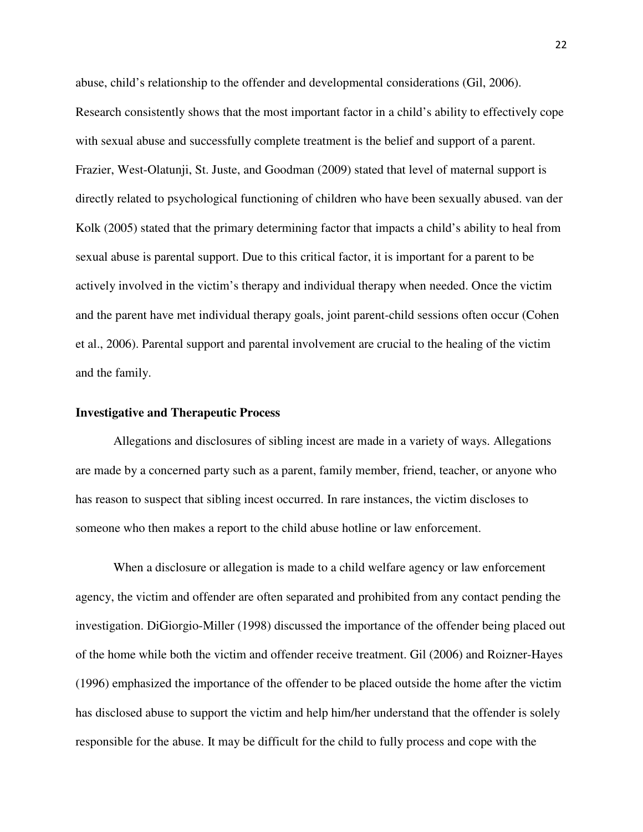abuse, child's relationship to the offender and developmental considerations (Gil, 2006). Research consistently shows that the most important factor in a child's ability to effectively cope with sexual abuse and successfully complete treatment is the belief and support of a parent. Frazier, West-Olatunji, St. Juste, and Goodman (2009) stated that level of maternal support is directly related to psychological functioning of children who have been sexually abused. van der Kolk (2005) stated that the primary determining factor that impacts a child's ability to heal from sexual abuse is parental support. Due to this critical factor, it is important for a parent to be actively involved in the victim's therapy and individual therapy when needed. Once the victim and the parent have met individual therapy goals, joint parent-child sessions often occur (Cohen et al., 2006). Parental support and parental involvement are crucial to the healing of the victim and the family.

#### **Investigative and Therapeutic Process**

Allegations and disclosures of sibling incest are made in a variety of ways. Allegations are made by a concerned party such as a parent, family member, friend, teacher, or anyone who has reason to suspect that sibling incest occurred. In rare instances, the victim discloses to someone who then makes a report to the child abuse hotline or law enforcement.

When a disclosure or allegation is made to a child welfare agency or law enforcement agency, the victim and offender are often separated and prohibited from any contact pending the investigation. DiGiorgio-Miller (1998) discussed the importance of the offender being placed out of the home while both the victim and offender receive treatment. Gil (2006) and Roizner-Hayes (1996) emphasized the importance of the offender to be placed outside the home after the victim has disclosed abuse to support the victim and help him/her understand that the offender is solely responsible for the abuse. It may be difficult for the child to fully process and cope with the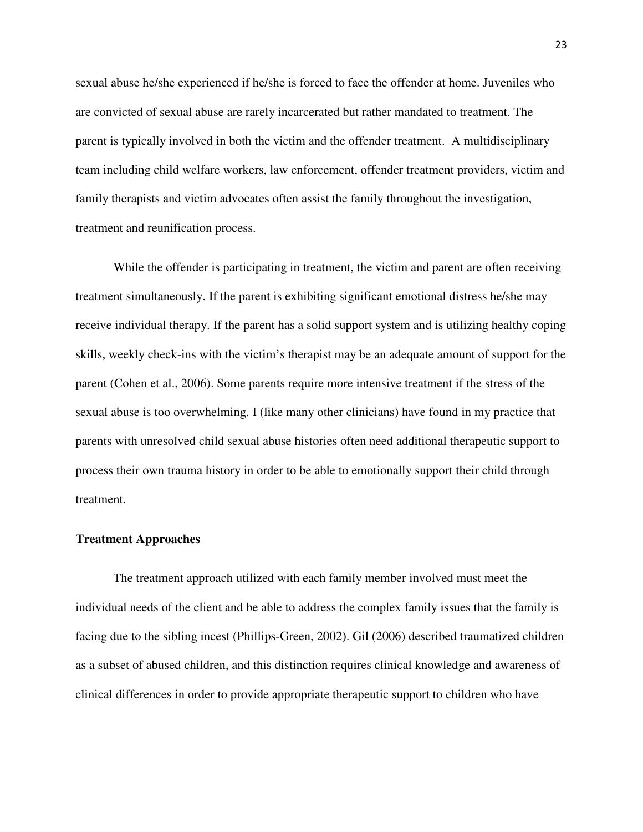sexual abuse he/she experienced if he/she is forced to face the offender at home. Juveniles who are convicted of sexual abuse are rarely incarcerated but rather mandated to treatment. The parent is typically involved in both the victim and the offender treatment. A multidisciplinary team including child welfare workers, law enforcement, offender treatment providers, victim and family therapists and victim advocates often assist the family throughout the investigation, treatment and reunification process.

While the offender is participating in treatment, the victim and parent are often receiving treatment simultaneously. If the parent is exhibiting significant emotional distress he/she may receive individual therapy. If the parent has a solid support system and is utilizing healthy coping skills, weekly check-ins with the victim's therapist may be an adequate amount of support for the parent (Cohen et al., 2006). Some parents require more intensive treatment if the stress of the sexual abuse is too overwhelming. I (like many other clinicians) have found in my practice that parents with unresolved child sexual abuse histories often need additional therapeutic support to process their own trauma history in order to be able to emotionally support their child through treatment.

#### **Treatment Approaches**

The treatment approach utilized with each family member involved must meet the individual needs of the client and be able to address the complex family issues that the family is facing due to the sibling incest (Phillips-Green, 2002). Gil (2006) described traumatized children as a subset of abused children, and this distinction requires clinical knowledge and awareness of clinical differences in order to provide appropriate therapeutic support to children who have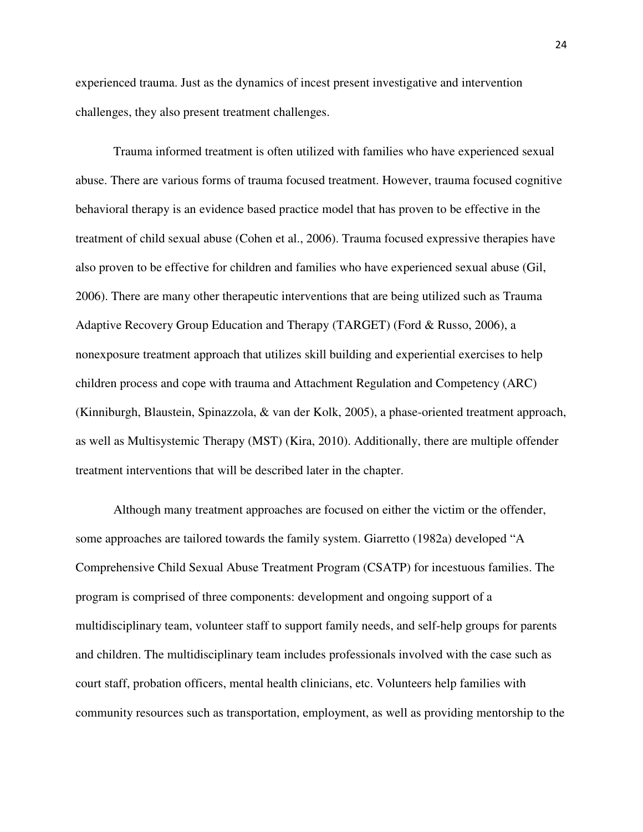experienced trauma. Just as the dynamics of incest present investigative and intervention challenges, they also present treatment challenges.

Trauma informed treatment is often utilized with families who have experienced sexual abuse. There are various forms of trauma focused treatment. However, trauma focused cognitive behavioral therapy is an evidence based practice model that has proven to be effective in the treatment of child sexual abuse (Cohen et al., 2006). Trauma focused expressive therapies have also proven to be effective for children and families who have experienced sexual abuse (Gil, 2006). There are many other therapeutic interventions that are being utilized such as Trauma Adaptive Recovery Group Education and Therapy (TARGET) (Ford & Russo, 2006), a nonexposure treatment approach that utilizes skill building and experiential exercises to help children process and cope with trauma and Attachment Regulation and Competency (ARC) (Kinniburgh, Blaustein, Spinazzola, & van der Kolk, 2005), a phase-oriented treatment approach, as well as Multisystemic Therapy (MST) (Kira, 2010). Additionally, there are multiple offender treatment interventions that will be described later in the chapter.

Although many treatment approaches are focused on either the victim or the offender, some approaches are tailored towards the family system. Giarretto (1982a) developed "A Comprehensive Child Sexual Abuse Treatment Program (CSATP) for incestuous families. The program is comprised of three components: development and ongoing support of a multidisciplinary team, volunteer staff to support family needs, and self-help groups for parents and children. The multidisciplinary team includes professionals involved with the case such as court staff, probation officers, mental health clinicians, etc. Volunteers help families with community resources such as transportation, employment, as well as providing mentorship to the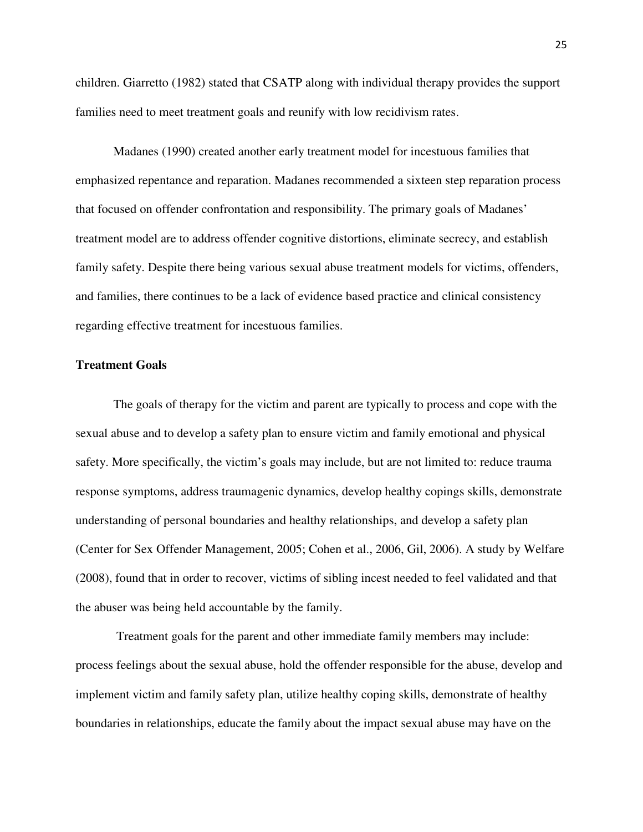children. Giarretto (1982) stated that CSATP along with individual therapy provides the support families need to meet treatment goals and reunify with low recidivism rates.

Madanes (1990) created another early treatment model for incestuous families that emphasized repentance and reparation. Madanes recommended a sixteen step reparation process that focused on offender confrontation and responsibility. The primary goals of Madanes' treatment model are to address offender cognitive distortions, eliminate secrecy, and establish family safety. Despite there being various sexual abuse treatment models for victims, offenders, and families, there continues to be a lack of evidence based practice and clinical consistency regarding effective treatment for incestuous families.

# **Treatment Goals**

The goals of therapy for the victim and parent are typically to process and cope with the sexual abuse and to develop a safety plan to ensure victim and family emotional and physical safety. More specifically, the victim's goals may include, but are not limited to: reduce trauma response symptoms, address traumagenic dynamics, develop healthy copings skills, demonstrate understanding of personal boundaries and healthy relationships, and develop a safety plan (Center for Sex Offender Management, 2005; Cohen et al., 2006, Gil, 2006). A study by Welfare (2008), found that in order to recover, victims of sibling incest needed to feel validated and that the abuser was being held accountable by the family.

 Treatment goals for the parent and other immediate family members may include: process feelings about the sexual abuse, hold the offender responsible for the abuse, develop and implement victim and family safety plan, utilize healthy coping skills, demonstrate of healthy boundaries in relationships, educate the family about the impact sexual abuse may have on the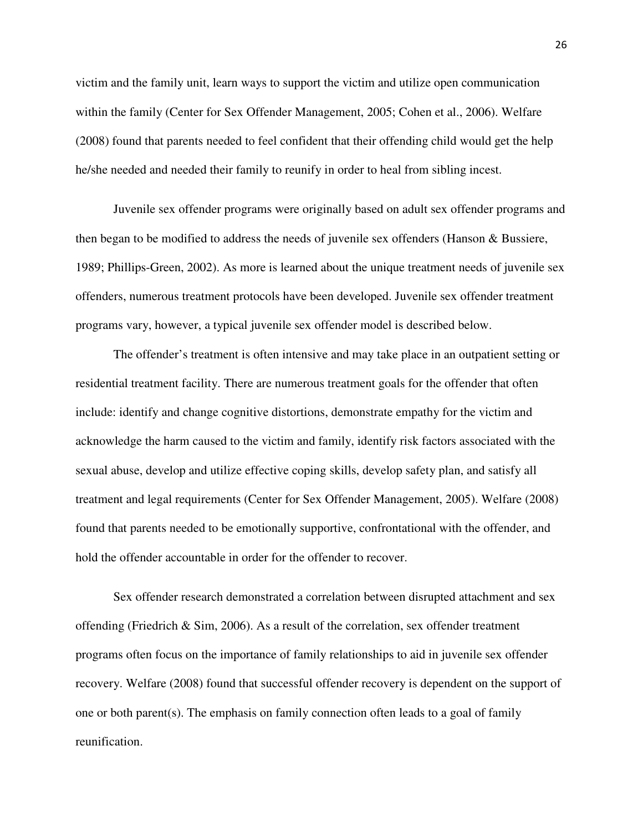victim and the family unit, learn ways to support the victim and utilize open communication within the family (Center for Sex Offender Management, 2005; Cohen et al., 2006). Welfare (2008) found that parents needed to feel confident that their offending child would get the help he/she needed and needed their family to reunify in order to heal from sibling incest.

Juvenile sex offender programs were originally based on adult sex offender programs and then began to be modified to address the needs of juvenile sex offenders (Hanson  $\&$  Bussiere, 1989; Phillips-Green, 2002). As more is learned about the unique treatment needs of juvenile sex offenders, numerous treatment protocols have been developed. Juvenile sex offender treatment programs vary, however, a typical juvenile sex offender model is described below.

The offender's treatment is often intensive and may take place in an outpatient setting or residential treatment facility. There are numerous treatment goals for the offender that often include: identify and change cognitive distortions, demonstrate empathy for the victim and acknowledge the harm caused to the victim and family, identify risk factors associated with the sexual abuse, develop and utilize effective coping skills, develop safety plan, and satisfy all treatment and legal requirements (Center for Sex Offender Management, 2005). Welfare (2008) found that parents needed to be emotionally supportive, confrontational with the offender, and hold the offender accountable in order for the offender to recover.

Sex offender research demonstrated a correlation between disrupted attachment and sex offending (Friedrich & Sim, 2006). As a result of the correlation, sex offender treatment programs often focus on the importance of family relationships to aid in juvenile sex offender recovery. Welfare (2008) found that successful offender recovery is dependent on the support of one or both parent(s). The emphasis on family connection often leads to a goal of family reunification.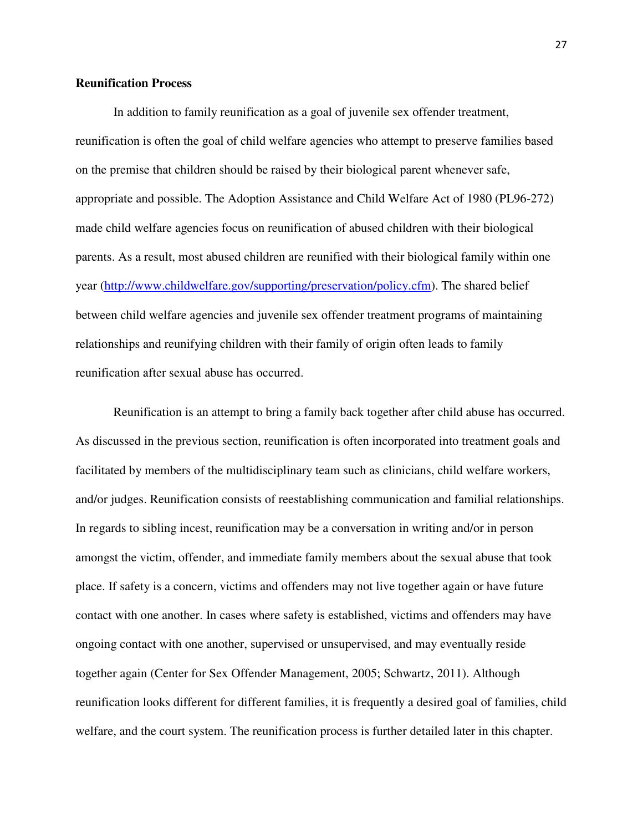## **Reunification Process**

In addition to family reunification as a goal of juvenile sex offender treatment, reunification is often the goal of child welfare agencies who attempt to preserve families based on the premise that children should be raised by their biological parent whenever safe, appropriate and possible. The Adoption Assistance and Child Welfare Act of 1980 (PL96-272) made child welfare agencies focus on reunification of abused children with their biological parents. As a result, most abused children are reunified with their biological family within one year (http://www.childwelfare.gov/supporting/preservation/policy.cfm). The shared belief between child welfare agencies and juvenile sex offender treatment programs of maintaining relationships and reunifying children with their family of origin often leads to family reunification after sexual abuse has occurred.

Reunification is an attempt to bring a family back together after child abuse has occurred. As discussed in the previous section, reunification is often incorporated into treatment goals and facilitated by members of the multidisciplinary team such as clinicians, child welfare workers, and/or judges. Reunification consists of reestablishing communication and familial relationships. In regards to sibling incest, reunification may be a conversation in writing and/or in person amongst the victim, offender, and immediate family members about the sexual abuse that took place. If safety is a concern, victims and offenders may not live together again or have future contact with one another. In cases where safety is established, victims and offenders may have ongoing contact with one another, supervised or unsupervised, and may eventually reside together again (Center for Sex Offender Management, 2005; Schwartz, 2011). Although reunification looks different for different families, it is frequently a desired goal of families, child welfare, and the court system. The reunification process is further detailed later in this chapter.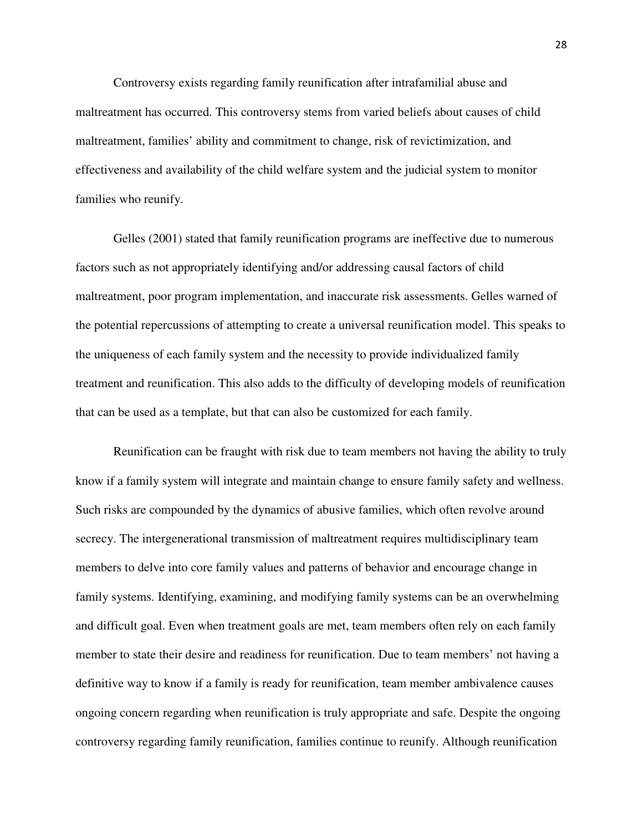Controversy exists regarding family reunification after intrafamilial abuse and maltreatment has occurred. This controversy stems from varied beliefs about causes of child maltreatment, families' ability and commitment to change, risk of revictimization, and effectiveness and availability of the child welfare system and the judicial system to monitor families who reunify.

Gelles (2001) stated that family reunification programs are ineffective due to numerous factors such as not appropriately identifying and/or addressing causal factors of child maltreatment, poor program implementation, and inaccurate risk assessments. Gelles warned of the potential repercussions of attempting to create a universal reunification model. This speaks to the uniqueness of each family system and the necessity to provide individualized family treatment and reunification. This also adds to the difficulty of developing models of reunification that can be used as a template, but that can also be customized for each family.

Reunification can be fraught with risk due to team members not having the ability to truly know if a family system will integrate and maintain change to ensure family safety and wellness. Such risks are compounded by the dynamics of abusive families, which often revolve around secrecy. The intergenerational transmission of maltreatment requires multidisciplinary team members to delve into core family values and patterns of behavior and encourage change in family systems. Identifying, examining, and modifying family systems can be an overwhelming and difficult goal. Even when treatment goals are met, team members often rely on each family member to state their desire and readiness for reunification. Due to team members' not having a definitive way to know if a family is ready for reunification, team member ambivalence causes ongoing concern regarding when reunification is truly appropriate and safe. Despite the ongoing controversy regarding family reunification, families continue to reunify. Although reunification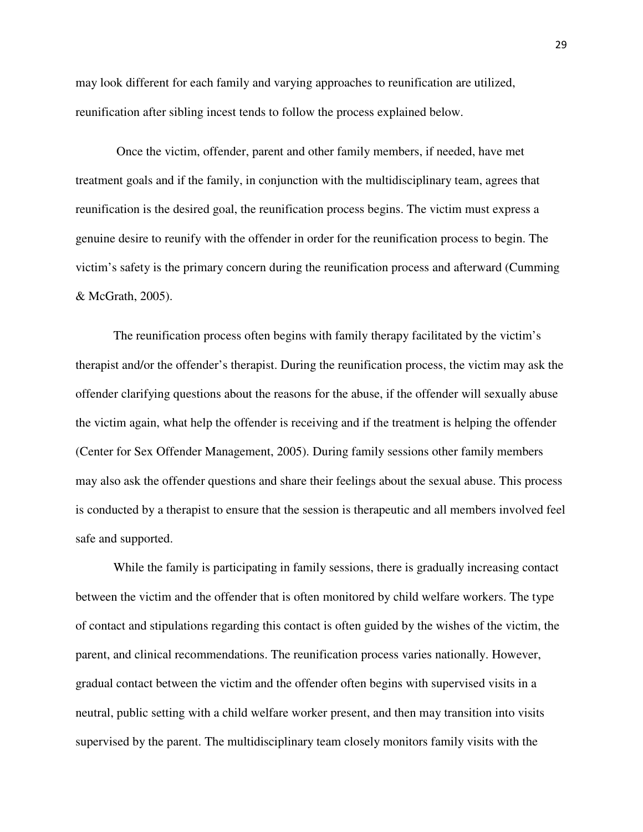may look different for each family and varying approaches to reunification are utilized, reunification after sibling incest tends to follow the process explained below.

 Once the victim, offender, parent and other family members, if needed, have met treatment goals and if the family, in conjunction with the multidisciplinary team, agrees that reunification is the desired goal, the reunification process begins. The victim must express a genuine desire to reunify with the offender in order for the reunification process to begin. The victim's safety is the primary concern during the reunification process and afterward (Cumming & McGrath, 2005).

The reunification process often begins with family therapy facilitated by the victim's therapist and/or the offender's therapist. During the reunification process, the victim may ask the offender clarifying questions about the reasons for the abuse, if the offender will sexually abuse the victim again, what help the offender is receiving and if the treatment is helping the offender (Center for Sex Offender Management, 2005). During family sessions other family members may also ask the offender questions and share their feelings about the sexual abuse. This process is conducted by a therapist to ensure that the session is therapeutic and all members involved feel safe and supported.

While the family is participating in family sessions, there is gradually increasing contact between the victim and the offender that is often monitored by child welfare workers. The type of contact and stipulations regarding this contact is often guided by the wishes of the victim, the parent, and clinical recommendations. The reunification process varies nationally. However, gradual contact between the victim and the offender often begins with supervised visits in a neutral, public setting with a child welfare worker present, and then may transition into visits supervised by the parent. The multidisciplinary team closely monitors family visits with the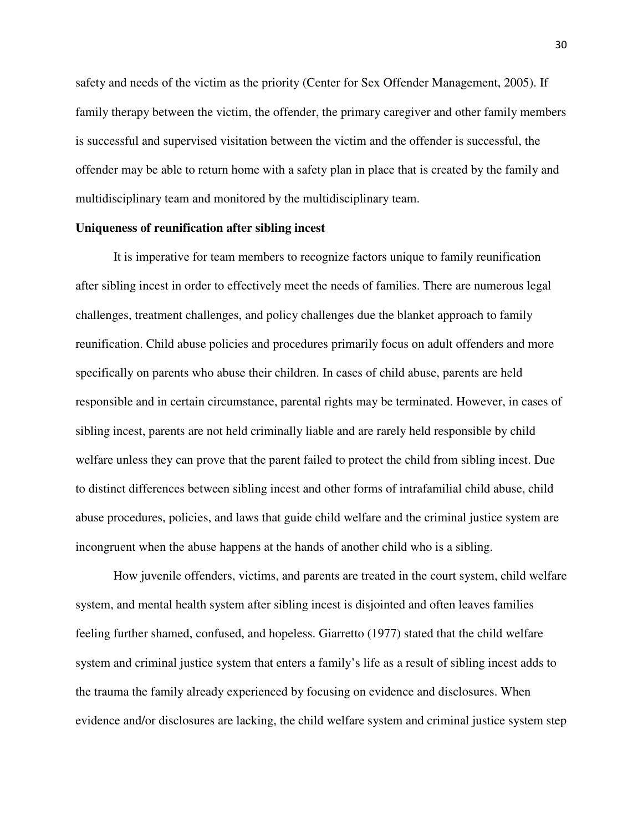safety and needs of the victim as the priority (Center for Sex Offender Management, 2005). If family therapy between the victim, the offender, the primary caregiver and other family members is successful and supervised visitation between the victim and the offender is successful, the offender may be able to return home with a safety plan in place that is created by the family and multidisciplinary team and monitored by the multidisciplinary team.

#### **Uniqueness of reunification after sibling incest**

It is imperative for team members to recognize factors unique to family reunification after sibling incest in order to effectively meet the needs of families. There are numerous legal challenges, treatment challenges, and policy challenges due the blanket approach to family reunification. Child abuse policies and procedures primarily focus on adult offenders and more specifically on parents who abuse their children. In cases of child abuse, parents are held responsible and in certain circumstance, parental rights may be terminated. However, in cases of sibling incest, parents are not held criminally liable and are rarely held responsible by child welfare unless they can prove that the parent failed to protect the child from sibling incest. Due to distinct differences between sibling incest and other forms of intrafamilial child abuse, child abuse procedures, policies, and laws that guide child welfare and the criminal justice system are incongruent when the abuse happens at the hands of another child who is a sibling.

How juvenile offenders, victims, and parents are treated in the court system, child welfare system, and mental health system after sibling incest is disjointed and often leaves families feeling further shamed, confused, and hopeless. Giarretto (1977) stated that the child welfare system and criminal justice system that enters a family's life as a result of sibling incest adds to the trauma the family already experienced by focusing on evidence and disclosures. When evidence and/or disclosures are lacking, the child welfare system and criminal justice system step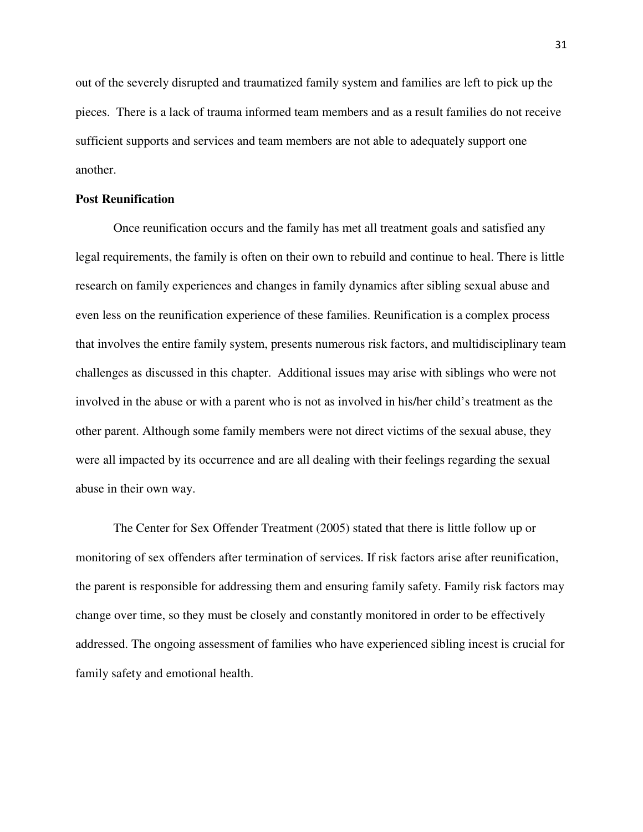out of the severely disrupted and traumatized family system and families are left to pick up the pieces. There is a lack of trauma informed team members and as a result families do not receive sufficient supports and services and team members are not able to adequately support one another.

### **Post Reunification**

Once reunification occurs and the family has met all treatment goals and satisfied any legal requirements, the family is often on their own to rebuild and continue to heal. There is little research on family experiences and changes in family dynamics after sibling sexual abuse and even less on the reunification experience of these families. Reunification is a complex process that involves the entire family system, presents numerous risk factors, and multidisciplinary team challenges as discussed in this chapter. Additional issues may arise with siblings who were not involved in the abuse or with a parent who is not as involved in his/her child's treatment as the other parent. Although some family members were not direct victims of the sexual abuse, they were all impacted by its occurrence and are all dealing with their feelings regarding the sexual abuse in their own way.

The Center for Sex Offender Treatment (2005) stated that there is little follow up or monitoring of sex offenders after termination of services. If risk factors arise after reunification, the parent is responsible for addressing them and ensuring family safety. Family risk factors may change over time, so they must be closely and constantly monitored in order to be effectively addressed. The ongoing assessment of families who have experienced sibling incest is crucial for family safety and emotional health.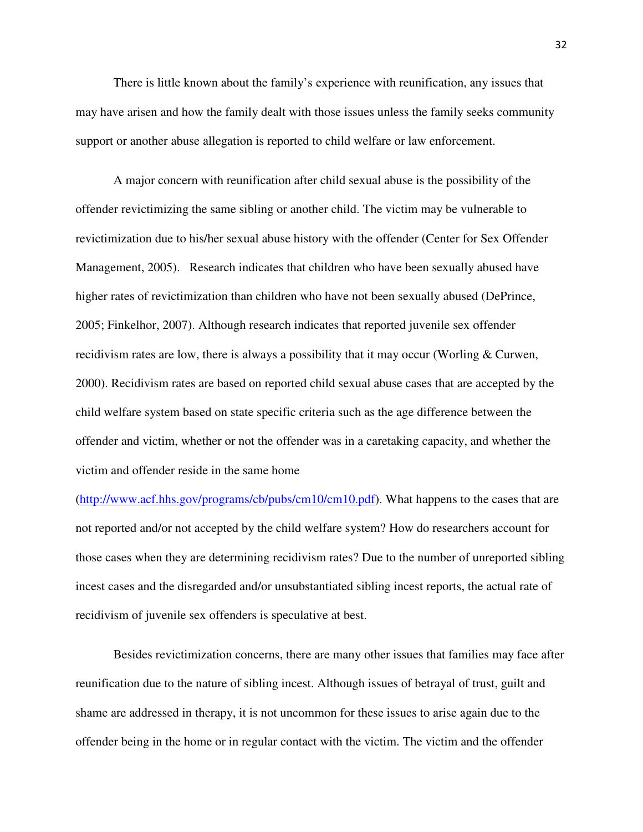There is little known about the family's experience with reunification, any issues that may have arisen and how the family dealt with those issues unless the family seeks community support or another abuse allegation is reported to child welfare or law enforcement.

A major concern with reunification after child sexual abuse is the possibility of the offender revictimizing the same sibling or another child. The victim may be vulnerable to revictimization due to his/her sexual abuse history with the offender (Center for Sex Offender Management, 2005). Research indicates that children who have been sexually abused have higher rates of revictimization than children who have not been sexually abused (DePrince, 2005; Finkelhor, 2007). Although research indicates that reported juvenile sex offender recidivism rates are low, there is always a possibility that it may occur (Worling & Curwen, 2000). Recidivism rates are based on reported child sexual abuse cases that are accepted by the child welfare system based on state specific criteria such as the age difference between the offender and victim, whether or not the offender was in a caretaking capacity, and whether the victim and offender reside in the same home

(http://www.acf.hhs.gov/programs/cb/pubs/cm10/cm10.pdf). What happens to the cases that are not reported and/or not accepted by the child welfare system? How do researchers account for those cases when they are determining recidivism rates? Due to the number of unreported sibling incest cases and the disregarded and/or unsubstantiated sibling incest reports, the actual rate of recidivism of juvenile sex offenders is speculative at best.

Besides revictimization concerns, there are many other issues that families may face after reunification due to the nature of sibling incest. Although issues of betrayal of trust, guilt and shame are addressed in therapy, it is not uncommon for these issues to arise again due to the offender being in the home or in regular contact with the victim. The victim and the offender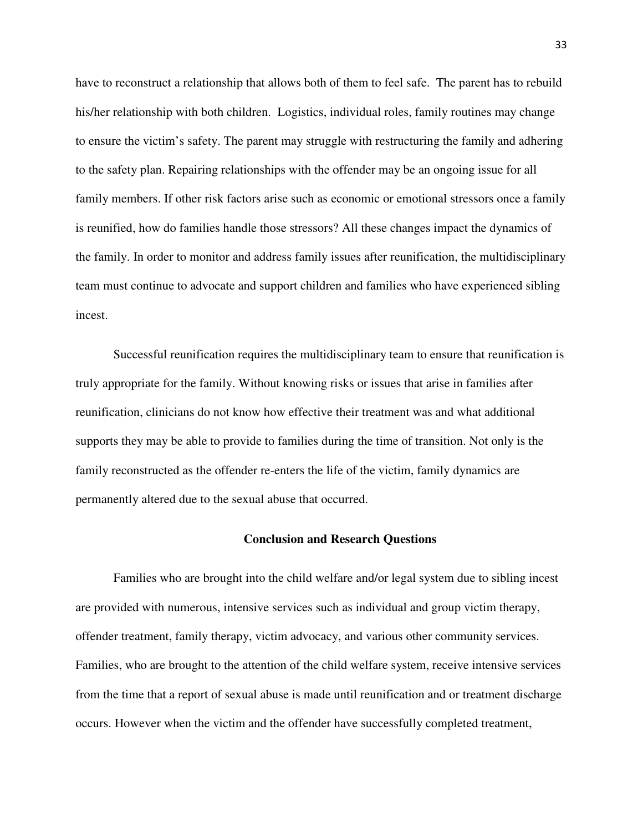have to reconstruct a relationship that allows both of them to feel safe. The parent has to rebuild his/her relationship with both children. Logistics, individual roles, family routines may change to ensure the victim's safety. The parent may struggle with restructuring the family and adhering to the safety plan. Repairing relationships with the offender may be an ongoing issue for all family members. If other risk factors arise such as economic or emotional stressors once a family is reunified, how do families handle those stressors? All these changes impact the dynamics of the family. In order to monitor and address family issues after reunification, the multidisciplinary team must continue to advocate and support children and families who have experienced sibling incest.

Successful reunification requires the multidisciplinary team to ensure that reunification is truly appropriate for the family. Without knowing risks or issues that arise in families after reunification, clinicians do not know how effective their treatment was and what additional supports they may be able to provide to families during the time of transition. Not only is the family reconstructed as the offender re-enters the life of the victim, family dynamics are permanently altered due to the sexual abuse that occurred.

#### **Conclusion and Research Questions**

Families who are brought into the child welfare and/or legal system due to sibling incest are provided with numerous, intensive services such as individual and group victim therapy, offender treatment, family therapy, victim advocacy, and various other community services. Families, who are brought to the attention of the child welfare system, receive intensive services from the time that a report of sexual abuse is made until reunification and or treatment discharge occurs. However when the victim and the offender have successfully completed treatment,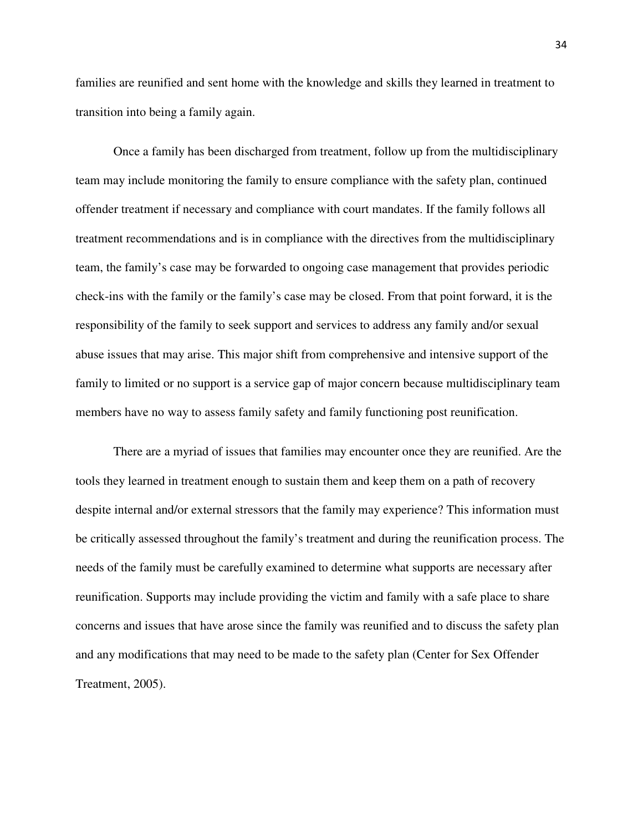families are reunified and sent home with the knowledge and skills they learned in treatment to transition into being a family again.

Once a family has been discharged from treatment, follow up from the multidisciplinary team may include monitoring the family to ensure compliance with the safety plan, continued offender treatment if necessary and compliance with court mandates. If the family follows all treatment recommendations and is in compliance with the directives from the multidisciplinary team, the family's case may be forwarded to ongoing case management that provides periodic check-ins with the family or the family's case may be closed. From that point forward, it is the responsibility of the family to seek support and services to address any family and/or sexual abuse issues that may arise. This major shift from comprehensive and intensive support of the family to limited or no support is a service gap of major concern because multidisciplinary team members have no way to assess family safety and family functioning post reunification.

There are a myriad of issues that families may encounter once they are reunified. Are the tools they learned in treatment enough to sustain them and keep them on a path of recovery despite internal and/or external stressors that the family may experience? This information must be critically assessed throughout the family's treatment and during the reunification process. The needs of the family must be carefully examined to determine what supports are necessary after reunification. Supports may include providing the victim and family with a safe place to share concerns and issues that have arose since the family was reunified and to discuss the safety plan and any modifications that may need to be made to the safety plan (Center for Sex Offender Treatment, 2005).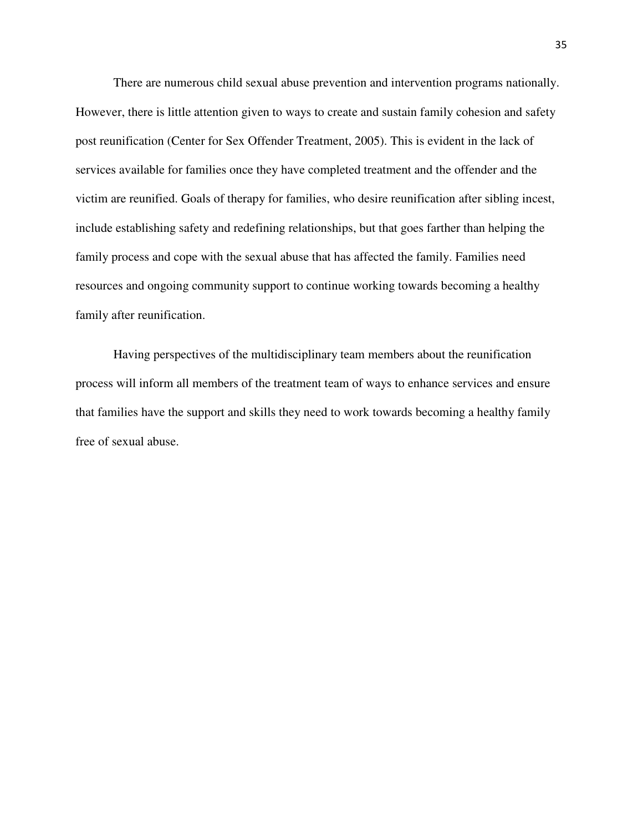There are numerous child sexual abuse prevention and intervention programs nationally. However, there is little attention given to ways to create and sustain family cohesion and safety post reunification (Center for Sex Offender Treatment, 2005). This is evident in the lack of services available for families once they have completed treatment and the offender and the victim are reunified. Goals of therapy for families, who desire reunification after sibling incest, include establishing safety and redefining relationships, but that goes farther than helping the family process and cope with the sexual abuse that has affected the family. Families need resources and ongoing community support to continue working towards becoming a healthy family after reunification.

Having perspectives of the multidisciplinary team members about the reunification process will inform all members of the treatment team of ways to enhance services and ensure that families have the support and skills they need to work towards becoming a healthy family free of sexual abuse.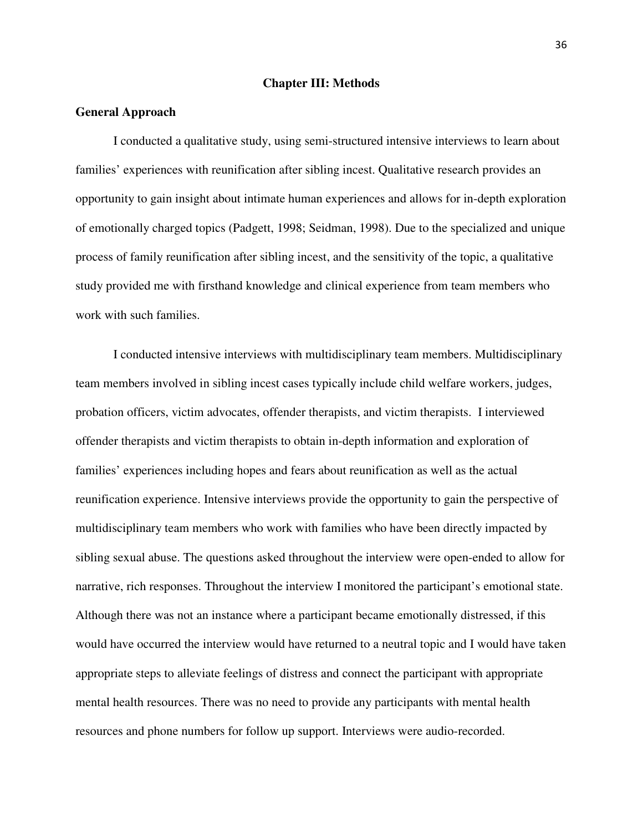#### **Chapter III: Methods**

#### **General Approach**

I conducted a qualitative study, using semi-structured intensive interviews to learn about families' experiences with reunification after sibling incest. Qualitative research provides an opportunity to gain insight about intimate human experiences and allows for in-depth exploration of emotionally charged topics (Padgett, 1998; Seidman, 1998). Due to the specialized and unique process of family reunification after sibling incest, and the sensitivity of the topic, a qualitative study provided me with firsthand knowledge and clinical experience from team members who work with such families.

I conducted intensive interviews with multidisciplinary team members. Multidisciplinary team members involved in sibling incest cases typically include child welfare workers, judges, probation officers, victim advocates, offender therapists, and victim therapists. I interviewed offender therapists and victim therapists to obtain in-depth information and exploration of families' experiences including hopes and fears about reunification as well as the actual reunification experience. Intensive interviews provide the opportunity to gain the perspective of multidisciplinary team members who work with families who have been directly impacted by sibling sexual abuse. The questions asked throughout the interview were open-ended to allow for narrative, rich responses. Throughout the interview I monitored the participant's emotional state. Although there was not an instance where a participant became emotionally distressed, if this would have occurred the interview would have returned to a neutral topic and I would have taken appropriate steps to alleviate feelings of distress and connect the participant with appropriate mental health resources. There was no need to provide any participants with mental health resources and phone numbers for follow up support. Interviews were audio-recorded.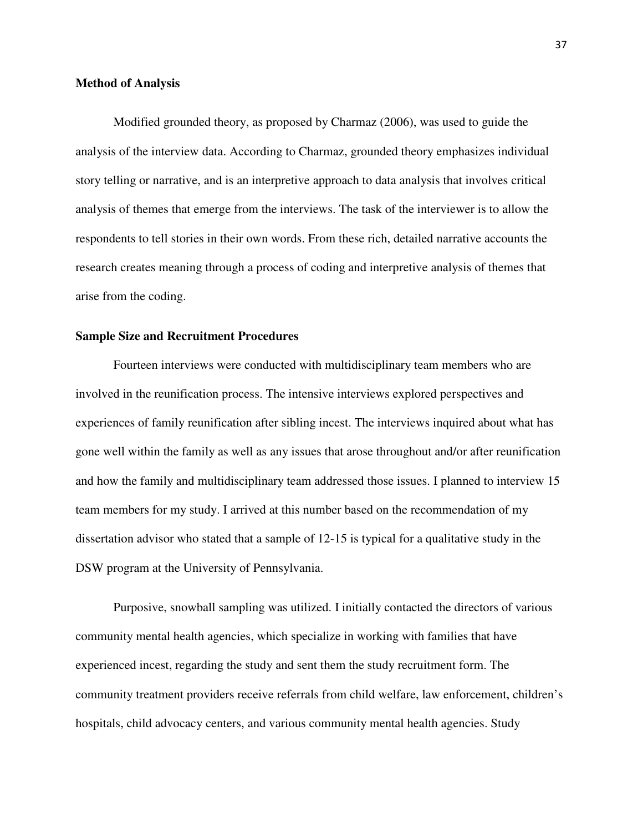### **Method of Analysis**

Modified grounded theory, as proposed by Charmaz (2006), was used to guide the analysis of the interview data. According to Charmaz, grounded theory emphasizes individual story telling or narrative, and is an interpretive approach to data analysis that involves critical analysis of themes that emerge from the interviews. The task of the interviewer is to allow the respondents to tell stories in their own words. From these rich, detailed narrative accounts the research creates meaning through a process of coding and interpretive analysis of themes that arise from the coding.

### **Sample Size and Recruitment Procedures**

Fourteen interviews were conducted with multidisciplinary team members who are involved in the reunification process. The intensive interviews explored perspectives and experiences of family reunification after sibling incest. The interviews inquired about what has gone well within the family as well as any issues that arose throughout and/or after reunification and how the family and multidisciplinary team addressed those issues. I planned to interview 15 team members for my study. I arrived at this number based on the recommendation of my dissertation advisor who stated that a sample of 12-15 is typical for a qualitative study in the DSW program at the University of Pennsylvania.

Purposive, snowball sampling was utilized. I initially contacted the directors of various community mental health agencies, which specialize in working with families that have experienced incest, regarding the study and sent them the study recruitment form. The community treatment providers receive referrals from child welfare, law enforcement, children's hospitals, child advocacy centers, and various community mental health agencies. Study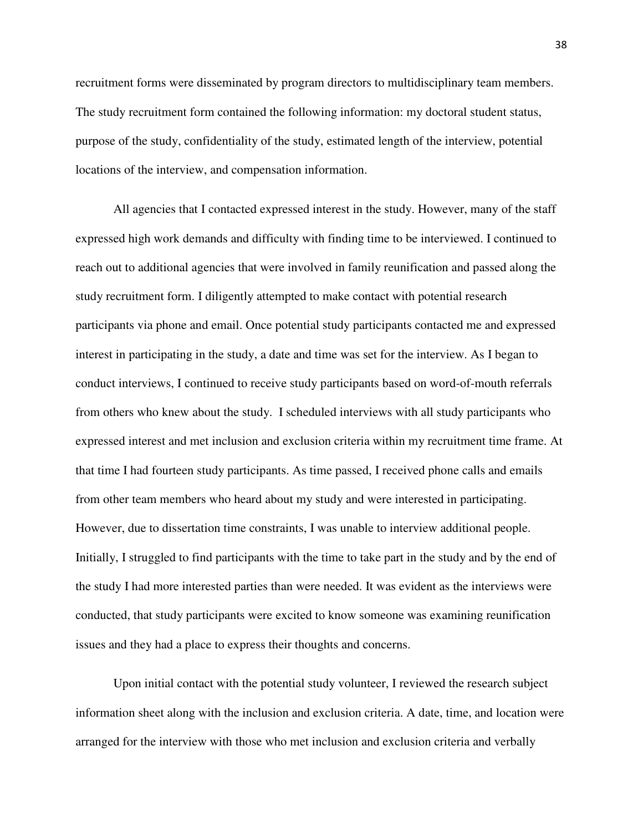recruitment forms were disseminated by program directors to multidisciplinary team members. The study recruitment form contained the following information: my doctoral student status, purpose of the study, confidentiality of the study, estimated length of the interview, potential locations of the interview, and compensation information.

All agencies that I contacted expressed interest in the study. However, many of the staff expressed high work demands and difficulty with finding time to be interviewed. I continued to reach out to additional agencies that were involved in family reunification and passed along the study recruitment form. I diligently attempted to make contact with potential research participants via phone and email. Once potential study participants contacted me and expressed interest in participating in the study, a date and time was set for the interview. As I began to conduct interviews, I continued to receive study participants based on word-of-mouth referrals from others who knew about the study. I scheduled interviews with all study participants who expressed interest and met inclusion and exclusion criteria within my recruitment time frame. At that time I had fourteen study participants. As time passed, I received phone calls and emails from other team members who heard about my study and were interested in participating. However, due to dissertation time constraints, I was unable to interview additional people. Initially, I struggled to find participants with the time to take part in the study and by the end of the study I had more interested parties than were needed. It was evident as the interviews were conducted, that study participants were excited to know someone was examining reunification issues and they had a place to express their thoughts and concerns.

Upon initial contact with the potential study volunteer, I reviewed the research subject information sheet along with the inclusion and exclusion criteria. A date, time, and location were arranged for the interview with those who met inclusion and exclusion criteria and verbally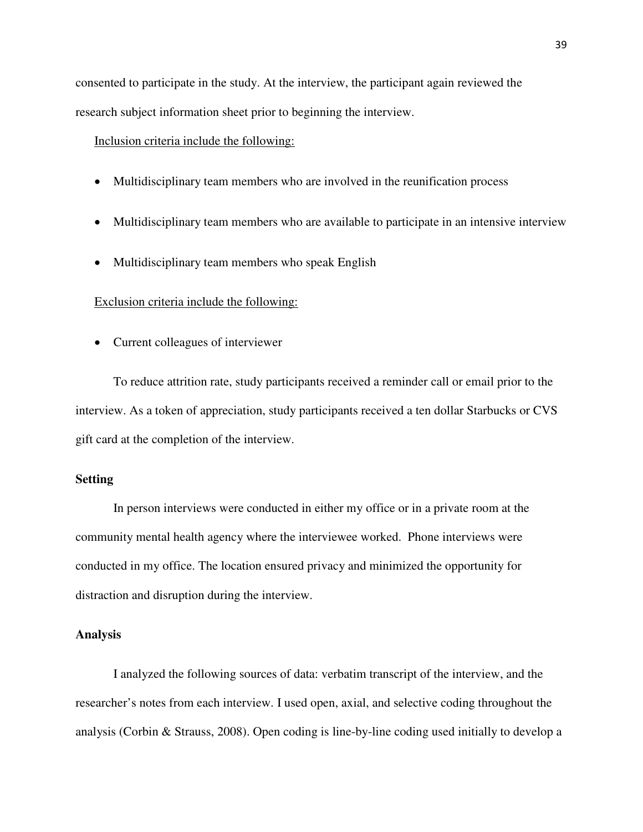consented to participate in the study. At the interview, the participant again reviewed the research subject information sheet prior to beginning the interview.

Inclusion criteria include the following:

- Multidisciplinary team members who are involved in the reunification process
- Multidisciplinary team members who are available to participate in an intensive interview
- Multidisciplinary team members who speak English

#### Exclusion criteria include the following:

• Current colleagues of interviewer

To reduce attrition rate, study participants received a reminder call or email prior to the interview. As a token of appreciation, study participants received a ten dollar Starbucks or CVS gift card at the completion of the interview.

## **Setting**

In person interviews were conducted in either my office or in a private room at the community mental health agency where the interviewee worked. Phone interviews were conducted in my office. The location ensured privacy and minimized the opportunity for distraction and disruption during the interview.

### **Analysis**

I analyzed the following sources of data: verbatim transcript of the interview, and the researcher's notes from each interview. I used open, axial, and selective coding throughout the analysis (Corbin & Strauss, 2008). Open coding is line-by-line coding used initially to develop a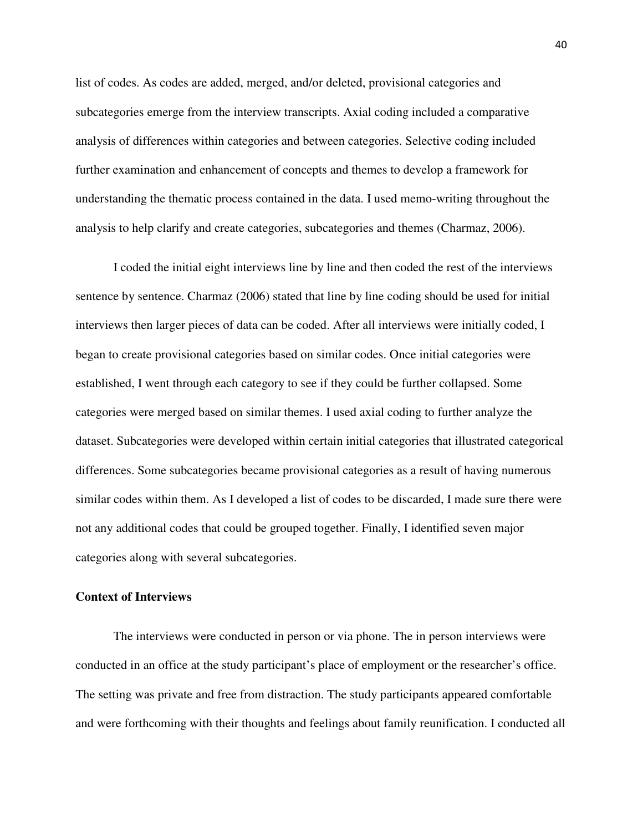list of codes. As codes are added, merged, and/or deleted, provisional categories and subcategories emerge from the interview transcripts. Axial coding included a comparative analysis of differences within categories and between categories. Selective coding included further examination and enhancement of concepts and themes to develop a framework for understanding the thematic process contained in the data. I used memo-writing throughout the analysis to help clarify and create categories, subcategories and themes (Charmaz, 2006).

I coded the initial eight interviews line by line and then coded the rest of the interviews sentence by sentence. Charmaz (2006) stated that line by line coding should be used for initial interviews then larger pieces of data can be coded. After all interviews were initially coded, I began to create provisional categories based on similar codes. Once initial categories were established, I went through each category to see if they could be further collapsed. Some categories were merged based on similar themes. I used axial coding to further analyze the dataset. Subcategories were developed within certain initial categories that illustrated categorical differences. Some subcategories became provisional categories as a result of having numerous similar codes within them. As I developed a list of codes to be discarded, I made sure there were not any additional codes that could be grouped together. Finally, I identified seven major categories along with several subcategories.

### **Context of Interviews**

The interviews were conducted in person or via phone. The in person interviews were conducted in an office at the study participant's place of employment or the researcher's office. The setting was private and free from distraction. The study participants appeared comfortable and were forthcoming with their thoughts and feelings about family reunification. I conducted all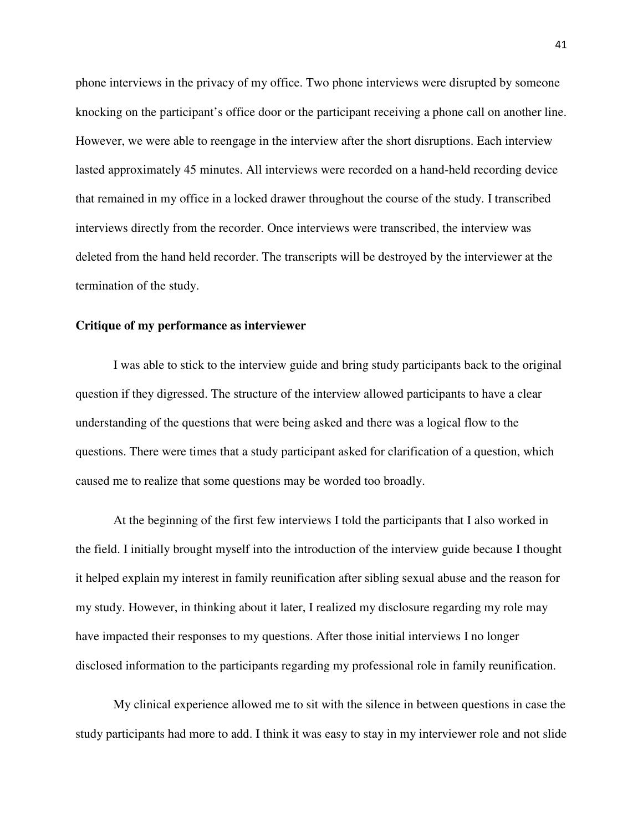phone interviews in the privacy of my office. Two phone interviews were disrupted by someone knocking on the participant's office door or the participant receiving a phone call on another line. However, we were able to reengage in the interview after the short disruptions. Each interview lasted approximately 45 minutes. All interviews were recorded on a hand-held recording device that remained in my office in a locked drawer throughout the course of the study. I transcribed interviews directly from the recorder. Once interviews were transcribed, the interview was deleted from the hand held recorder. The transcripts will be destroyed by the interviewer at the termination of the study.

#### **Critique of my performance as interviewer**

I was able to stick to the interview guide and bring study participants back to the original question if they digressed. The structure of the interview allowed participants to have a clear understanding of the questions that were being asked and there was a logical flow to the questions. There were times that a study participant asked for clarification of a question, which caused me to realize that some questions may be worded too broadly.

At the beginning of the first few interviews I told the participants that I also worked in the field. I initially brought myself into the introduction of the interview guide because I thought it helped explain my interest in family reunification after sibling sexual abuse and the reason for my study. However, in thinking about it later, I realized my disclosure regarding my role may have impacted their responses to my questions. After those initial interviews I no longer disclosed information to the participants regarding my professional role in family reunification.

My clinical experience allowed me to sit with the silence in between questions in case the study participants had more to add. I think it was easy to stay in my interviewer role and not slide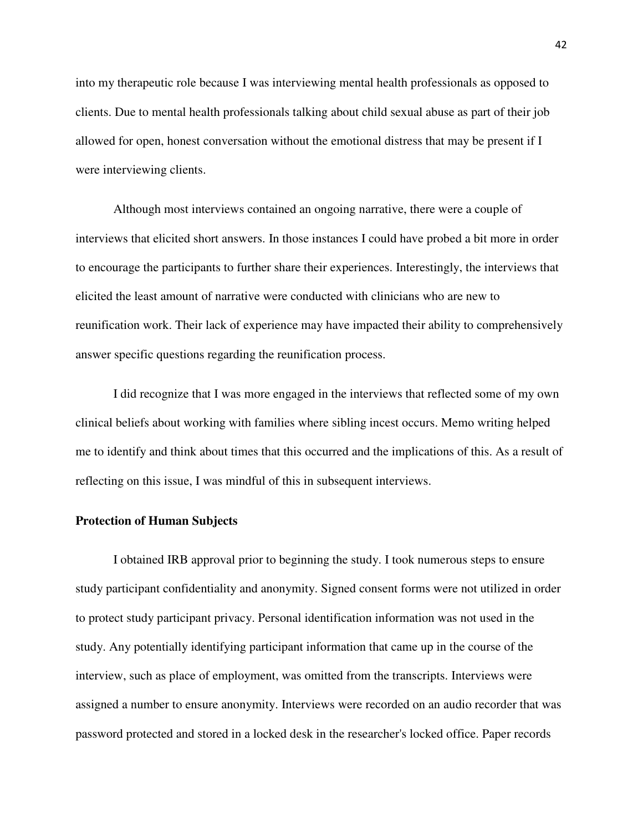into my therapeutic role because I was interviewing mental health professionals as opposed to clients. Due to mental health professionals talking about child sexual abuse as part of their job allowed for open, honest conversation without the emotional distress that may be present if I were interviewing clients.

Although most interviews contained an ongoing narrative, there were a couple of interviews that elicited short answers. In those instances I could have probed a bit more in order to encourage the participants to further share their experiences. Interestingly, the interviews that elicited the least amount of narrative were conducted with clinicians who are new to reunification work. Their lack of experience may have impacted their ability to comprehensively answer specific questions regarding the reunification process.

I did recognize that I was more engaged in the interviews that reflected some of my own clinical beliefs about working with families where sibling incest occurs. Memo writing helped me to identify and think about times that this occurred and the implications of this. As a result of reflecting on this issue, I was mindful of this in subsequent interviews.

#### **Protection of Human Subjects**

I obtained IRB approval prior to beginning the study. I took numerous steps to ensure study participant confidentiality and anonymity. Signed consent forms were not utilized in order to protect study participant privacy. Personal identification information was not used in the study. Any potentially identifying participant information that came up in the course of the interview, such as place of employment, was omitted from the transcripts. Interviews were assigned a number to ensure anonymity. Interviews were recorded on an audio recorder that was password protected and stored in a locked desk in the researcher's locked office. Paper records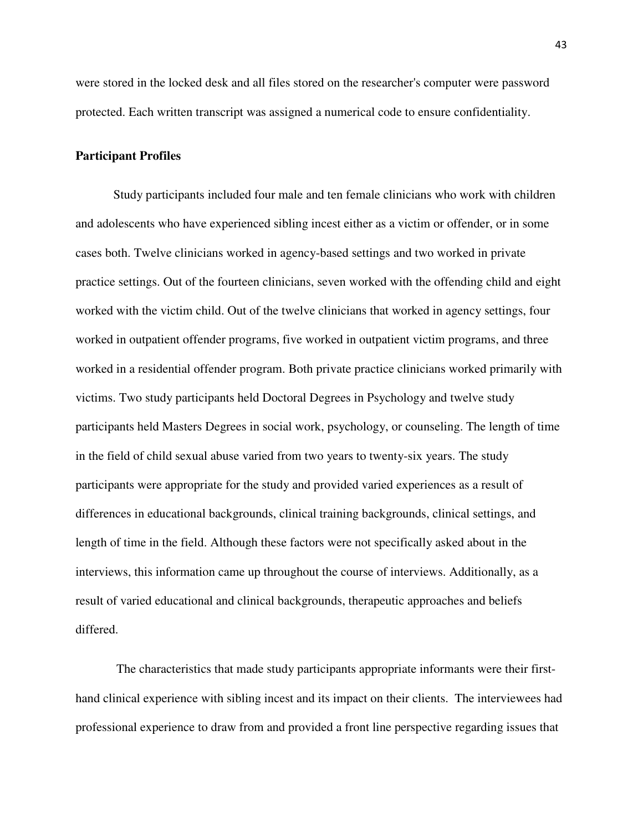were stored in the locked desk and all files stored on the researcher's computer were password protected. Each written transcript was assigned a numerical code to ensure confidentiality.

### **Participant Profiles**

Study participants included four male and ten female clinicians who work with children and adolescents who have experienced sibling incest either as a victim or offender, or in some cases both. Twelve clinicians worked in agency-based settings and two worked in private practice settings. Out of the fourteen clinicians, seven worked with the offending child and eight worked with the victim child. Out of the twelve clinicians that worked in agency settings, four worked in outpatient offender programs, five worked in outpatient victim programs, and three worked in a residential offender program. Both private practice clinicians worked primarily with victims. Two study participants held Doctoral Degrees in Psychology and twelve study participants held Masters Degrees in social work, psychology, or counseling. The length of time in the field of child sexual abuse varied from two years to twenty-six years. The study participants were appropriate for the study and provided varied experiences as a result of differences in educational backgrounds, clinical training backgrounds, clinical settings, and length of time in the field. Although these factors were not specifically asked about in the interviews, this information came up throughout the course of interviews. Additionally, as a result of varied educational and clinical backgrounds, therapeutic approaches and beliefs differed.

 The characteristics that made study participants appropriate informants were their firsthand clinical experience with sibling incest and its impact on their clients. The interviewees had professional experience to draw from and provided a front line perspective regarding issues that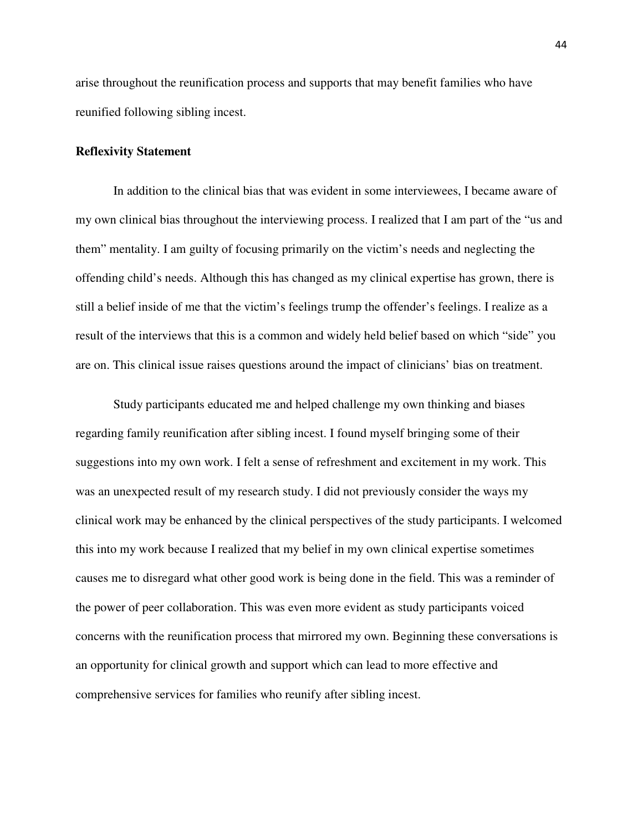arise throughout the reunification process and supports that may benefit families who have reunified following sibling incest.

#### **Reflexivity Statement**

In addition to the clinical bias that was evident in some interviewees, I became aware of my own clinical bias throughout the interviewing process. I realized that I am part of the "us and them" mentality. I am guilty of focusing primarily on the victim's needs and neglecting the offending child's needs. Although this has changed as my clinical expertise has grown, there is still a belief inside of me that the victim's feelings trump the offender's feelings. I realize as a result of the interviews that this is a common and widely held belief based on which "side" you are on. This clinical issue raises questions around the impact of clinicians' bias on treatment.

Study participants educated me and helped challenge my own thinking and biases regarding family reunification after sibling incest. I found myself bringing some of their suggestions into my own work. I felt a sense of refreshment and excitement in my work. This was an unexpected result of my research study. I did not previously consider the ways my clinical work may be enhanced by the clinical perspectives of the study participants. I welcomed this into my work because I realized that my belief in my own clinical expertise sometimes causes me to disregard what other good work is being done in the field. This was a reminder of the power of peer collaboration. This was even more evident as study participants voiced concerns with the reunification process that mirrored my own. Beginning these conversations is an opportunity for clinical growth and support which can lead to more effective and comprehensive services for families who reunify after sibling incest.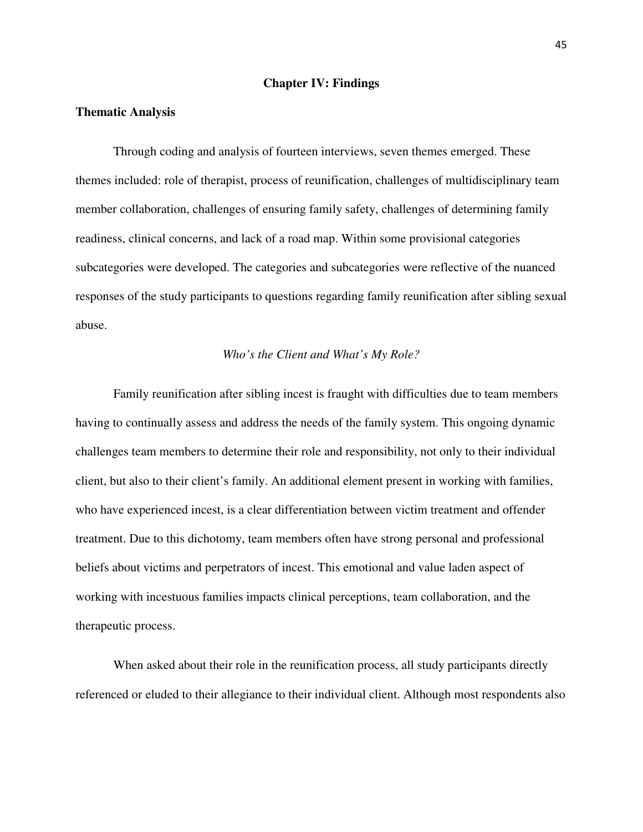### **Chapter IV: Findings**

#### **Thematic Analysis**

Through coding and analysis of fourteen interviews, seven themes emerged. These themes included: role of therapist, process of reunification, challenges of multidisciplinary team member collaboration, challenges of ensuring family safety, challenges of determining family readiness, clinical concerns, and lack of a road map. Within some provisional categories subcategories were developed. The categories and subcategories were reflective of the nuanced responses of the study participants to questions regarding family reunification after sibling sexual abuse.

#### *Who's the Client and What's My Role?*

Family reunification after sibling incest is fraught with difficulties due to team members having to continually assess and address the needs of the family system. This ongoing dynamic challenges team members to determine their role and responsibility, not only to their individual client, but also to their client's family. An additional element present in working with families, who have experienced incest, is a clear differentiation between victim treatment and offender treatment. Due to this dichotomy, team members often have strong personal and professional beliefs about victims and perpetrators of incest. This emotional and value laden aspect of working with incestuous families impacts clinical perceptions, team collaboration, and the therapeutic process.

When asked about their role in the reunification process, all study participants directly referenced or eluded to their allegiance to their individual client. Although most respondents also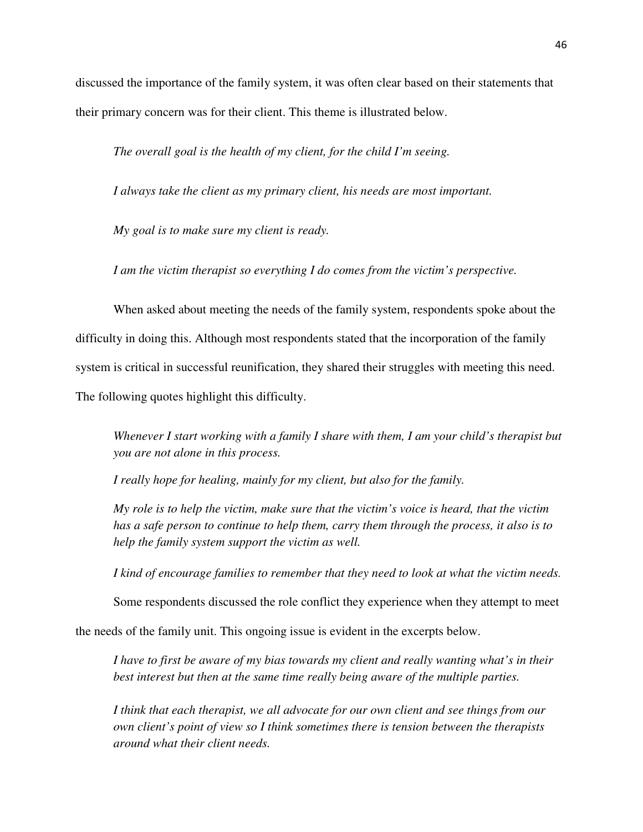discussed the importance of the family system, it was often clear based on their statements that their primary concern was for their client. This theme is illustrated below.

*The overall goal is the health of my client, for the child I'm seeing.* 

*I always take the client as my primary client, his needs are most important.* 

*My goal is to make sure my client is ready.* 

*I am the victim therapist so everything I do comes from the victim's perspective.* 

When asked about meeting the needs of the family system, respondents spoke about the difficulty in doing this. Although most respondents stated that the incorporation of the family system is critical in successful reunification, they shared their struggles with meeting this need. The following quotes highlight this difficulty.

*Whenever I start working with a family I share with them, I am your child's therapist but you are not alone in this process.* 

*I really hope for healing, mainly for my client, but also for the family.* 

*My role is to help the victim, make sure that the victim's voice is heard, that the victim has a safe person to continue to help them, carry them through the process, it also is to help the family system support the victim as well.* 

*I kind of encourage families to remember that they need to look at what the victim needs.*

Some respondents discussed the role conflict they experience when they attempt to meet

the needs of the family unit. This ongoing issue is evident in the excerpts below.

*I have to first be aware of my bias towards my client and really wanting what's in their best interest but then at the same time really being aware of the multiple parties.*

*I think that each therapist, we all advocate for our own client and see things from our own client's point of view so I think sometimes there is tension between the therapists around what their client needs.*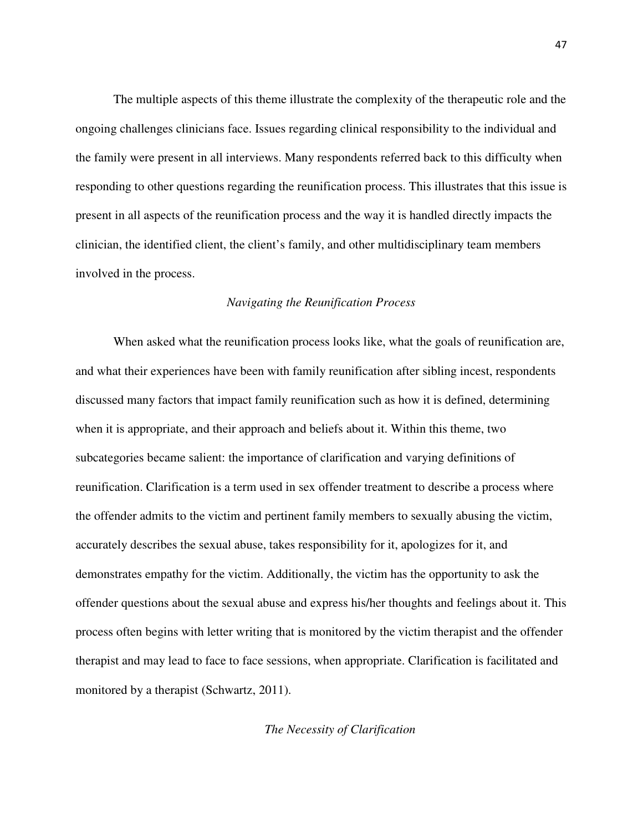The multiple aspects of this theme illustrate the complexity of the therapeutic role and the ongoing challenges clinicians face. Issues regarding clinical responsibility to the individual and the family were present in all interviews. Many respondents referred back to this difficulty when responding to other questions regarding the reunification process. This illustrates that this issue is present in all aspects of the reunification process and the way it is handled directly impacts the clinician, the identified client, the client's family, and other multidisciplinary team members involved in the process.

### *Navigating the Reunification Process*

When asked what the reunification process looks like, what the goals of reunification are, and what their experiences have been with family reunification after sibling incest, respondents discussed many factors that impact family reunification such as how it is defined, determining when it is appropriate, and their approach and beliefs about it. Within this theme, two subcategories became salient: the importance of clarification and varying definitions of reunification. Clarification is a term used in sex offender treatment to describe a process where the offender admits to the victim and pertinent family members to sexually abusing the victim, accurately describes the sexual abuse, takes responsibility for it, apologizes for it, and demonstrates empathy for the victim. Additionally, the victim has the opportunity to ask the offender questions about the sexual abuse and express his/her thoughts and feelings about it. This process often begins with letter writing that is monitored by the victim therapist and the offender therapist and may lead to face to face sessions, when appropriate. Clarification is facilitated and monitored by a therapist (Schwartz, 2011).

# *The Necessity of Clarification*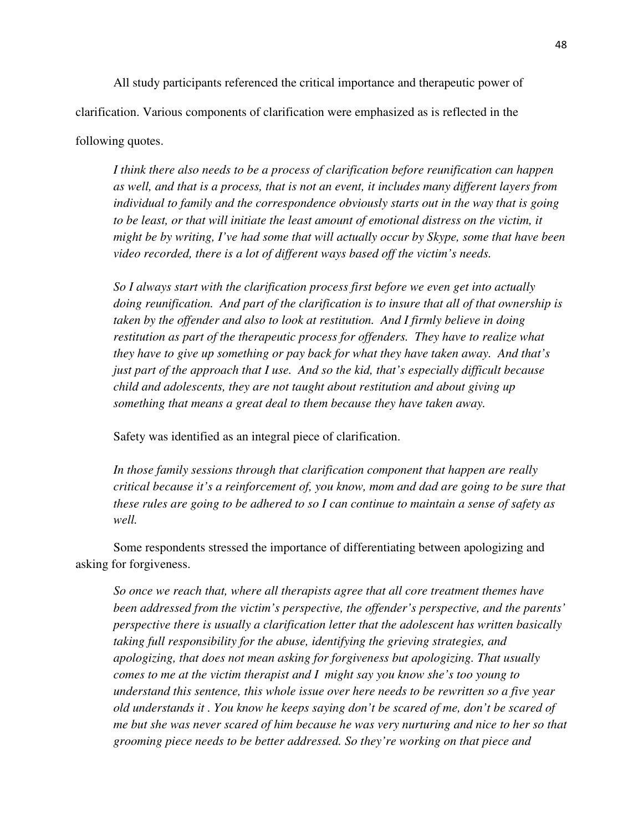All study participants referenced the critical importance and therapeutic power of clarification. Various components of clarification were emphasized as is reflected in the

### following quotes.

*I think there also needs to be a process of clarification before reunification can happen as well, and that is a process, that is not an event, it includes many different layers from individual to family and the correspondence obviously starts out in the way that is going to be least, or that will initiate the least amount of emotional distress on the victim, it might be by writing, I've had some that will actually occur by Skype, some that have been video recorded, there is a lot of different ways based off the victim's needs.* 

*So I always start with the clarification process first before we even get into actually doing reunification. And part of the clarification is to insure that all of that ownership is taken by the offender and also to look at restitution. And I firmly believe in doing restitution as part of the therapeutic process for offenders. They have to realize what they have to give up something or pay back for what they have taken away. And that's just part of the approach that I use. And so the kid, that's especially difficult because child and adolescents, they are not taught about restitution and about giving up something that means a great deal to them because they have taken away.* 

Safety was identified as an integral piece of clarification.

*In those family sessions through that clarification component that happen are really critical because it's a reinforcement of, you know, mom and dad are going to be sure that these rules are going to be adhered to so I can continue to maintain a sense of safety as well.* 

Some respondents stressed the importance of differentiating between apologizing and asking for forgiveness.

*So once we reach that, where all therapists agree that all core treatment themes have been addressed from the victim's perspective, the offender's perspective, and the parents' perspective there is usually a clarification letter that the adolescent has written basically taking full responsibility for the abuse, identifying the grieving strategies, and apologizing, that does not mean asking for forgiveness but apologizing. That usually comes to me at the victim therapist and I might say you know she's too young to understand this sentence, this whole issue over here needs to be rewritten so a five year old understands it . You know he keeps saying don't be scared of me, don't be scared of me but she was never scared of him because he was very nurturing and nice to her so that grooming piece needs to be better addressed. So they're working on that piece and*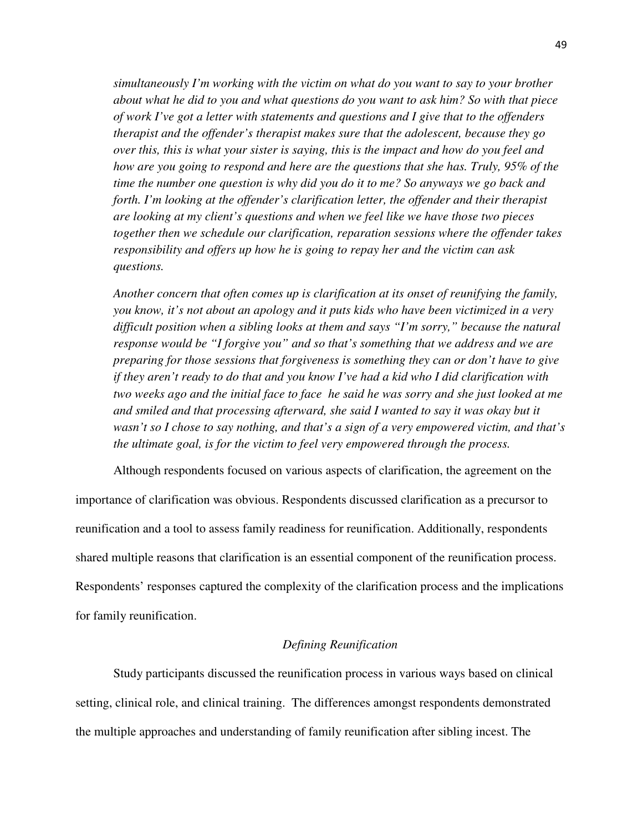*simultaneously I'm working with the victim on what do you want to say to your brother about what he did to you and what questions do you want to ask him? So with that piece of work I've got a letter with statements and questions and I give that to the offenders therapist and the offender's therapist makes sure that the adolescent, because they go over this, this is what your sister is saying, this is the impact and how do you feel and how are you going to respond and here are the questions that she has. Truly, 95% of the time the number one question is why did you do it to me? So anyways we go back and forth. I'm looking at the offender's clarification letter, the offender and their therapist are looking at my client's questions and when we feel like we have those two pieces together then we schedule our clarification, reparation sessions where the offender takes responsibility and offers up how he is going to repay her and the victim can ask questions.* 

*Another concern that often comes up is clarification at its onset of reunifying the family, you know, it's not about an apology and it puts kids who have been victimized in a very difficult position when a sibling looks at them and says "I'm sorry," because the natural response would be "I forgive you" and so that's something that we address and we are preparing for those sessions that forgiveness is something they can or don't have to give if they aren't ready to do that and you know I've had a kid who I did clarification with two weeks ago and the initial face to face he said he was sorry and she just looked at me and smiled and that processing afterward, she said I wanted to say it was okay but it wasn't so I chose to say nothing, and that's a sign of a very empowered victim, and that's the ultimate goal, is for the victim to feel very empowered through the process.* 

 Although respondents focused on various aspects of clarification, the agreement on the importance of clarification was obvious. Respondents discussed clarification as a precursor to reunification and a tool to assess family readiness for reunification. Additionally, respondents shared multiple reasons that clarification is an essential component of the reunification process. Respondents' responses captured the complexity of the clarification process and the implications for family reunification.

## *Defining Reunification*

Study participants discussed the reunification process in various ways based on clinical setting, clinical role, and clinical training. The differences amongst respondents demonstrated the multiple approaches and understanding of family reunification after sibling incest. The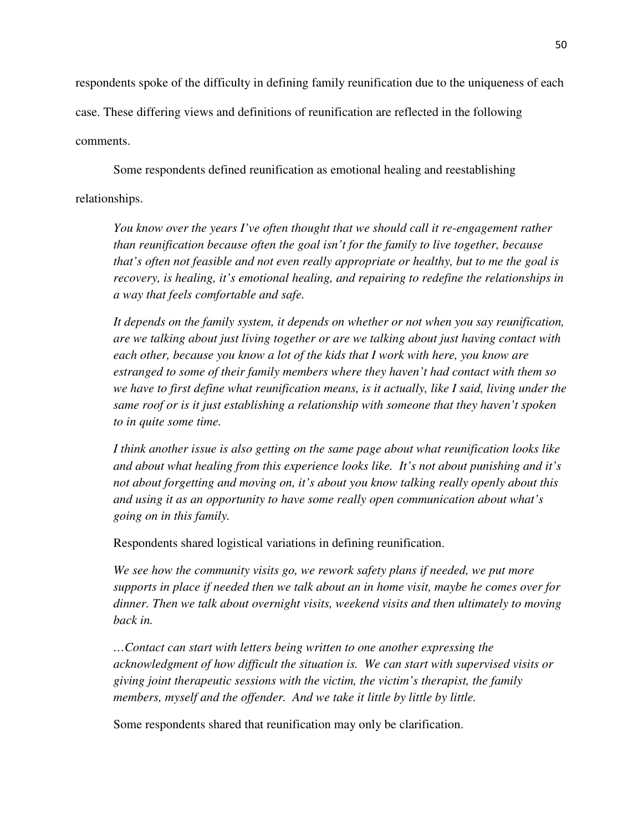respondents spoke of the difficulty in defining family reunification due to the uniqueness of each case. These differing views and definitions of reunification are reflected in the following comments.

Some respondents defined reunification as emotional healing and reestablishing relationships.

*You know over the years I've often thought that we should call it re-engagement rather than reunification because often the goal isn't for the family to live together, because that's often not feasible and not even really appropriate or healthy, but to me the goal is recovery, is healing, it's emotional healing, and repairing to redefine the relationships in a way that feels comfortable and safe.* 

*It depends on the family system, it depends on whether or not when you say reunification, are we talking about just living together or are we talking about just having contact with each other, because you know a lot of the kids that I work with here, you know are estranged to some of their family members where they haven't had contact with them so we have to first define what reunification means, is it actually, like I said, living under the same roof or is it just establishing a relationship with someone that they haven't spoken to in quite some time.* 

*I think another issue is also getting on the same page about what reunification looks like and about what healing from this experience looks like. It's not about punishing and it's not about forgetting and moving on, it's about you know talking really openly about this and using it as an opportunity to have some really open communication about what's going on in this family.* 

Respondents shared logistical variations in defining reunification.

*We see how the community visits go, we rework safety plans if needed, we put more supports in place if needed then we talk about an in home visit, maybe he comes over for dinner. Then we talk about overnight visits, weekend visits and then ultimately to moving back in.* 

*…Contact can start with letters being written to one another expressing the acknowledgment of how difficult the situation is. We can start with supervised visits or giving joint therapeutic sessions with the victim, the victim's therapist, the family members, myself and the offender. And we take it little by little by little.* 

Some respondents shared that reunification may only be clarification.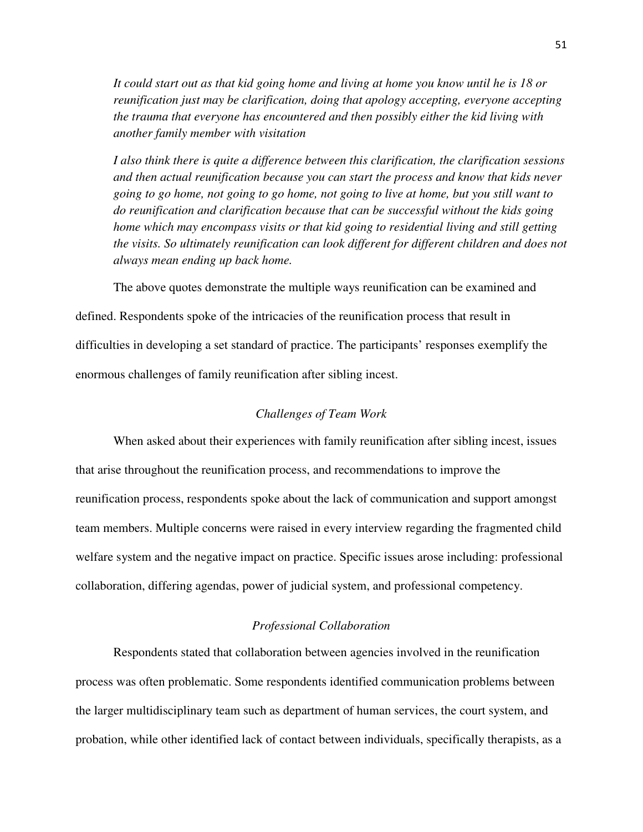*It could start out as that kid going home and living at home you know until he is 18 or reunification just may be clarification, doing that apology accepting, everyone accepting the trauma that everyone has encountered and then possibly either the kid living with another family member with visitation* 

*I also think there is quite a difference between this clarification, the clarification sessions and then actual reunification because you can start the process and know that kids never going to go home, not going to go home, not going to live at home, but you still want to do reunification and clarification because that can be successful without the kids going home which may encompass visits or that kid going to residential living and still getting the visits. So ultimately reunification can look different for different children and does not always mean ending up back home.* 

The above quotes demonstrate the multiple ways reunification can be examined and

defined. Respondents spoke of the intricacies of the reunification process that result in difficulties in developing a set standard of practice. The participants' responses exemplify the enormous challenges of family reunification after sibling incest.

### *Challenges of Team Work*

When asked about their experiences with family reunification after sibling incest, issues that arise throughout the reunification process, and recommendations to improve the reunification process, respondents spoke about the lack of communication and support amongst team members. Multiple concerns were raised in every interview regarding the fragmented child welfare system and the negative impact on practice. Specific issues arose including: professional collaboration, differing agendas, power of judicial system, and professional competency.

### *Professional Collaboration*

Respondents stated that collaboration between agencies involved in the reunification process was often problematic. Some respondents identified communication problems between the larger multidisciplinary team such as department of human services, the court system, and probation, while other identified lack of contact between individuals, specifically therapists, as a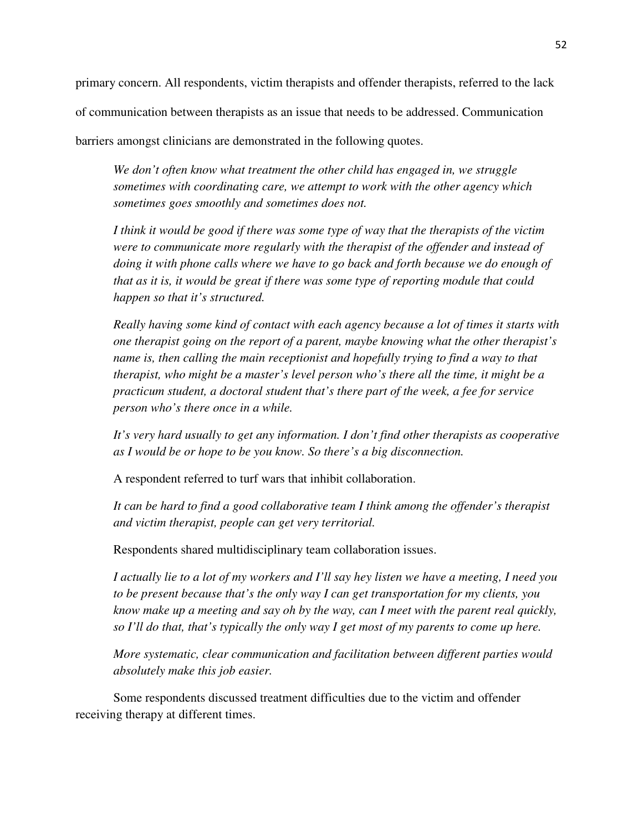primary concern. All respondents, victim therapists and offender therapists, referred to the lack

of communication between therapists as an issue that needs to be addressed. Communication

barriers amongst clinicians are demonstrated in the following quotes.

*We don't often know what treatment the other child has engaged in, we struggle sometimes with coordinating care, we attempt to work with the other agency which sometimes goes smoothly and sometimes does not.*

*I think it would be good if there was some type of way that the therapists of the victim were to communicate more regularly with the therapist of the offender and instead of doing it with phone calls where we have to go back and forth because we do enough of that as it is, it would be great if there was some type of reporting module that could happen so that it's structured.* 

*Really having some kind of contact with each agency because a lot of times it starts with one therapist going on the report of a parent, maybe knowing what the other therapist's name is, then calling the main receptionist and hopefully trying to find a way to that therapist, who might be a master's level person who's there all the time, it might be a practicum student, a doctoral student that's there part of the week, a fee for service person who's there once in a while.* 

*It's very hard usually to get any information. I don't find other therapists as cooperative as I would be or hope to be you know. So there's a big disconnection.* 

A respondent referred to turf wars that inhibit collaboration.

*It can be hard to find a good collaborative team I think among the offender's therapist and victim therapist, people can get very territorial.* 

Respondents shared multidisciplinary team collaboration issues.

*I actually lie to a lot of my workers and I'll say hey listen we have a meeting, I need you to be present because that's the only way I can get transportation for my clients, you know make up a meeting and say oh by the way, can I meet with the parent real quickly, so I'll do that, that's typically the only way I get most of my parents to come up here.* 

*More systematic, clear communication and facilitation between different parties would absolutely make this job easier.* 

Some respondents discussed treatment difficulties due to the victim and offender receiving therapy at different times.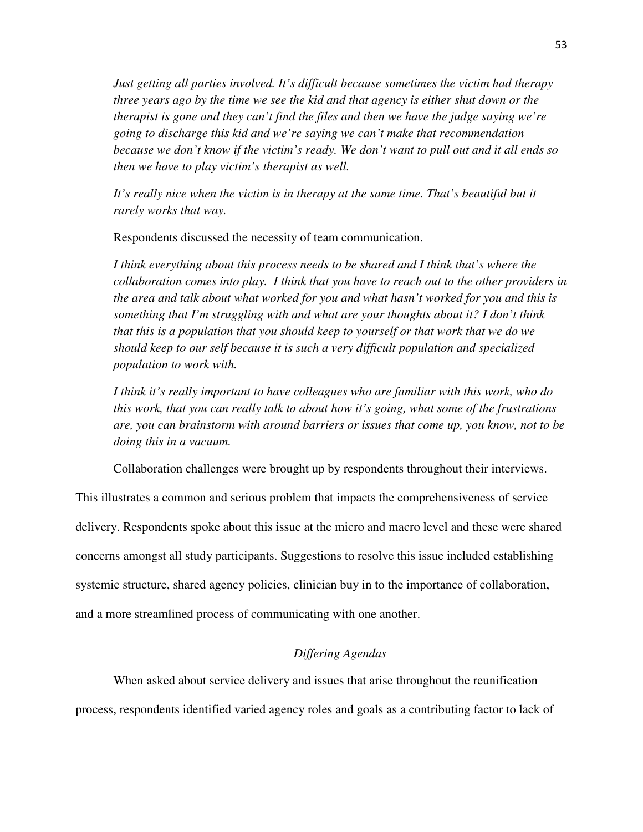*Just getting all parties involved. It's difficult because sometimes the victim had therapy three years ago by the time we see the kid and that agency is either shut down or the therapist is gone and they can't find the files and then we have the judge saying we're going to discharge this kid and we're saying we can't make that recommendation because we don't know if the victim's ready. We don't want to pull out and it all ends so then we have to play victim's therapist as well.* 

It's really nice when the victim is in therapy at the same time. That's beautiful but it *rarely works that way.* 

Respondents discussed the necessity of team communication.

*I think everything about this process needs to be shared and I think that's where the collaboration comes into play. I think that you have to reach out to the other providers in the area and talk about what worked for you and what hasn't worked for you and this is something that I'm struggling with and what are your thoughts about it? I don't think that this is a population that you should keep to yourself or that work that we do we should keep to our self because it is such a very difficult population and specialized population to work with.* 

*I think it's really important to have colleagues who are familiar with this work, who do this work, that you can really talk to about how it's going, what some of the frustrations are, you can brainstorm with around barriers or issues that come up, you know, not to be doing this in a vacuum.* 

Collaboration challenges were brought up by respondents throughout their interviews.

This illustrates a common and serious problem that impacts the comprehensiveness of service delivery. Respondents spoke about this issue at the micro and macro level and these were shared concerns amongst all study participants. Suggestions to resolve this issue included establishing systemic structure, shared agency policies, clinician buy in to the importance of collaboration, and a more streamlined process of communicating with one another.

# *Differing Agendas*

When asked about service delivery and issues that arise throughout the reunification process, respondents identified varied agency roles and goals as a contributing factor to lack of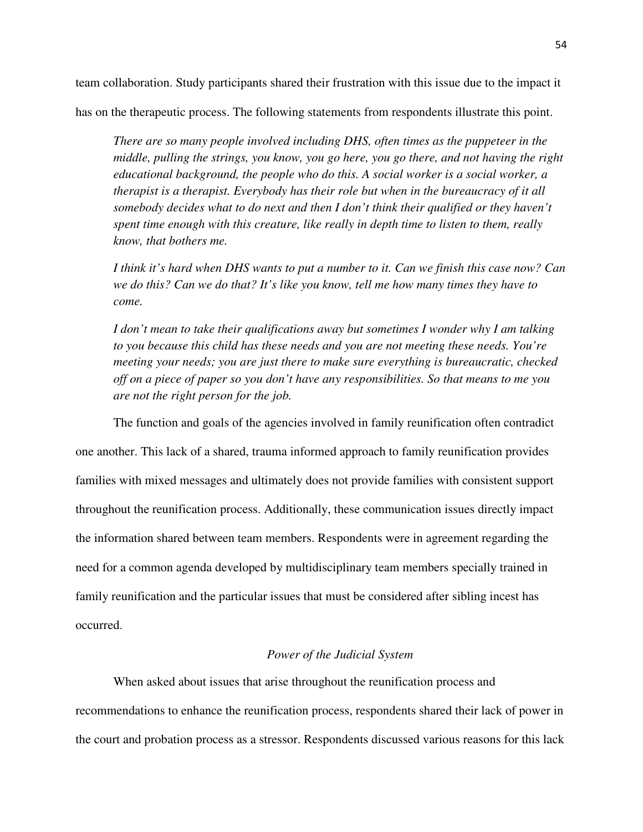team collaboration. Study participants shared their frustration with this issue due to the impact it has on the therapeutic process. The following statements from respondents illustrate this point.

*There are so many people involved including DHS, often times as the puppeteer in the middle, pulling the strings, you know, you go here, you go there, and not having the right educational background, the people who do this. A social worker is a social worker, a therapist is a therapist. Everybody has their role but when in the bureaucracy of it all somebody decides what to do next and then I don't think their qualified or they haven't spent time enough with this creature, like really in depth time to listen to them, really know, that bothers me.* 

*I think it's hard when DHS wants to put a number to it. Can we finish this case now? Can we do this? Can we do that? It's like you know, tell me how many times they have to come.* 

*I don't mean to take their qualifications away but sometimes I wonder why I am talking to you because this child has these needs and you are not meeting these needs. You're meeting your needs; you are just there to make sure everything is bureaucratic, checked off on a piece of paper so you don't have any responsibilities. So that means to me you are not the right person for the job.* 

The function and goals of the agencies involved in family reunification often contradict one another. This lack of a shared, trauma informed approach to family reunification provides families with mixed messages and ultimately does not provide families with consistent support throughout the reunification process. Additionally, these communication issues directly impact the information shared between team members. Respondents were in agreement regarding the need for a common agenda developed by multidisciplinary team members specially trained in family reunification and the particular issues that must be considered after sibling incest has occurred.

# *Power of the Judicial System*

When asked about issues that arise throughout the reunification process and recommendations to enhance the reunification process, respondents shared their lack of power in the court and probation process as a stressor. Respondents discussed various reasons for this lack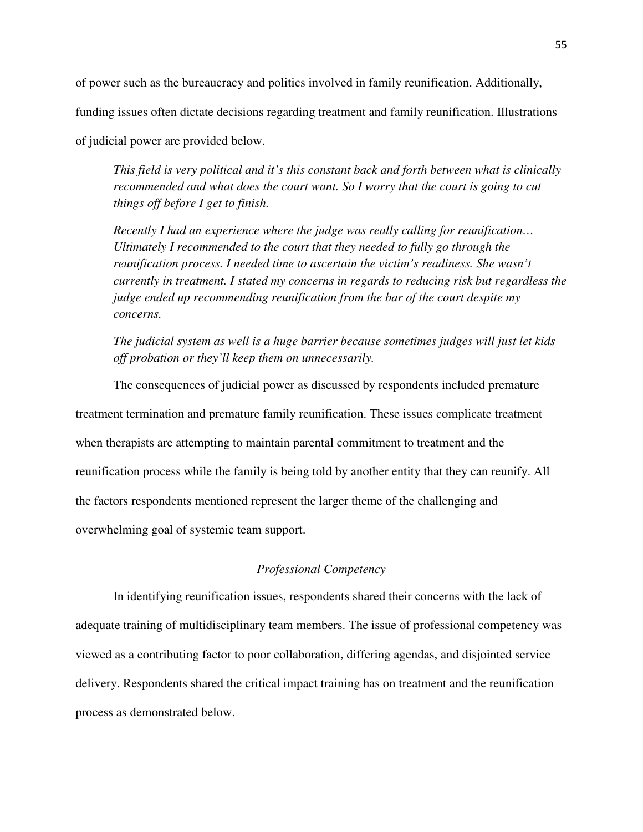of power such as the bureaucracy and politics involved in family reunification. Additionally,

funding issues often dictate decisions regarding treatment and family reunification. Illustrations

of judicial power are provided below.

*This field is very political and it's this constant back and forth between what is clinically recommended and what does the court want. So I worry that the court is going to cut things off before I get to finish.* 

*Recently I had an experience where the judge was really calling for reunification… Ultimately I recommended to the court that they needed to fully go through the reunification process. I needed time to ascertain the victim's readiness. She wasn't currently in treatment. I stated my concerns in regards to reducing risk but regardless the judge ended up recommending reunification from the bar of the court despite my concerns.* 

*The judicial system as well is a huge barrier because sometimes judges will just let kids off probation or they'll keep them on unnecessarily.* 

The consequences of judicial power as discussed by respondents included premature treatment termination and premature family reunification. These issues complicate treatment when therapists are attempting to maintain parental commitment to treatment and the reunification process while the family is being told by another entity that they can reunify. All the factors respondents mentioned represent the larger theme of the challenging and overwhelming goal of systemic team support.

# *Professional Competency*

In identifying reunification issues, respondents shared their concerns with the lack of adequate training of multidisciplinary team members. The issue of professional competency was viewed as a contributing factor to poor collaboration, differing agendas, and disjointed service delivery. Respondents shared the critical impact training has on treatment and the reunification process as demonstrated below.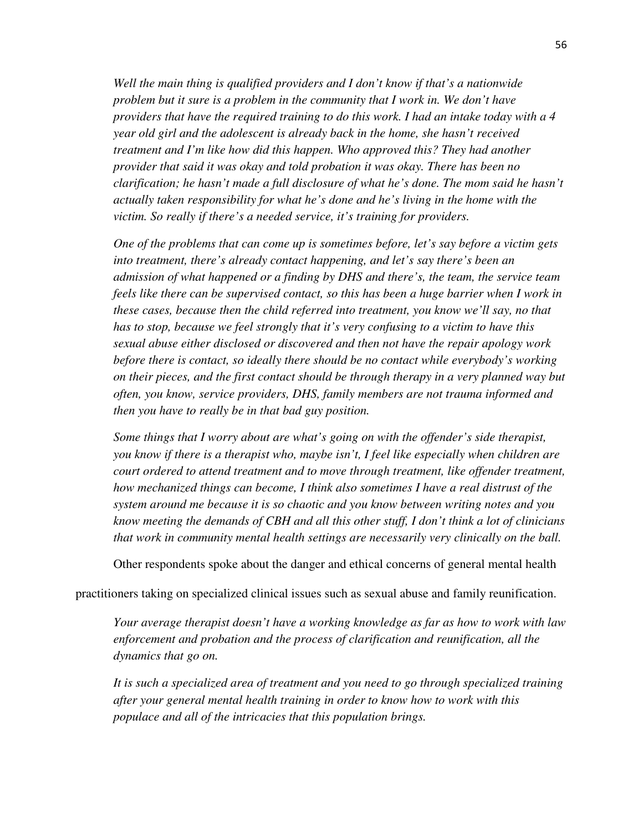*Well the main thing is qualified providers and I don't know if that's a nationwide problem but it sure is a problem in the community that I work in. We don't have providers that have the required training to do this work. I had an intake today with a 4 year old girl and the adolescent is already back in the home, she hasn't received treatment and I'm like how did this happen. Who approved this? They had another provider that said it was okay and told probation it was okay. There has been no clarification; he hasn't made a full disclosure of what he's done. The mom said he hasn't actually taken responsibility for what he's done and he's living in the home with the victim. So really if there's a needed service, it's training for providers.* 

*One of the problems that can come up is sometimes before, let's say before a victim gets into treatment, there's already contact happening, and let's say there's been an admission of what happened or a finding by DHS and there's, the team, the service team feels like there can be supervised contact, so this has been a huge barrier when I work in these cases, because then the child referred into treatment, you know we'll say, no that has to stop, because we feel strongly that it's very confusing to a victim to have this sexual abuse either disclosed or discovered and then not have the repair apology work before there is contact, so ideally there should be no contact while everybody's working on their pieces, and the first contact should be through therapy in a very planned way but often, you know, service providers, DHS, family members are not trauma informed and then you have to really be in that bad guy position.* 

*Some things that I worry about are what's going on with the offender's side therapist, you know if there is a therapist who, maybe isn't, I feel like especially when children are court ordered to attend treatment and to move through treatment, like offender treatment, how mechanized things can become, I think also sometimes I have a real distrust of the system around me because it is so chaotic and you know between writing notes and you know meeting the demands of CBH and all this other stuff, I don't think a lot of clinicians that work in community mental health settings are necessarily very clinically on the ball.* 

Other respondents spoke about the danger and ethical concerns of general mental health

practitioners taking on specialized clinical issues such as sexual abuse and family reunification.

*Your average therapist doesn't have a working knowledge as far as how to work with law enforcement and probation and the process of clarification and reunification, all the dynamics that go on.* 

*It is such a specialized area of treatment and you need to go through specialized training after your general mental health training in order to know how to work with this populace and all of the intricacies that this population brings.*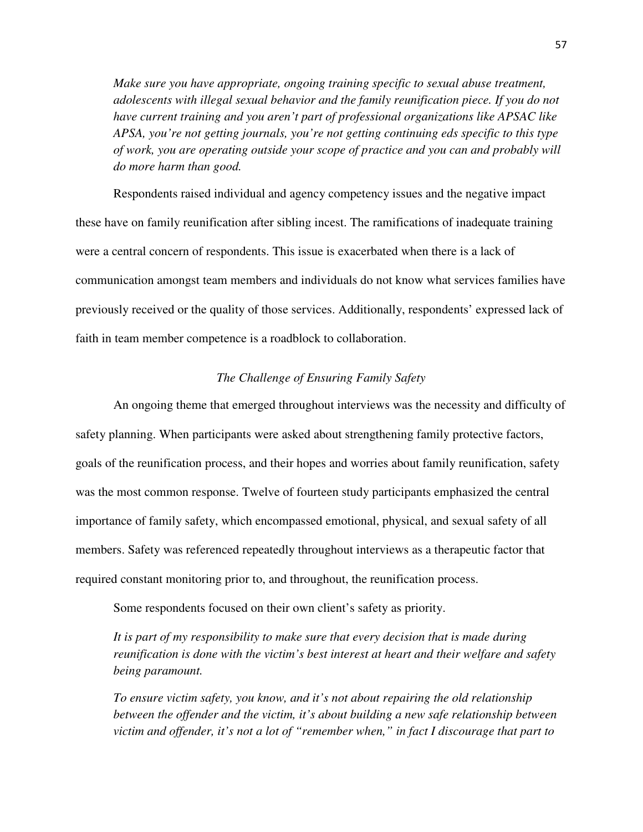*Make sure you have appropriate, ongoing training specific to sexual abuse treatment, adolescents with illegal sexual behavior and the family reunification piece. If you do not have current training and you aren't part of professional organizations like APSAC like APSA, you're not getting journals, you're not getting continuing eds specific to this type of work, you are operating outside your scope of practice and you can and probably will do more harm than good.* 

Respondents raised individual and agency competency issues and the negative impact these have on family reunification after sibling incest. The ramifications of inadequate training were a central concern of respondents. This issue is exacerbated when there is a lack of communication amongst team members and individuals do not know what services families have previously received or the quality of those services. Additionally, respondents' expressed lack of faith in team member competence is a roadblock to collaboration.

# *The Challenge of Ensuring Family Safety*

An ongoing theme that emerged throughout interviews was the necessity and difficulty of safety planning. When participants were asked about strengthening family protective factors, goals of the reunification process, and their hopes and worries about family reunification, safety was the most common response. Twelve of fourteen study participants emphasized the central importance of family safety, which encompassed emotional, physical, and sexual safety of all members. Safety was referenced repeatedly throughout interviews as a therapeutic factor that required constant monitoring prior to, and throughout, the reunification process.

Some respondents focused on their own client's safety as priority.

*It is part of my responsibility to make sure that every decision that is made during reunification is done with the victim's best interest at heart and their welfare and safety being paramount.* 

*To ensure victim safety, you know, and it's not about repairing the old relationship between the offender and the victim, it's about building a new safe relationship between victim and offender, it's not a lot of "remember when," in fact I discourage that part to*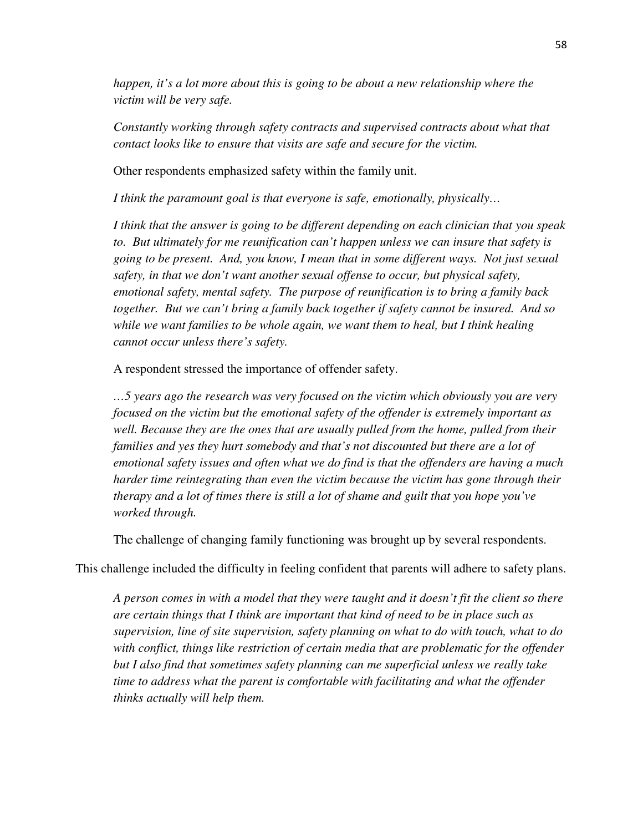*happen, it's a lot more about this is going to be about a new relationship where the victim will be very safe.* 

*Constantly working through safety contracts and supervised contracts about what that contact looks like to ensure that visits are safe and secure for the victim.* 

Other respondents emphasized safety within the family unit.

*I think the paramount goal is that everyone is safe, emotionally, physically…* 

*I think that the answer is going to be different depending on each clinician that you speak to. But ultimately for me reunification can't happen unless we can insure that safety is going to be present. And, you know, I mean that in some different ways. Not just sexual safety, in that we don't want another sexual offense to occur, but physical safety, emotional safety, mental safety. The purpose of reunification is to bring a family back together. But we can't bring a family back together if safety cannot be insured. And so while we want families to be whole again, we want them to heal, but I think healing cannot occur unless there's safety.* 

A respondent stressed the importance of offender safety.

*…5 years ago the research was very focused on the victim which obviously you are very focused on the victim but the emotional safety of the offender is extremely important as well. Because they are the ones that are usually pulled from the home, pulled from their families and yes they hurt somebody and that's not discounted but there are a lot of emotional safety issues and often what we do find is that the offenders are having a much harder time reintegrating than even the victim because the victim has gone through their therapy and a lot of times there is still a lot of shame and guilt that you hope you've worked through.* 

The challenge of changing family functioning was brought up by several respondents.

This challenge included the difficulty in feeling confident that parents will adhere to safety plans.

*A person comes in with a model that they were taught and it doesn't fit the client so there are certain things that I think are important that kind of need to be in place such as supervision, line of site supervision, safety planning on what to do with touch, what to do with conflict, things like restriction of certain media that are problematic for the offender but I also find that sometimes safety planning can me superficial unless we really take time to address what the parent is comfortable with facilitating and what the offender thinks actually will help them.*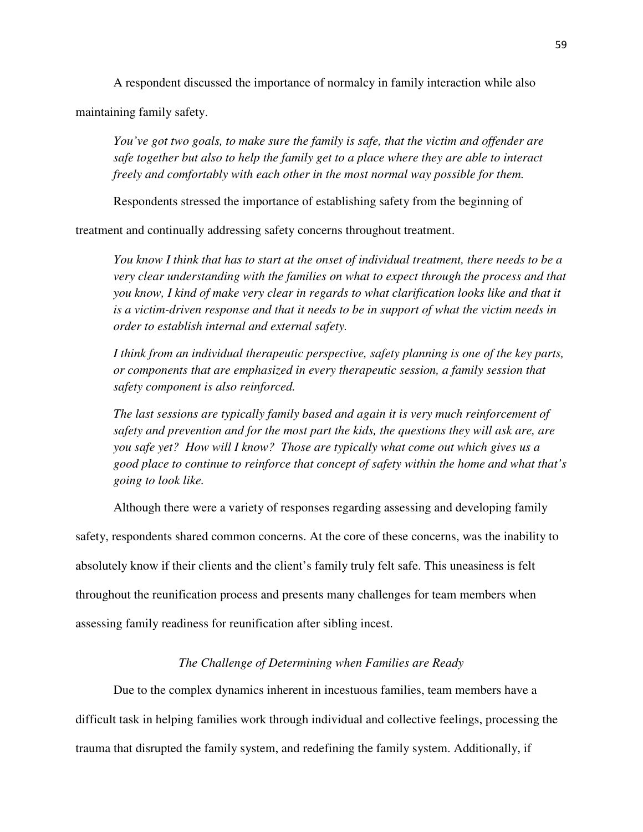A respondent discussed the importance of normalcy in family interaction while also

maintaining family safety.

*You've got two goals, to make sure the family is safe, that the victim and offender are safe together but also to help the family get to a place where they are able to interact freely and comfortably with each other in the most normal way possible for them.* 

Respondents stressed the importance of establishing safety from the beginning of

treatment and continually addressing safety concerns throughout treatment.

*You know I think that has to start at the onset of individual treatment, there needs to be a very clear understanding with the families on what to expect through the process and that you know, I kind of make very clear in regards to what clarification looks like and that it is a victim-driven response and that it needs to be in support of what the victim needs in order to establish internal and external safety.* 

*I think from an individual therapeutic perspective, safety planning is one of the key parts, or components that are emphasized in every therapeutic session, a family session that safety component is also reinforced.* 

*The last sessions are typically family based and again it is very much reinforcement of safety and prevention and for the most part the kids, the questions they will ask are, are you safe yet? How will I know? Those are typically what come out which gives us a good place to continue to reinforce that concept of safety within the home and what that's going to look like.* 

Although there were a variety of responses regarding assessing and developing family

safety, respondents shared common concerns. At the core of these concerns, was the inability to absolutely know if their clients and the client's family truly felt safe. This uneasiness is felt throughout the reunification process and presents many challenges for team members when assessing family readiness for reunification after sibling incest.

#### *The Challenge of Determining when Families are Ready*

Due to the complex dynamics inherent in incestuous families, team members have a difficult task in helping families work through individual and collective feelings, processing the trauma that disrupted the family system, and redefining the family system. Additionally, if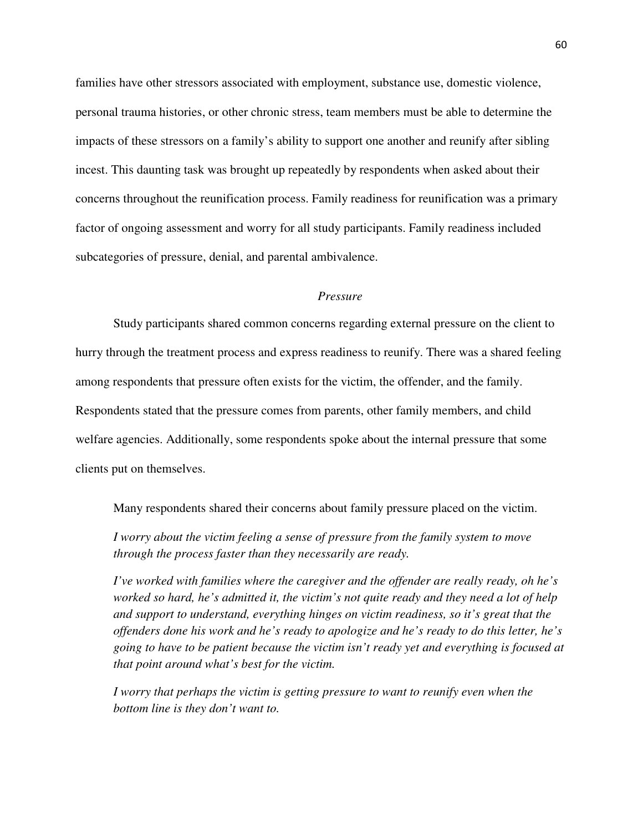families have other stressors associated with employment, substance use, domestic violence, personal trauma histories, or other chronic stress, team members must be able to determine the impacts of these stressors on a family's ability to support one another and reunify after sibling incest. This daunting task was brought up repeatedly by respondents when asked about their concerns throughout the reunification process. Family readiness for reunification was a primary factor of ongoing assessment and worry for all study participants. Family readiness included subcategories of pressure, denial, and parental ambivalence.

# *Pressure*

Study participants shared common concerns regarding external pressure on the client to hurry through the treatment process and express readiness to reunify. There was a shared feeling among respondents that pressure often exists for the victim, the offender, and the family. Respondents stated that the pressure comes from parents, other family members, and child welfare agencies. Additionally, some respondents spoke about the internal pressure that some clients put on themselves.

Many respondents shared their concerns about family pressure placed on the victim.

*I worry about the victim feeling a sense of pressure from the family system to move through the process faster than they necessarily are ready.* 

*I've worked with families where the caregiver and the offender are really ready, oh he's worked so hard, he's admitted it, the victim's not quite ready and they need a lot of help and support to understand, everything hinges on victim readiness, so it's great that the offenders done his work and he's ready to apologize and he's ready to do this letter, he's going to have to be patient because the victim isn't ready yet and everything is focused at that point around what's best for the victim.* 

*I* worry that perhaps the victim is getting pressure to want to reunify even when the *bottom line is they don't want to.*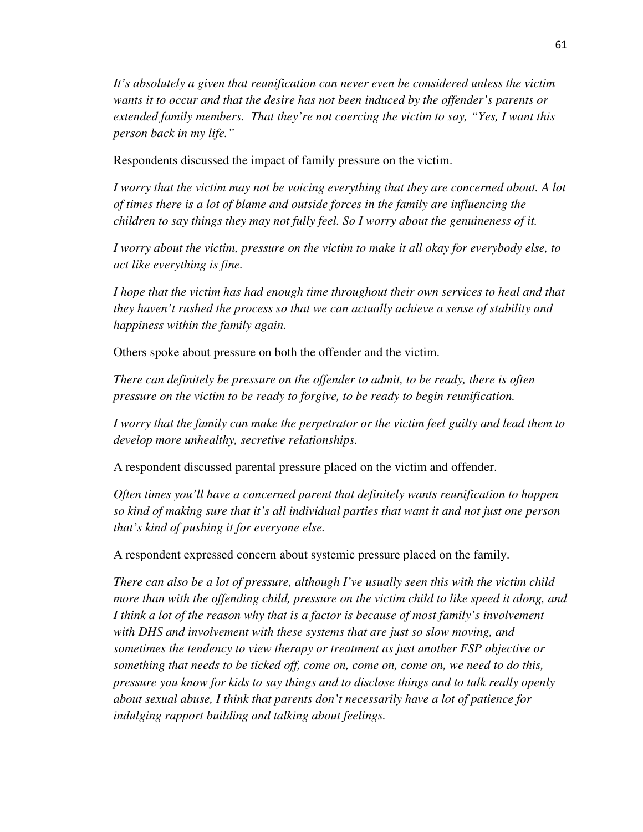*It's absolutely a given that reunification can never even be considered unless the victim wants it to occur and that the desire has not been induced by the offender's parents or extended family members. That they're not coercing the victim to say, "Yes, I want this person back in my life."* 

Respondents discussed the impact of family pressure on the victim.

*I worry that the victim may not be voicing everything that they are concerned about. A lot of times there is a lot of blame and outside forces in the family are influencing the children to say things they may not fully feel. So I worry about the genuineness of it.* 

*I worry about the victim, pressure on the victim to make it all okay for everybody else, to act like everything is fine.* 

*I hope that the victim has had enough time throughout their own services to heal and that they haven't rushed the process so that we can actually achieve a sense of stability and happiness within the family again.* 

Others spoke about pressure on both the offender and the victim.

*There can definitely be pressure on the offender to admit, to be ready, there is often pressure on the victim to be ready to forgive, to be ready to begin reunification.* 

*I worry that the family can make the perpetrator or the victim feel guilty and lead them to develop more unhealthy, secretive relationships.* 

A respondent discussed parental pressure placed on the victim and offender.

*Often times you'll have a concerned parent that definitely wants reunification to happen so kind of making sure that it's all individual parties that want it and not just one person that's kind of pushing it for everyone else.* 

A respondent expressed concern about systemic pressure placed on the family.

*There can also be a lot of pressure, although I've usually seen this with the victim child more than with the offending child, pressure on the victim child to like speed it along, and I think a lot of the reason why that is a factor is because of most family's involvement with DHS and involvement with these systems that are just so slow moving, and sometimes the tendency to view therapy or treatment as just another FSP objective or something that needs to be ticked off, come on, come on, come on, we need to do this, pressure you know for kids to say things and to disclose things and to talk really openly about sexual abuse, I think that parents don't necessarily have a lot of patience for indulging rapport building and talking about feelings.*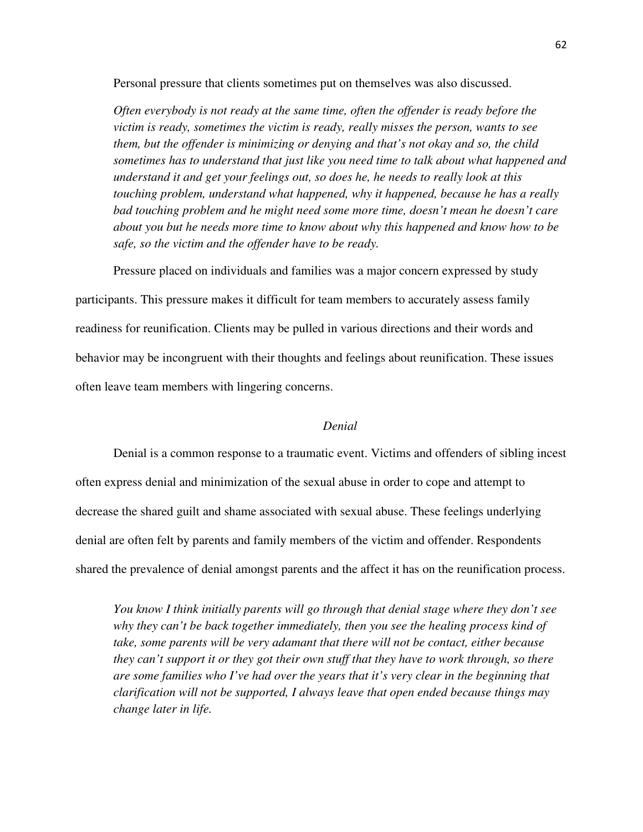Personal pressure that clients sometimes put on themselves was also discussed.

*Often everybody is not ready at the same time, often the offender is ready before the victim is ready, sometimes the victim is ready, really misses the person, wants to see them, but the offender is minimizing or denying and that's not okay and so, the child sometimes has to understand that just like you need time to talk about what happened and understand it and get your feelings out, so does he, he needs to really look at this touching problem, understand what happened, why it happened, because he has a really bad touching problem and he might need some more time, doesn't mean he doesn't care about you but he needs more time to know about why this happened and know how to be safe, so the victim and the offender have to be ready.* 

Pressure placed on individuals and families was a major concern expressed by study

participants. This pressure makes it difficult for team members to accurately assess family readiness for reunification. Clients may be pulled in various directions and their words and behavior may be incongruent with their thoughts and feelings about reunification. These issues often leave team members with lingering concerns.

### *Denial*

Denial is a common response to a traumatic event. Victims and offenders of sibling incest often express denial and minimization of the sexual abuse in order to cope and attempt to decrease the shared guilt and shame associated with sexual abuse. These feelings underlying denial are often felt by parents and family members of the victim and offender. Respondents shared the prevalence of denial amongst parents and the affect it has on the reunification process.

*You know I think initially parents will go through that denial stage where they don't see why they can't be back together immediately, then you see the healing process kind of take, some parents will be very adamant that there will not be contact, either because they can't support it or they got their own stuff that they have to work through, so there are some families who I've had over the years that it's very clear in the beginning that clarification will not be supported, I always leave that open ended because things may change later in life.*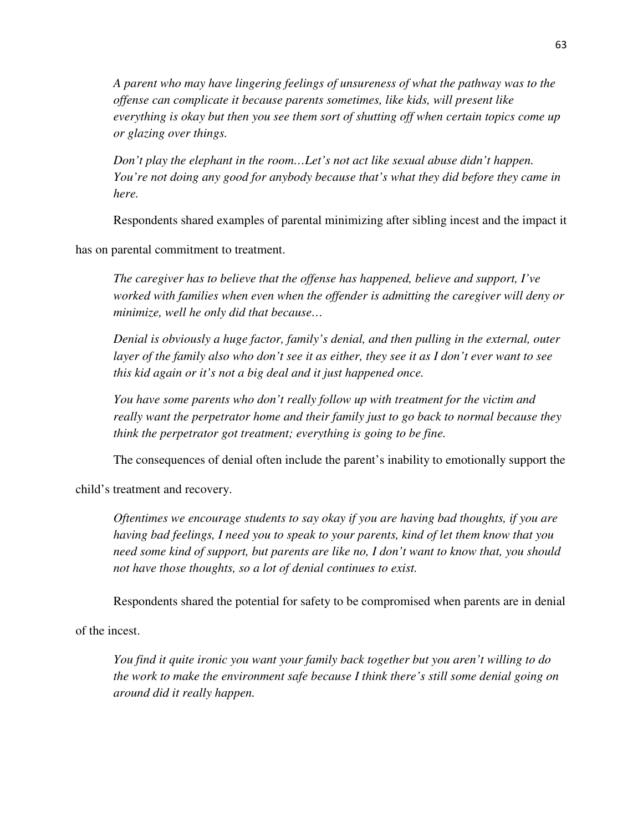*A parent who may have lingering feelings of unsureness of what the pathway was to the offense can complicate it because parents sometimes, like kids, will present like everything is okay but then you see them sort of shutting off when certain topics come up or glazing over things.* 

*Don't play the elephant in the room...Let's not act like sexual abuse didn't happen. You're not doing any good for anybody because that's what they did before they came in here.* 

Respondents shared examples of parental minimizing after sibling incest and the impact it

has on parental commitment to treatment.

*The caregiver has to believe that the offense has happened, believe and support, I've worked with families when even when the offender is admitting the caregiver will deny or minimize, well he only did that because…* 

*Denial is obviously a huge factor, family's denial, and then pulling in the external, outer layer of the family also who don't see it as either, they see it as I don't ever want to see this kid again or it's not a big deal and it just happened once.* 

*You have some parents who don't really follow up with treatment for the victim and really want the perpetrator home and their family just to go back to normal because they think the perpetrator got treatment; everything is going to be fine.* 

The consequences of denial often include the parent's inability to emotionally support the

child's treatment and recovery.

*Oftentimes we encourage students to say okay if you are having bad thoughts, if you are having bad feelings, I need you to speak to your parents, kind of let them know that you need some kind of support, but parents are like no, I don't want to know that, you should not have those thoughts, so a lot of denial continues to exist.* 

Respondents shared the potential for safety to be compromised when parents are in denial

of the incest.

*You find it quite ironic you want your family back together but you aren't willing to do the work to make the environment safe because I think there's still some denial going on around did it really happen.*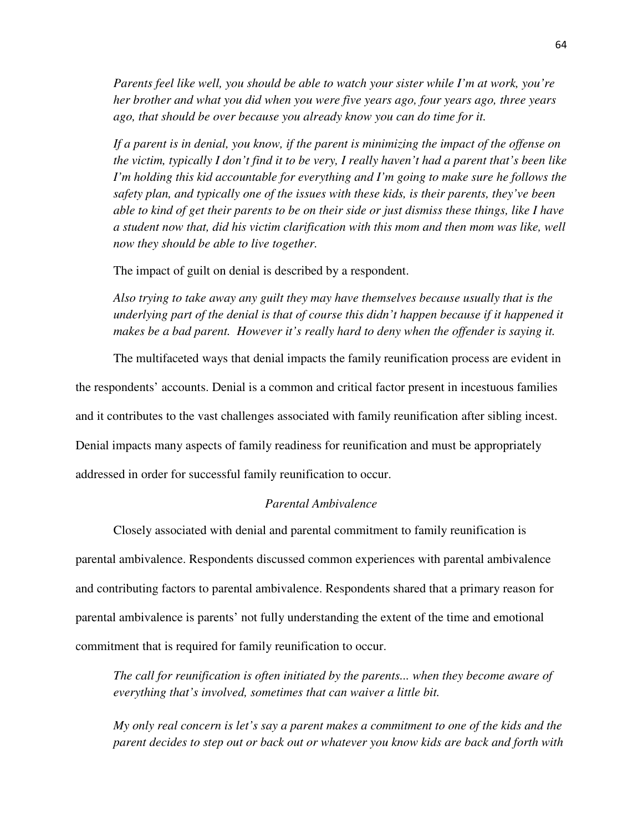*Parents feel like well, you should be able to watch your sister while I'm at work, you're her brother and what you did when you were five years ago, four years ago, three years ago, that should be over because you already know you can do time for it.* 

*If a parent is in denial, you know, if the parent is minimizing the impact of the offense on the victim, typically I don't find it to be very, I really haven't had a parent that's been like I'm holding this kid accountable for everything and I'm going to make sure he follows the safety plan, and typically one of the issues with these kids, is their parents, they've been able to kind of get their parents to be on their side or just dismiss these things, like I have a student now that, did his victim clarification with this mom and then mom was like, well now they should be able to live together.* 

The impact of guilt on denial is described by a respondent.

*Also trying to take away any guilt they may have themselves because usually that is the underlying part of the denial is that of course this didn't happen because if it happened it makes be a bad parent. However it's really hard to deny when the offender is saying it.* 

The multifaceted ways that denial impacts the family reunification process are evident in the respondents' accounts. Denial is a common and critical factor present in incestuous families and it contributes to the vast challenges associated with family reunification after sibling incest. Denial impacts many aspects of family readiness for reunification and must be appropriately addressed in order for successful family reunification to occur.

# *Parental Ambivalence*

 Closely associated with denial and parental commitment to family reunification is parental ambivalence. Respondents discussed common experiences with parental ambivalence and contributing factors to parental ambivalence. Respondents shared that a primary reason for parental ambivalence is parents' not fully understanding the extent of the time and emotional commitment that is required for family reunification to occur.

*The call for reunification is often initiated by the parents... when they become aware of everything that's involved, sometimes that can waiver a little bit.* 

*My only real concern is let's say a parent makes a commitment to one of the kids and the parent decides to step out or back out or whatever you know kids are back and forth with*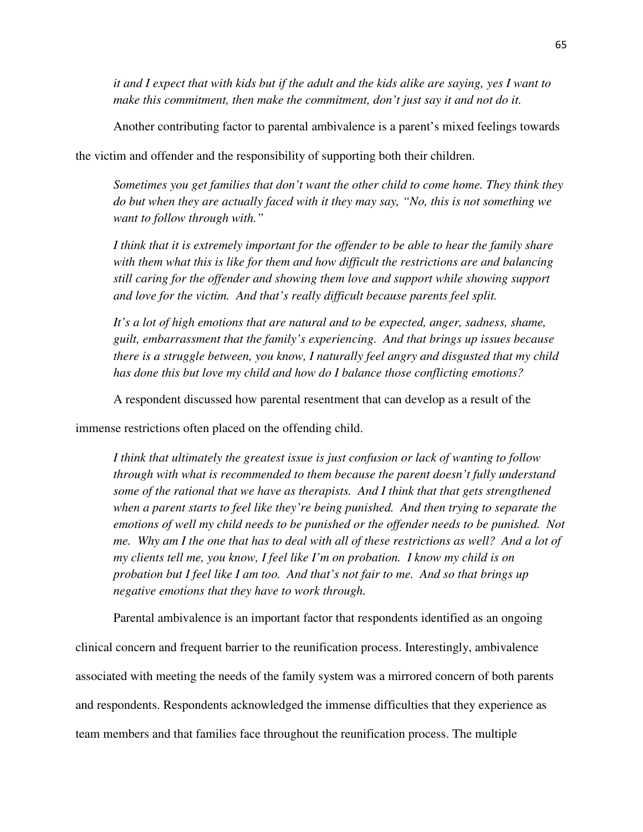*it and I expect that with kids but if the adult and the kids alike are saying, yes I want to make this commitment, then make the commitment, don't just say it and not do it.* 

Another contributing factor to parental ambivalence is a parent's mixed feelings towards

the victim and offender and the responsibility of supporting both their children.

*Sometimes you get families that don't want the other child to come home. They think they do but when they are actually faced with it they may say, "No, this is not something we want to follow through with."* 

*I think that it is extremely important for the offender to be able to hear the family share with them what this is like for them and how difficult the restrictions are and balancing still caring for the offender and showing them love and support while showing support and love for the victim. And that's really difficult because parents feel split.* 

*It's a lot of high emotions that are natural and to be expected, anger, sadness, shame, guilt, embarrassment that the family's experiencing. And that brings up issues because there is a struggle between, you know, I naturally feel angry and disgusted that my child has done this but love my child and how do I balance those conflicting emotions?* 

A respondent discussed how parental resentment that can develop as a result of the

immense restrictions often placed on the offending child.

*I think that ultimately the greatest issue is just confusion or lack of wanting to follow through with what is recommended to them because the parent doesn't fully understand some of the rational that we have as therapists. And I think that that gets strengthened when a parent starts to feel like they're being punished. And then trying to separate the emotions of well my child needs to be punished or the offender needs to be punished. Not me. Why am I the one that has to deal with all of these restrictions as well? And a lot of my clients tell me, you know, I feel like I'm on probation. I know my child is on probation but I feel like I am too. And that's not fair to me. And so that brings up negative emotions that they have to work through.* 

Parental ambivalence is an important factor that respondents identified as an ongoing clinical concern and frequent barrier to the reunification process. Interestingly, ambivalence associated with meeting the needs of the family system was a mirrored concern of both parents and respondents. Respondents acknowledged the immense difficulties that they experience as team members and that families face throughout the reunification process. The multiple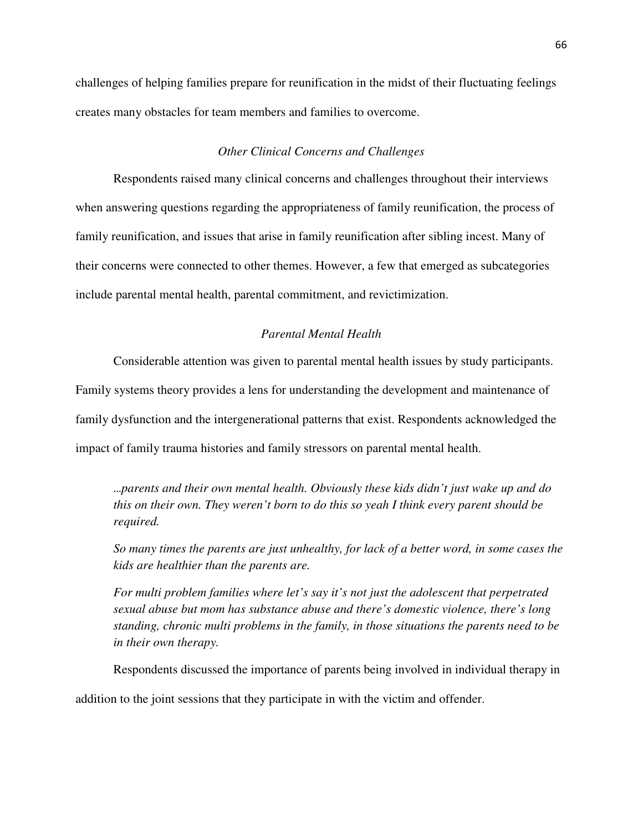challenges of helping families prepare for reunification in the midst of their fluctuating feelings creates many obstacles for team members and families to overcome.

### *Other Clinical Concerns and Challenges*

Respondents raised many clinical concerns and challenges throughout their interviews when answering questions regarding the appropriateness of family reunification, the process of family reunification, and issues that arise in family reunification after sibling incest. Many of their concerns were connected to other themes. However, a few that emerged as subcategories include parental mental health, parental commitment, and revictimization.

# *Parental Mental Health*

Considerable attention was given to parental mental health issues by study participants. Family systems theory provides a lens for understanding the development and maintenance of family dysfunction and the intergenerational patterns that exist. Respondents acknowledged the impact of family trauma histories and family stressors on parental mental health.

…*parents and their own mental health. Obviously these kids didn't just wake up and do this on their own. They weren't born to do this so yeah I think every parent should be required.* 

*So many times the parents are just unhealthy, for lack of a better word, in some cases the kids are healthier than the parents are.* 

*For multi problem families where let's say it's not just the adolescent that perpetrated sexual abuse but mom has substance abuse and there's domestic violence, there's long standing, chronic multi problems in the family, in those situations the parents need to be in their own therapy.* 

Respondents discussed the importance of parents being involved in individual therapy in addition to the joint sessions that they participate in with the victim and offender.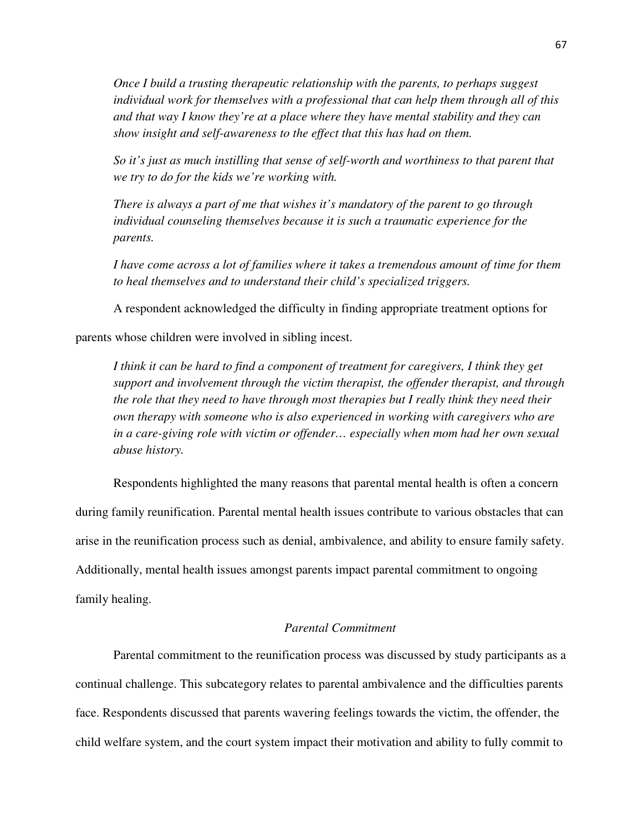*Once I build a trusting therapeutic relationship with the parents, to perhaps suggest individual work for themselves with a professional that can help them through all of this and that way I know they're at a place where they have mental stability and they can show insight and self-awareness to the effect that this has had on them.* 

*So it's just as much instilling that sense of self-worth and worthiness to that parent that we try to do for the kids we're working with.* 

*There is always a part of me that wishes it's mandatory of the parent to go through individual counseling themselves because it is such a traumatic experience for the parents.* 

*I have come across a lot of families where it takes a tremendous amount of time for them to heal themselves and to understand their child's specialized triggers.* 

A respondent acknowledged the difficulty in finding appropriate treatment options for

parents whose children were involved in sibling incest.

*I think it can be hard to find a component of treatment for caregivers, I think they get support and involvement through the victim therapist, the offender therapist, and through the role that they need to have through most therapies but I really think they need their own therapy with someone who is also experienced in working with caregivers who are in a care-giving role with victim or offender… especially when mom had her own sexual abuse history.* 

Respondents highlighted the many reasons that parental mental health is often a concern during family reunification. Parental mental health issues contribute to various obstacles that can arise in the reunification process such as denial, ambivalence, and ability to ensure family safety. Additionally, mental health issues amongst parents impact parental commitment to ongoing family healing.

## *Parental Commitment*

Parental commitment to the reunification process was discussed by study participants as a continual challenge. This subcategory relates to parental ambivalence and the difficulties parents face. Respondents discussed that parents wavering feelings towards the victim, the offender, the child welfare system, and the court system impact their motivation and ability to fully commit to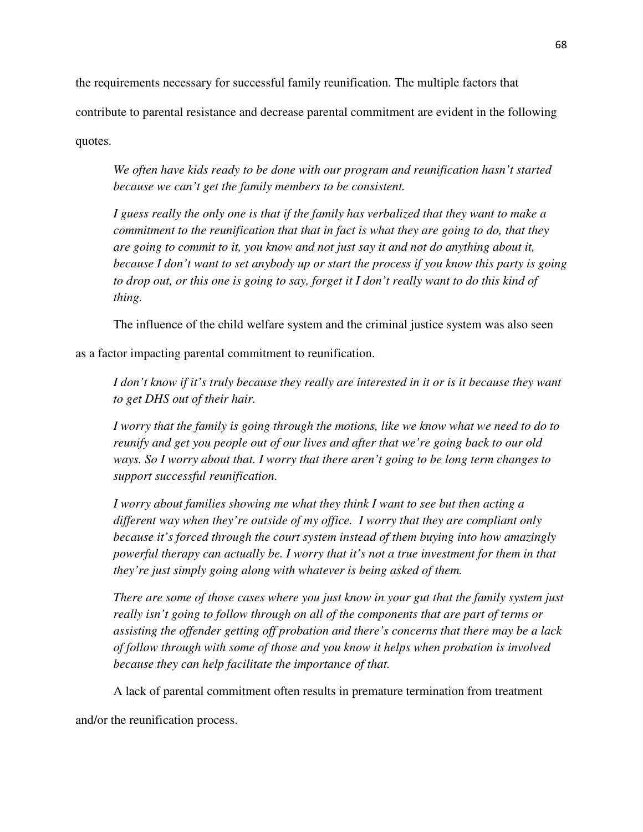the requirements necessary for successful family reunification. The multiple factors that contribute to parental resistance and decrease parental commitment are evident in the following quotes.

*We often have kids ready to be done with our program and reunification hasn't started because we can't get the family members to be consistent.* 

*I guess really the only one is that if the family has verbalized that they want to make a commitment to the reunification that that in fact is what they are going to do, that they are going to commit to it, you know and not just say it and not do anything about it, because I don't want to set anybody up or start the process if you know this party is going to drop out, or this one is going to say, forget it I don't really want to do this kind of thing.* 

The influence of the child welfare system and the criminal justice system was also seen

as a factor impacting parental commitment to reunification.

*I don't know if it's truly because they really are interested in it or is it because they want to get DHS out of their hair.* 

*I worry that the family is going through the motions, like we know what we need to do to reunify and get you people out of our lives and after that we're going back to our old ways. So I worry about that. I worry that there aren't going to be long term changes to support successful reunification.* 

*I worry about families showing me what they think I want to see but then acting a different way when they're outside of my office. I worry that they are compliant only because it's forced through the court system instead of them buying into how amazingly powerful therapy can actually be. I worry that it's not a true investment for them in that they're just simply going along with whatever is being asked of them.* 

*There are some of those cases where you just know in your gut that the family system just really isn't going to follow through on all of the components that are part of terms or assisting the offender getting off probation and there's concerns that there may be a lack of follow through with some of those and you know it helps when probation is involved because they can help facilitate the importance of that.* 

A lack of parental commitment often results in premature termination from treatment

and/or the reunification process.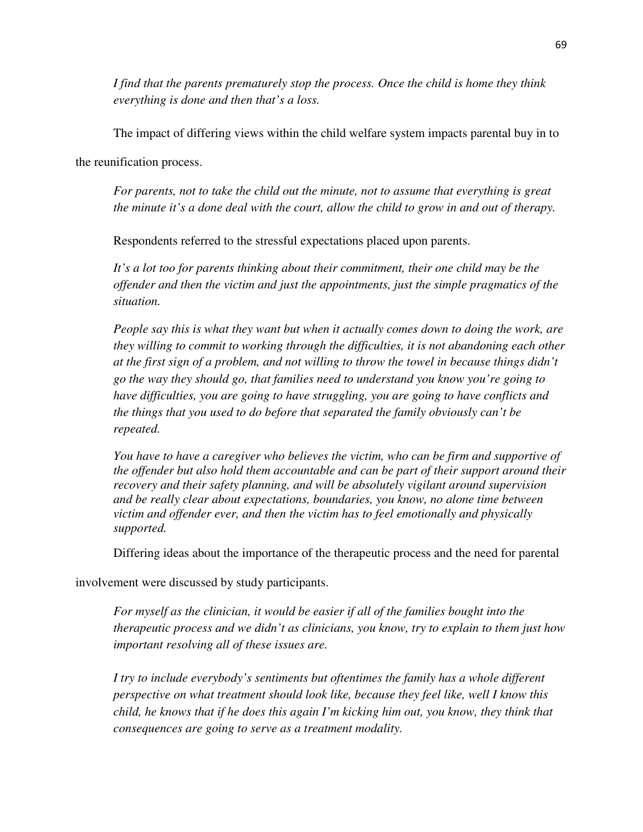*I find that the parents prematurely stop the process. Once the child is home they think everything is done and then that's a loss.* 

The impact of differing views within the child welfare system impacts parental buy in to

the reunification process.

*For parents, not to take the child out the minute, not to assume that everything is great the minute it's a done deal with the court, allow the child to grow in and out of therapy.* 

Respondents referred to the stressful expectations placed upon parents.

*It's a lot too for parents thinking about their commitment, their one child may be the offender and then the victim and just the appointments, just the simple pragmatics of the situation.* 

*People say this is what they want but when it actually comes down to doing the work, are they willing to commit to working through the difficulties, it is not abandoning each other at the first sign of a problem, and not willing to throw the towel in because things didn't go the way they should go, that families need to understand you know you're going to have difficulties, you are going to have struggling, you are going to have conflicts and the things that you used to do before that separated the family obviously can't be repeated.* 

*You have to have a caregiver who believes the victim, who can be firm and supportive of the offender but also hold them accountable and can be part of their support around their recovery and their safety planning, and will be absolutely vigilant around supervision and be really clear about expectations, boundaries, you know, no alone time between victim and offender ever, and then the victim has to feel emotionally and physically supported.* 

Differing ideas about the importance of the therapeutic process and the need for parental

involvement were discussed by study participants.

*For myself as the clinician, it would be easier if all of the families bought into the therapeutic process and we didn't as clinicians, you know, try to explain to them just how important resolving all of these issues are.* 

*I try to include everybody's sentiments but oftentimes the family has a whole different perspective on what treatment should look like, because they feel like, well I know this child, he knows that if he does this again I'm kicking him out, you know, they think that consequences are going to serve as a treatment modality.*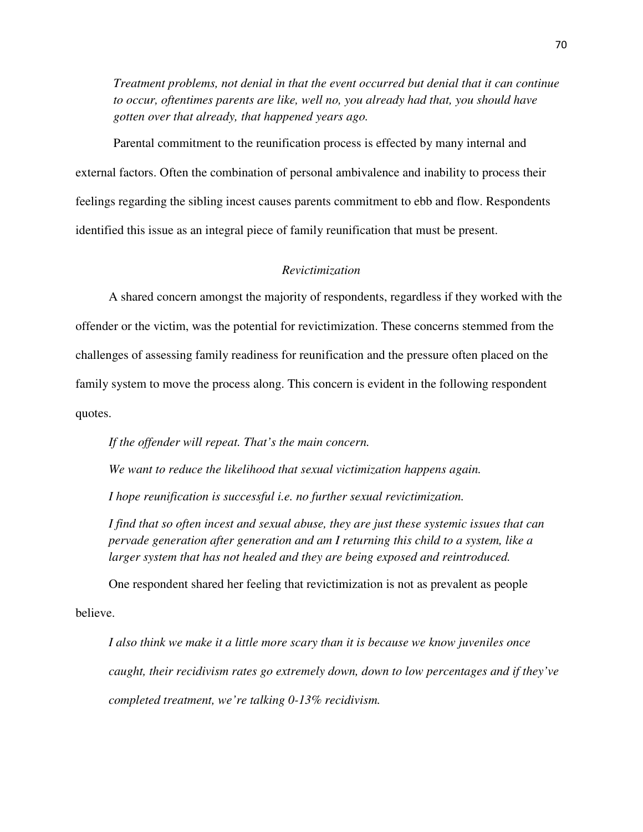*Treatment problems, not denial in that the event occurred but denial that it can continue to occur, oftentimes parents are like, well no, you already had that, you should have gotten over that already, that happened years ago.* 

Parental commitment to the reunification process is effected by many internal and external factors. Often the combination of personal ambivalence and inability to process their feelings regarding the sibling incest causes parents commitment to ebb and flow. Respondents identified this issue as an integral piece of family reunification that must be present.

### *Revictimization*

A shared concern amongst the majority of respondents, regardless if they worked with the offender or the victim, was the potential for revictimization. These concerns stemmed from the challenges of assessing family readiness for reunification and the pressure often placed on the family system to move the process along. This concern is evident in the following respondent quotes.

*If the offender will repeat. That's the main concern.* 

*We want to reduce the likelihood that sexual victimization happens again.* 

*I hope reunification is successful i.e. no further sexual revictimization.* 

*I find that so often incest and sexual abuse, they are just these systemic issues that can pervade generation after generation and am I returning this child to a system, like a larger system that has not healed and they are being exposed and reintroduced.* 

One respondent shared her feeling that revictimization is not as prevalent as people believe.

*I also think we make it a little more scary than it is because we know juveniles once caught, their recidivism rates go extremely down, down to low percentages and if they've completed treatment, we're talking 0-13% recidivism.*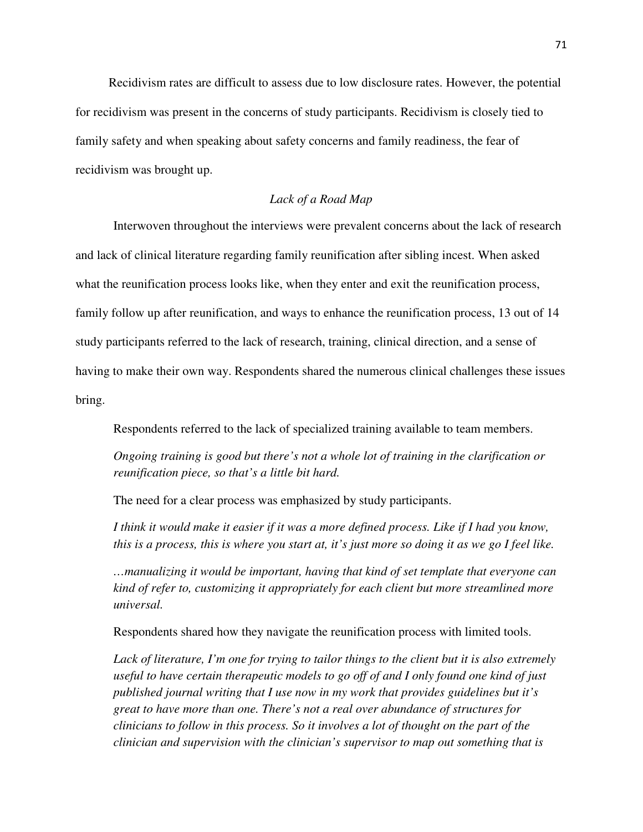Recidivism rates are difficult to assess due to low disclosure rates. However, the potential for recidivism was present in the concerns of study participants. Recidivism is closely tied to family safety and when speaking about safety concerns and family readiness, the fear of recidivism was brought up.

# *Lack of a Road Map*

Interwoven throughout the interviews were prevalent concerns about the lack of research and lack of clinical literature regarding family reunification after sibling incest. When asked what the reunification process looks like, when they enter and exit the reunification process, family follow up after reunification, and ways to enhance the reunification process, 13 out of 14 study participants referred to the lack of research, training, clinical direction, and a sense of having to make their own way. Respondents shared the numerous clinical challenges these issues bring.

Respondents referred to the lack of specialized training available to team members.

*Ongoing training is good but there's not a whole lot of training in the clarification or reunification piece, so that's a little bit hard.* 

The need for a clear process was emphasized by study participants.

*I think it would make it easier if it was a more defined process. Like if I had you know, this is a process, this is where you start at, it's just more so doing it as we go I feel like.* 

*…manualizing it would be important, having that kind of set template that everyone can kind of refer to, customizing it appropriately for each client but more streamlined more universal.* 

Respondents shared how they navigate the reunification process with limited tools.

*Lack of literature, I'm one for trying to tailor things to the client but it is also extremely useful to have certain therapeutic models to go off of and I only found one kind of just published journal writing that I use now in my work that provides guidelines but it's great to have more than one. There's not a real over abundance of structures for clinicians to follow in this process. So it involves a lot of thought on the part of the clinician and supervision with the clinician's supervisor to map out something that is*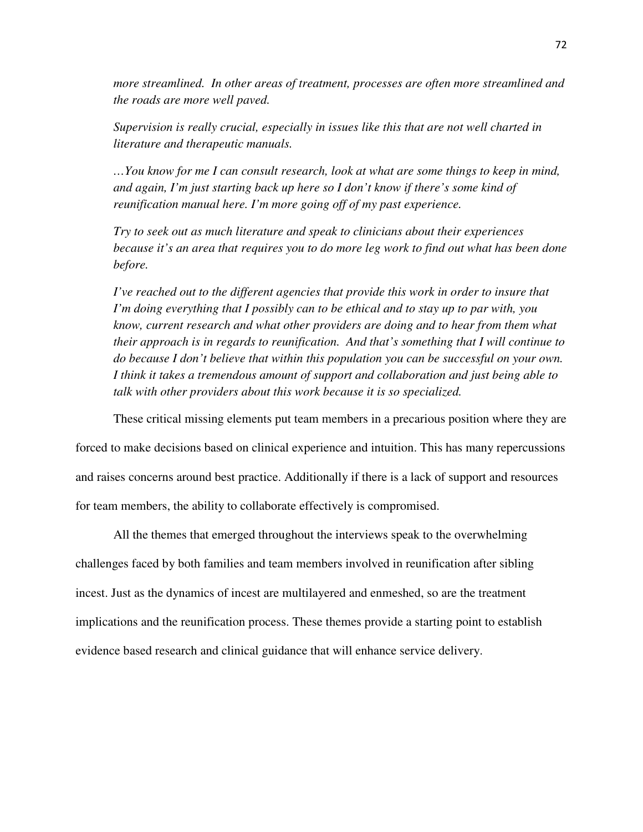*more streamlined. In other areas of treatment, processes are often more streamlined and the roads are more well paved.* 

*Supervision is really crucial, especially in issues like this that are not well charted in literature and therapeutic manuals.* 

*…You know for me I can consult research, look at what are some things to keep in mind, and again, I'm just starting back up here so I don't know if there's some kind of reunification manual here. I'm more going off of my past experience.* 

*Try to seek out as much literature and speak to clinicians about their experiences because it's an area that requires you to do more leg work to find out what has been done before.* 

*I've reached out to the different agencies that provide this work in order to insure that I'm doing everything that I possibly can to be ethical and to stay up to par with, you know, current research and what other providers are doing and to hear from them what their approach is in regards to reunification. And that's something that I will continue to do because I don't believe that within this population you can be successful on your own. I think it takes a tremendous amount of support and collaboration and just being able to talk with other providers about this work because it is so specialized.* 

 These critical missing elements put team members in a precarious position where they are forced to make decisions based on clinical experience and intuition. This has many repercussions and raises concerns around best practice. Additionally if there is a lack of support and resources for team members, the ability to collaborate effectively is compromised.

 All the themes that emerged throughout the interviews speak to the overwhelming challenges faced by both families and team members involved in reunification after sibling incest. Just as the dynamics of incest are multilayered and enmeshed, so are the treatment implications and the reunification process. These themes provide a starting point to establish evidence based research and clinical guidance that will enhance service delivery.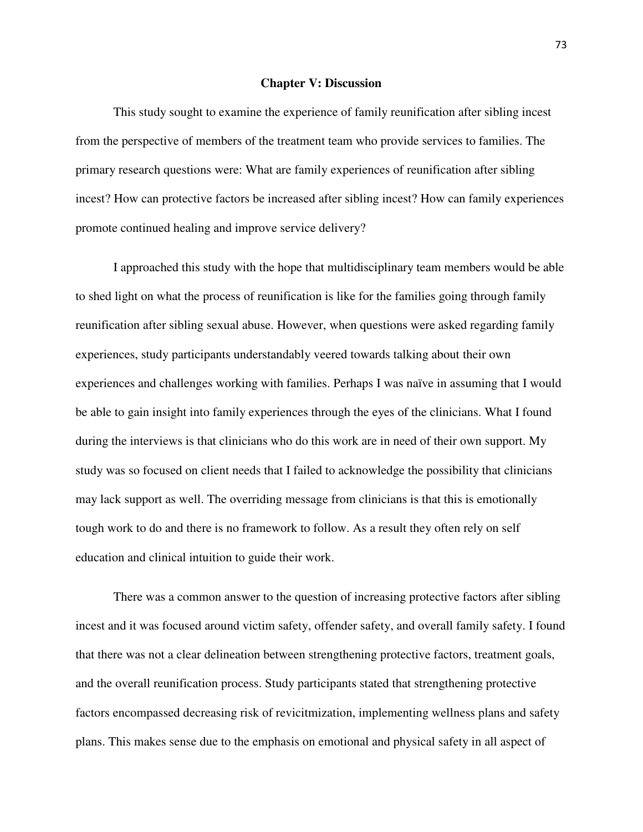### **Chapter V: Discussion**

This study sought to examine the experience of family reunification after sibling incest from the perspective of members of the treatment team who provide services to families. The primary research questions were: What are family experiences of reunification after sibling incest? How can protective factors be increased after sibling incest? How can family experiences promote continued healing and improve service delivery?

I approached this study with the hope that multidisciplinary team members would be able to shed light on what the process of reunification is like for the families going through family reunification after sibling sexual abuse. However, when questions were asked regarding family experiences, study participants understandably veered towards talking about their own experiences and challenges working with families. Perhaps I was naïve in assuming that I would be able to gain insight into family experiences through the eyes of the clinicians. What I found during the interviews is that clinicians who do this work are in need of their own support. My study was so focused on client needs that I failed to acknowledge the possibility that clinicians may lack support as well. The overriding message from clinicians is that this is emotionally tough work to do and there is no framework to follow. As a result they often rely on self education and clinical intuition to guide their work.

There was a common answer to the question of increasing protective factors after sibling incest and it was focused around victim safety, offender safety, and overall family safety. I found that there was not a clear delineation between strengthening protective factors, treatment goals, and the overall reunification process. Study participants stated that strengthening protective factors encompassed decreasing risk of revicitmization, implementing wellness plans and safety plans. This makes sense due to the emphasis on emotional and physical safety in all aspect of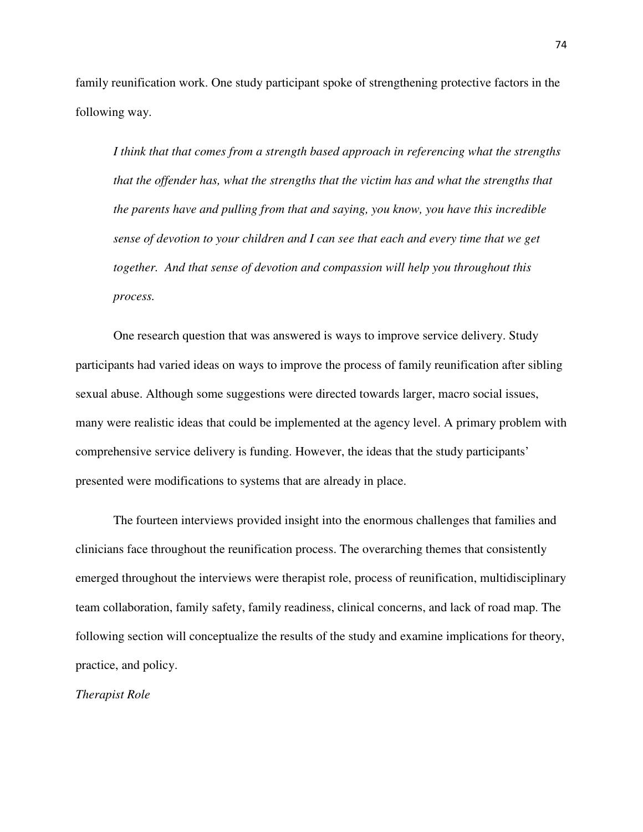family reunification work. One study participant spoke of strengthening protective factors in the following way.

*I think that that comes from a strength based approach in referencing what the strengths that the offender has, what the strengths that the victim has and what the strengths that the parents have and pulling from that and saying, you know, you have this incredible sense of devotion to your children and I can see that each and every time that we get together. And that sense of devotion and compassion will help you throughout this process.* 

One research question that was answered is ways to improve service delivery. Study participants had varied ideas on ways to improve the process of family reunification after sibling sexual abuse. Although some suggestions were directed towards larger, macro social issues, many were realistic ideas that could be implemented at the agency level. A primary problem with comprehensive service delivery is funding. However, the ideas that the study participants' presented were modifications to systems that are already in place.

The fourteen interviews provided insight into the enormous challenges that families and clinicians face throughout the reunification process. The overarching themes that consistently emerged throughout the interviews were therapist role, process of reunification, multidisciplinary team collaboration, family safety, family readiness, clinical concerns, and lack of road map. The following section will conceptualize the results of the study and examine implications for theory, practice, and policy.

*Therapist Role*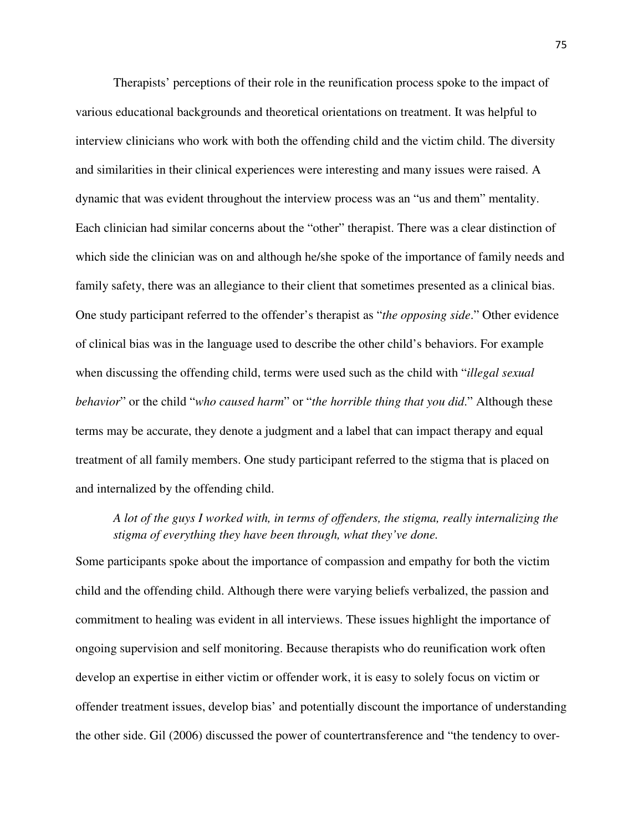Therapists' perceptions of their role in the reunification process spoke to the impact of various educational backgrounds and theoretical orientations on treatment. It was helpful to interview clinicians who work with both the offending child and the victim child. The diversity and similarities in their clinical experiences were interesting and many issues were raised. A dynamic that was evident throughout the interview process was an "us and them" mentality. Each clinician had similar concerns about the "other" therapist. There was a clear distinction of which side the clinician was on and although he/she spoke of the importance of family needs and family safety, there was an allegiance to their client that sometimes presented as a clinical bias. One study participant referred to the offender's therapist as "*the opposing side*." Other evidence of clinical bias was in the language used to describe the other child's behaviors. For example when discussing the offending child, terms were used such as the child with "*illegal sexual behavior*" or the child "*who caused harm*" or "*the horrible thing that you did*." Although these terms may be accurate, they denote a judgment and a label that can impact therapy and equal treatment of all family members. One study participant referred to the stigma that is placed on and internalized by the offending child.

# *A lot of the guys I worked with, in terms of offenders, the stigma, really internalizing the stigma of everything they have been through, what they've done.*

Some participants spoke about the importance of compassion and empathy for both the victim child and the offending child. Although there were varying beliefs verbalized, the passion and commitment to healing was evident in all interviews. These issues highlight the importance of ongoing supervision and self monitoring. Because therapists who do reunification work often develop an expertise in either victim or offender work, it is easy to solely focus on victim or offender treatment issues, develop bias' and potentially discount the importance of understanding the other side. Gil (2006) discussed the power of countertransference and "the tendency to over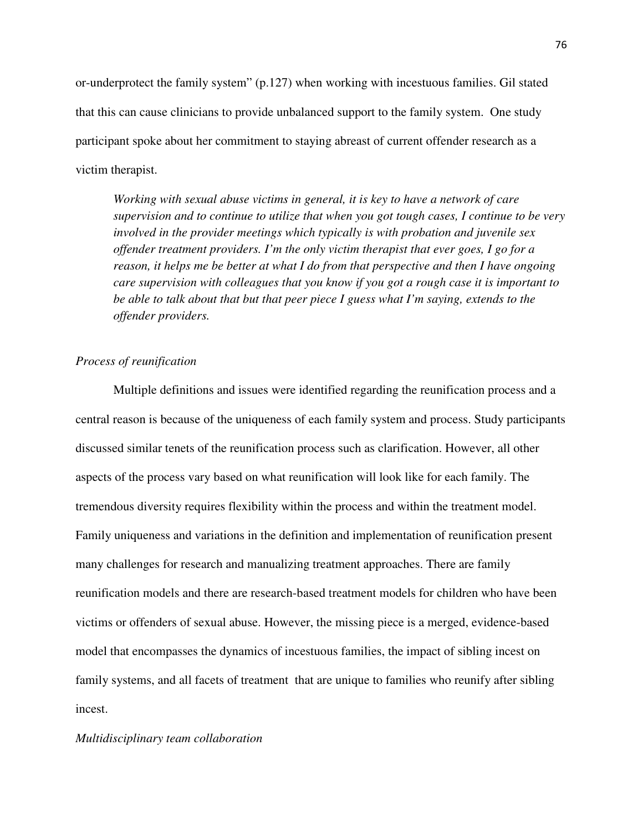or-underprotect the family system" (p.127) when working with incestuous families. Gil stated that this can cause clinicians to provide unbalanced support to the family system. One study participant spoke about her commitment to staying abreast of current offender research as a victim therapist.

*Working with sexual abuse victims in general, it is key to have a network of care supervision and to continue to utilize that when you got tough cases, I continue to be very involved in the provider meetings which typically is with probation and juvenile sex offender treatment providers. I'm the only victim therapist that ever goes, I go for a reason, it helps me be better at what I do from that perspective and then I have ongoing care supervision with colleagues that you know if you got a rough case it is important to be able to talk about that but that peer piece I guess what I'm saying, extends to the offender providers.* 

## *Process of reunification*

Multiple definitions and issues were identified regarding the reunification process and a central reason is because of the uniqueness of each family system and process. Study participants discussed similar tenets of the reunification process such as clarification. However, all other aspects of the process vary based on what reunification will look like for each family. The tremendous diversity requires flexibility within the process and within the treatment model. Family uniqueness and variations in the definition and implementation of reunification present many challenges for research and manualizing treatment approaches. There are family reunification models and there are research-based treatment models for children who have been victims or offenders of sexual abuse. However, the missing piece is a merged, evidence-based model that encompasses the dynamics of incestuous families, the impact of sibling incest on family systems, and all facets of treatment that are unique to families who reunify after sibling incest.

#### *Multidisciplinary team collaboration*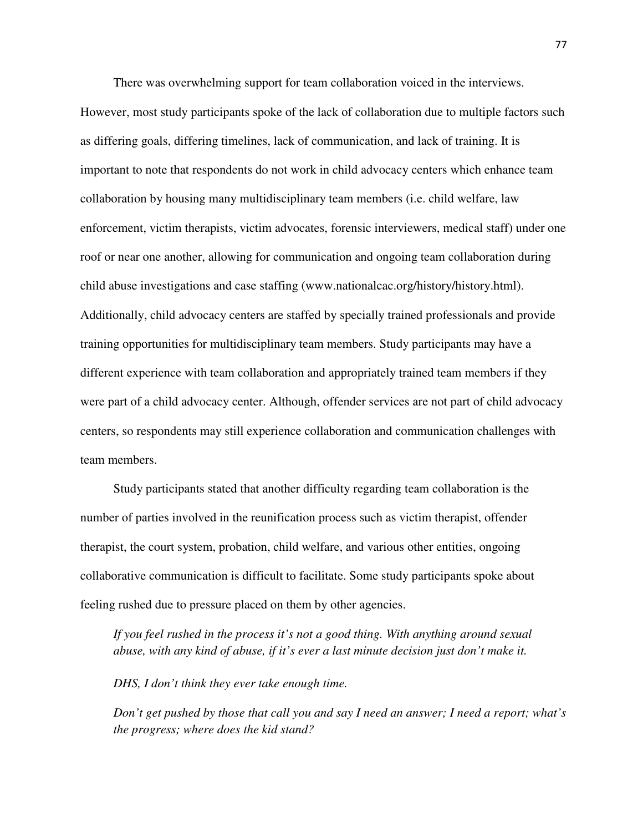There was overwhelming support for team collaboration voiced in the interviews. However, most study participants spoke of the lack of collaboration due to multiple factors such as differing goals, differing timelines, lack of communication, and lack of training. It is important to note that respondents do not work in child advocacy centers which enhance team collaboration by housing many multidisciplinary team members (i.e. child welfare, law enforcement, victim therapists, victim advocates, forensic interviewers, medical staff) under one roof or near one another, allowing for communication and ongoing team collaboration during child abuse investigations and case staffing (www.nationalcac.org/history/history.html). Additionally, child advocacy centers are staffed by specially trained professionals and provide training opportunities for multidisciplinary team members. Study participants may have a different experience with team collaboration and appropriately trained team members if they were part of a child advocacy center. Although, offender services are not part of child advocacy centers, so respondents may still experience collaboration and communication challenges with team members.

Study participants stated that another difficulty regarding team collaboration is the number of parties involved in the reunification process such as victim therapist, offender therapist, the court system, probation, child welfare, and various other entities, ongoing collaborative communication is difficult to facilitate. Some study participants spoke about feeling rushed due to pressure placed on them by other agencies.

*If you feel rushed in the process it's not a good thing. With anything around sexual abuse, with any kind of abuse, if it's ever a last minute decision just don't make it.* 

*DHS, I don't think they ever take enough time.* 

*Don't get pushed by those that call you and say I need an answer; I need a report; what's the progress; where does the kid stand?*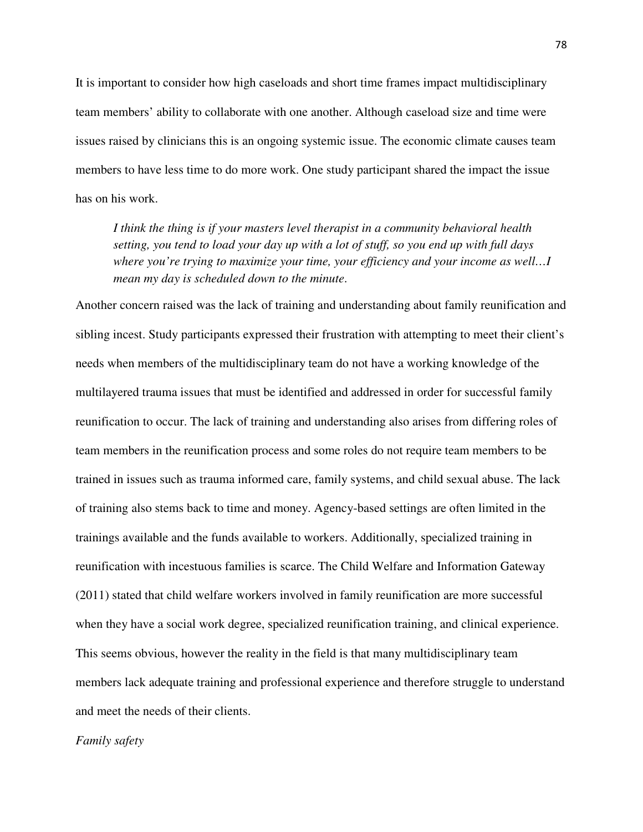It is important to consider how high caseloads and short time frames impact multidisciplinary team members' ability to collaborate with one another. Although caseload size and time were issues raised by clinicians this is an ongoing systemic issue. The economic climate causes team members to have less time to do more work. One study participant shared the impact the issue has on his work.

*I think the thing is if your masters level therapist in a community behavioral health setting, you tend to load your day up with a lot of stuff, so you end up with full days where you're trying to maximize your time, your efficiency and your income as well…I mean my day is scheduled down to the minute*.

Another concern raised was the lack of training and understanding about family reunification and sibling incest. Study participants expressed their frustration with attempting to meet their client's needs when members of the multidisciplinary team do not have a working knowledge of the multilayered trauma issues that must be identified and addressed in order for successful family reunification to occur. The lack of training and understanding also arises from differing roles of team members in the reunification process and some roles do not require team members to be trained in issues such as trauma informed care, family systems, and child sexual abuse. The lack of training also stems back to time and money. Agency-based settings are often limited in the trainings available and the funds available to workers. Additionally, specialized training in reunification with incestuous families is scarce. The Child Welfare and Information Gateway (2011) stated that child welfare workers involved in family reunification are more successful when they have a social work degree, specialized reunification training, and clinical experience. This seems obvious, however the reality in the field is that many multidisciplinary team members lack adequate training and professional experience and therefore struggle to understand and meet the needs of their clients.

#### *Family safety*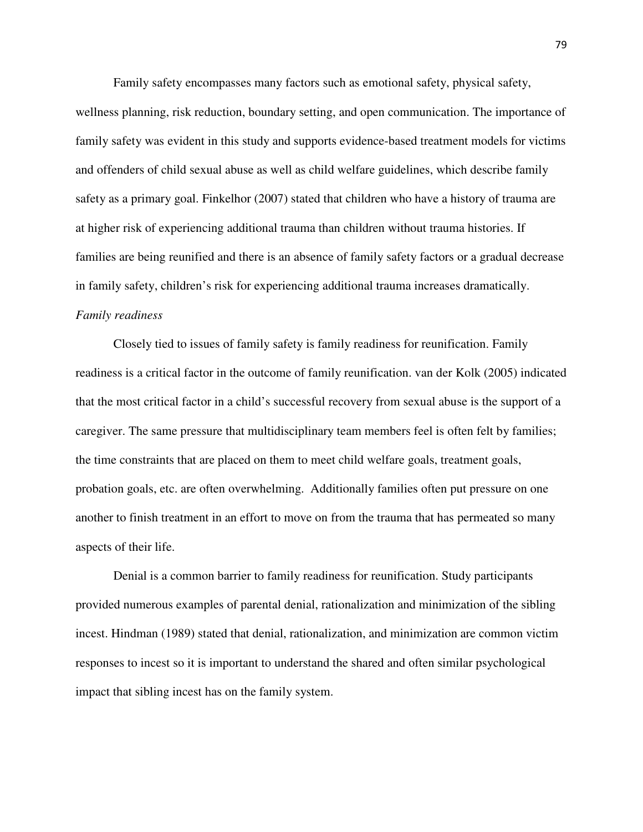Family safety encompasses many factors such as emotional safety, physical safety,

wellness planning, risk reduction, boundary setting, and open communication. The importance of family safety was evident in this study and supports evidence-based treatment models for victims and offenders of child sexual abuse as well as child welfare guidelines, which describe family safety as a primary goal. Finkelhor (2007) stated that children who have a history of trauma are at higher risk of experiencing additional trauma than children without trauma histories. If families are being reunified and there is an absence of family safety factors or a gradual decrease in family safety, children's risk for experiencing additional trauma increases dramatically. *Family readiness* 

 Closely tied to issues of family safety is family readiness for reunification. Family readiness is a critical factor in the outcome of family reunification. van der Kolk (2005) indicated that the most critical factor in a child's successful recovery from sexual abuse is the support of a caregiver. The same pressure that multidisciplinary team members feel is often felt by families; the time constraints that are placed on them to meet child welfare goals, treatment goals, probation goals, etc. are often overwhelming. Additionally families often put pressure on one another to finish treatment in an effort to move on from the trauma that has permeated so many aspects of their life.

 Denial is a common barrier to family readiness for reunification. Study participants provided numerous examples of parental denial, rationalization and minimization of the sibling incest. Hindman (1989) stated that denial, rationalization, and minimization are common victim responses to incest so it is important to understand the shared and often similar psychological impact that sibling incest has on the family system.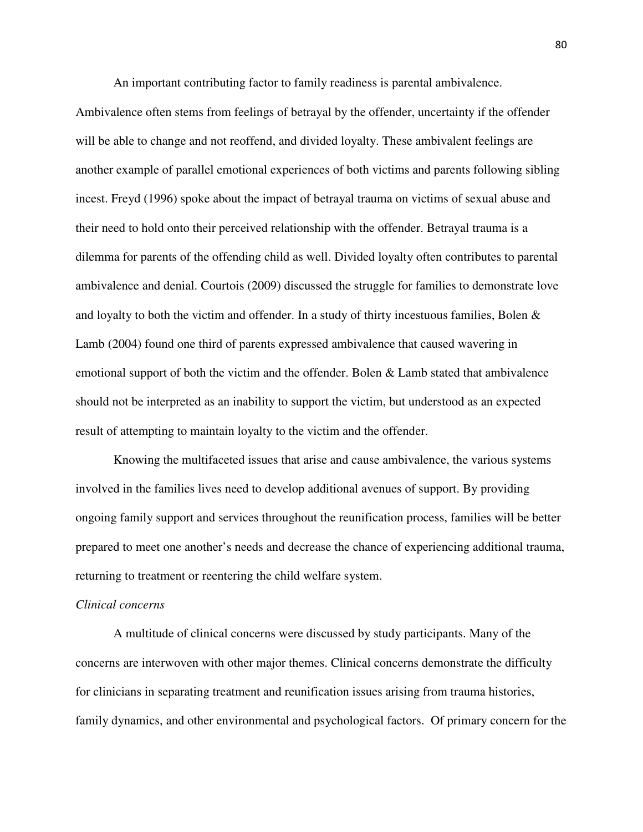An important contributing factor to family readiness is parental ambivalence.

Ambivalence often stems from feelings of betrayal by the offender, uncertainty if the offender will be able to change and not reoffend, and divided loyalty. These ambivalent feelings are another example of parallel emotional experiences of both victims and parents following sibling incest. Freyd (1996) spoke about the impact of betrayal trauma on victims of sexual abuse and their need to hold onto their perceived relationship with the offender. Betrayal trauma is a dilemma for parents of the offending child as well. Divided loyalty often contributes to parental ambivalence and denial. Courtois (2009) discussed the struggle for families to demonstrate love and loyalty to both the victim and offender. In a study of thirty incestuous families, Bolen  $\&$ Lamb (2004) found one third of parents expressed ambivalence that caused wavering in emotional support of both the victim and the offender. Bolen & Lamb stated that ambivalence should not be interpreted as an inability to support the victim, but understood as an expected result of attempting to maintain loyalty to the victim and the offender.

Knowing the multifaceted issues that arise and cause ambivalence, the various systems involved in the families lives need to develop additional avenues of support. By providing ongoing family support and services throughout the reunification process, families will be better prepared to meet one another's needs and decrease the chance of experiencing additional trauma, returning to treatment or reentering the child welfare system.

### *Clinical concerns*

A multitude of clinical concerns were discussed by study participants. Many of the concerns are interwoven with other major themes. Clinical concerns demonstrate the difficulty for clinicians in separating treatment and reunification issues arising from trauma histories, family dynamics, and other environmental and psychological factors. Of primary concern for the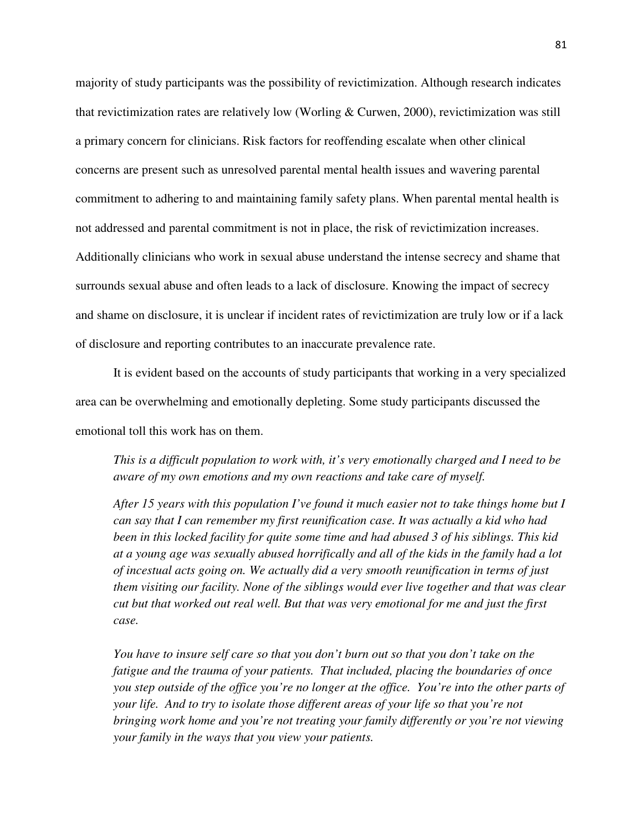majority of study participants was the possibility of revictimization. Although research indicates that revictimization rates are relatively low (Worling & Curwen, 2000), revictimization was still a primary concern for clinicians. Risk factors for reoffending escalate when other clinical concerns are present such as unresolved parental mental health issues and wavering parental commitment to adhering to and maintaining family safety plans. When parental mental health is not addressed and parental commitment is not in place, the risk of revictimization increases. Additionally clinicians who work in sexual abuse understand the intense secrecy and shame that surrounds sexual abuse and often leads to a lack of disclosure. Knowing the impact of secrecy and shame on disclosure, it is unclear if incident rates of revictimization are truly low or if a lack of disclosure and reporting contributes to an inaccurate prevalence rate.

It is evident based on the accounts of study participants that working in a very specialized area can be overwhelming and emotionally depleting. Some study participants discussed the emotional toll this work has on them.

*This is a difficult population to work with, it's very emotionally charged and I need to be aware of my own emotions and my own reactions and take care of myself.* 

*After 15 years with this population I've found it much easier not to take things home but I can say that I can remember my first reunification case. It was actually a kid who had been in this locked facility for quite some time and had abused 3 of his siblings. This kid at a young age was sexually abused horrifically and all of the kids in the family had a lot of incestual acts going on. We actually did a very smooth reunification in terms of just them visiting our facility. None of the siblings would ever live together and that was clear cut but that worked out real well. But that was very emotional for me and just the first case.* 

*You have to insure self care so that you don't burn out so that you don't take on the fatigue and the trauma of your patients. That included, placing the boundaries of once you step outside of the office you're no longer at the office. You're into the other parts of your life. And to try to isolate those different areas of your life so that you're not bringing work home and you're not treating your family differently or you're not viewing your family in the ways that you view your patients.*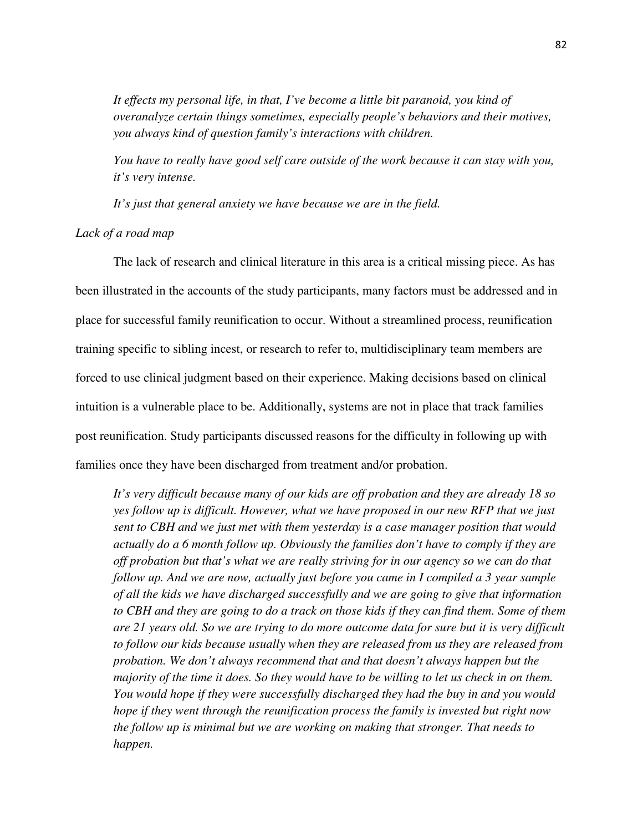*It effects my personal life, in that, I've become a little bit paranoid, you kind of overanalyze certain things sometimes, especially people's behaviors and their motives, you always kind of question family's interactions with children.* 

*You have to really have good self care outside of the work because it can stay with you, it's very intense.* 

*It's just that general anxiety we have because we are in the field.* 

*Lack of a road map* 

 The lack of research and clinical literature in this area is a critical missing piece. As has been illustrated in the accounts of the study participants, many factors must be addressed and in place for successful family reunification to occur. Without a streamlined process, reunification training specific to sibling incest, or research to refer to, multidisciplinary team members are forced to use clinical judgment based on their experience. Making decisions based on clinical intuition is a vulnerable place to be. Additionally, systems are not in place that track families post reunification. Study participants discussed reasons for the difficulty in following up with families once they have been discharged from treatment and/or probation.

*It's very difficult because many of our kids are off probation and they are already 18 so yes follow up is difficult. However, what we have proposed in our new RFP that we just sent to CBH and we just met with them yesterday is a case manager position that would actually do a 6 month follow up. Obviously the families don't have to comply if they are off probation but that's what we are really striving for in our agency so we can do that follow up. And we are now, actually just before you came in I compiled a 3 year sample of all the kids we have discharged successfully and we are going to give that information to CBH and they are going to do a track on those kids if they can find them. Some of them are 21 years old. So we are trying to do more outcome data for sure but it is very difficult to follow our kids because usually when they are released from us they are released from probation. We don't always recommend that and that doesn't always happen but the majority of the time it does. So they would have to be willing to let us check in on them. You would hope if they were successfully discharged they had the buy in and you would hope if they went through the reunification process the family is invested but right now the follow up is minimal but we are working on making that stronger. That needs to happen.*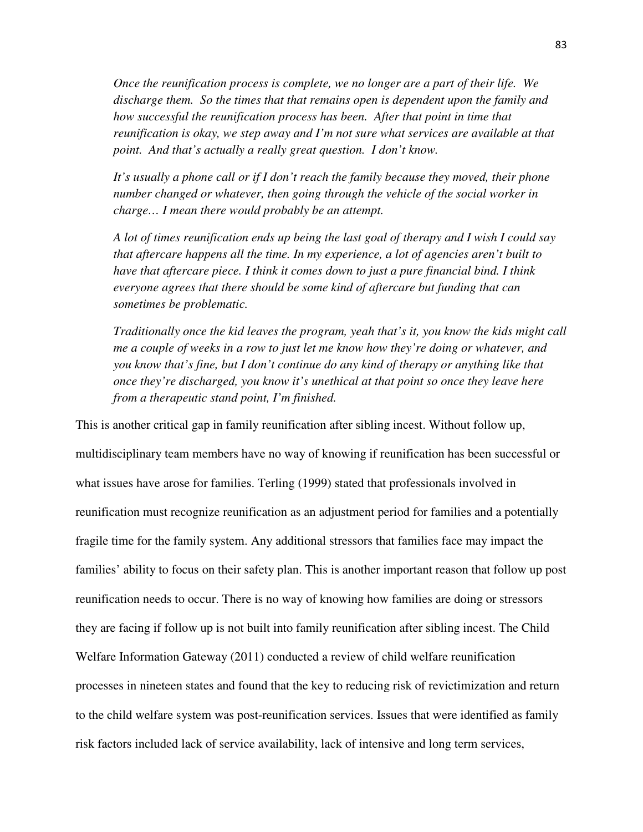*Once the reunification process is complete, we no longer are a part of their life. We discharge them. So the times that that remains open is dependent upon the family and how successful the reunification process has been. After that point in time that reunification is okay, we step away and I'm not sure what services are available at that point. And that's actually a really great question. I don't know.* 

*It's usually a phone call or if I don't reach the family because they moved, their phone number changed or whatever, then going through the vehicle of the social worker in charge… I mean there would probably be an attempt.* 

*A lot of times reunification ends up being the last goal of therapy and I wish I could say that aftercare happens all the time. In my experience, a lot of agencies aren't built to have that aftercare piece. I think it comes down to just a pure financial bind. I think everyone agrees that there should be some kind of aftercare but funding that can sometimes be problematic.* 

*Traditionally once the kid leaves the program, yeah that's it, you know the kids might call me a couple of weeks in a row to just let me know how they're doing or whatever, and you know that's fine, but I don't continue do any kind of therapy or anything like that once they're discharged, you know it's unethical at that point so once they leave here from a therapeutic stand point, I'm finished.* 

This is another critical gap in family reunification after sibling incest. Without follow up, multidisciplinary team members have no way of knowing if reunification has been successful or what issues have arose for families. Terling (1999) stated that professionals involved in reunification must recognize reunification as an adjustment period for families and a potentially fragile time for the family system. Any additional stressors that families face may impact the families' ability to focus on their safety plan. This is another important reason that follow up post reunification needs to occur. There is no way of knowing how families are doing or stressors they are facing if follow up is not built into family reunification after sibling incest. The Child Welfare Information Gateway (2011) conducted a review of child welfare reunification processes in nineteen states and found that the key to reducing risk of revictimization and return to the child welfare system was post-reunification services. Issues that were identified as family risk factors included lack of service availability, lack of intensive and long term services,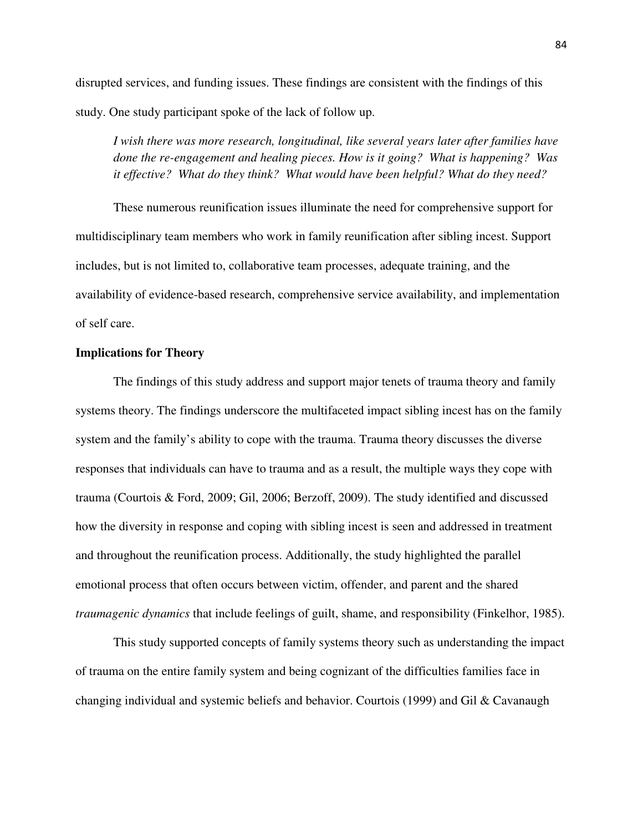disrupted services, and funding issues. These findings are consistent with the findings of this study. One study participant spoke of the lack of follow up.

*I wish there was more research, longitudinal, like several years later after families have done the re-engagement and healing pieces. How is it going? What is happening? Was it effective? What do they think? What would have been helpful? What do they need?* 

These numerous reunification issues illuminate the need for comprehensive support for multidisciplinary team members who work in family reunification after sibling incest. Support includes, but is not limited to, collaborative team processes, adequate training, and the availability of evidence-based research, comprehensive service availability, and implementation of self care.

### **Implications for Theory**

The findings of this study address and support major tenets of trauma theory and family systems theory. The findings underscore the multifaceted impact sibling incest has on the family system and the family's ability to cope with the trauma. Trauma theory discusses the diverse responses that individuals can have to trauma and as a result, the multiple ways they cope with trauma (Courtois & Ford, 2009; Gil, 2006; Berzoff, 2009). The study identified and discussed how the diversity in response and coping with sibling incest is seen and addressed in treatment and throughout the reunification process. Additionally, the study highlighted the parallel emotional process that often occurs between victim, offender, and parent and the shared *traumagenic dynamics* that include feelings of guilt, shame, and responsibility (Finkelhor, 1985).

This study supported concepts of family systems theory such as understanding the impact of trauma on the entire family system and being cognizant of the difficulties families face in changing individual and systemic beliefs and behavior. Courtois (1999) and Gil & Cavanaugh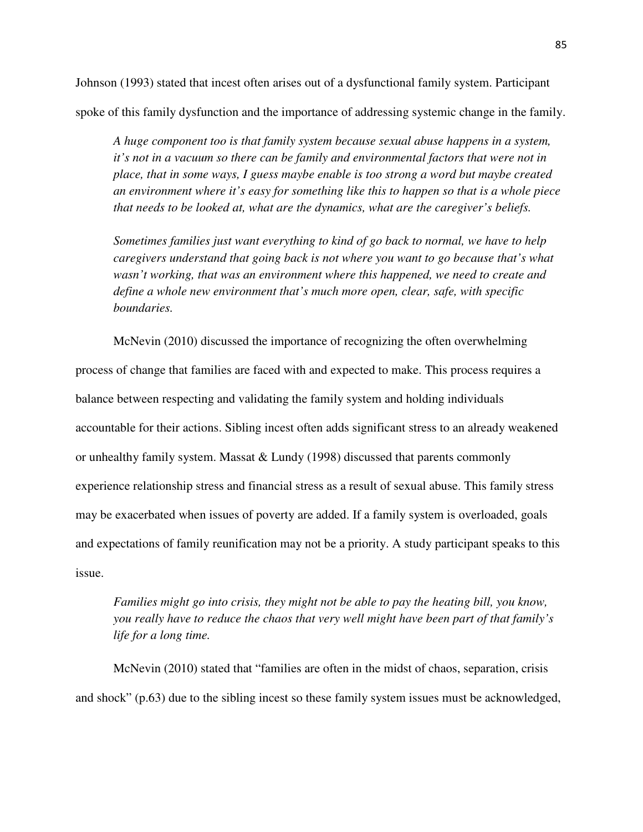Johnson (1993) stated that incest often arises out of a dysfunctional family system. Participant spoke of this family dysfunction and the importance of addressing systemic change in the family.

*A huge component too is that family system because sexual abuse happens in a system, it's not in a vacuum so there can be family and environmental factors that were not in place, that in some ways, I guess maybe enable is too strong a word but maybe created an environment where it's easy for something like this to happen so that is a whole piece that needs to be looked at, what are the dynamics, what are the caregiver's beliefs.* 

*Sometimes families just want everything to kind of go back to normal, we have to help caregivers understand that going back is not where you want to go because that's what wasn't working, that was an environment where this happened, we need to create and define a whole new environment that's much more open, clear, safe, with specific boundaries.* 

McNevin (2010) discussed the importance of recognizing the often overwhelming process of change that families are faced with and expected to make. This process requires a balance between respecting and validating the family system and holding individuals accountable for their actions. Sibling incest often adds significant stress to an already weakened or unhealthy family system. Massat & Lundy (1998) discussed that parents commonly experience relationship stress and financial stress as a result of sexual abuse. This family stress may be exacerbated when issues of poverty are added. If a family system is overloaded, goals and expectations of family reunification may not be a priority. A study participant speaks to this issue.

*Families might go into crisis, they might not be able to pay the heating bill, you know, you really have to reduce the chaos that very well might have been part of that family's life for a long time.* 

McNevin (2010) stated that "families are often in the midst of chaos, separation, crisis and shock" (p.63) due to the sibling incest so these family system issues must be acknowledged,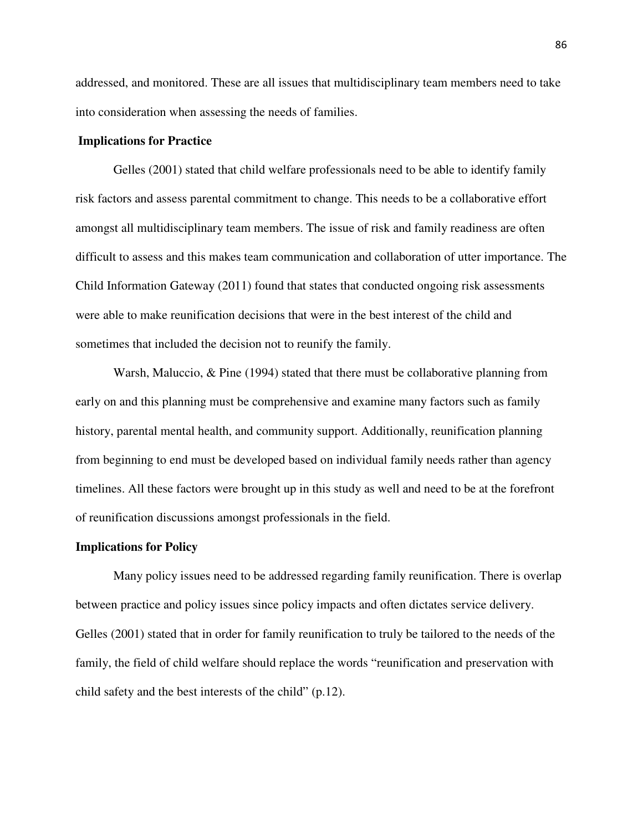addressed, and monitored. These are all issues that multidisciplinary team members need to take into consideration when assessing the needs of families.

### **Implications for Practice**

Gelles (2001) stated that child welfare professionals need to be able to identify family risk factors and assess parental commitment to change. This needs to be a collaborative effort amongst all multidisciplinary team members. The issue of risk and family readiness are often difficult to assess and this makes team communication and collaboration of utter importance. The Child Information Gateway (2011) found that states that conducted ongoing risk assessments were able to make reunification decisions that were in the best interest of the child and sometimes that included the decision not to reunify the family.

Warsh, Maluccio, & Pine (1994) stated that there must be collaborative planning from early on and this planning must be comprehensive and examine many factors such as family history, parental mental health, and community support. Additionally, reunification planning from beginning to end must be developed based on individual family needs rather than agency timelines. All these factors were brought up in this study as well and need to be at the forefront of reunification discussions amongst professionals in the field.

#### **Implications for Policy**

Many policy issues need to be addressed regarding family reunification. There is overlap between practice and policy issues since policy impacts and often dictates service delivery. Gelles (2001) stated that in order for family reunification to truly be tailored to the needs of the family, the field of child welfare should replace the words "reunification and preservation with child safety and the best interests of the child" (p.12).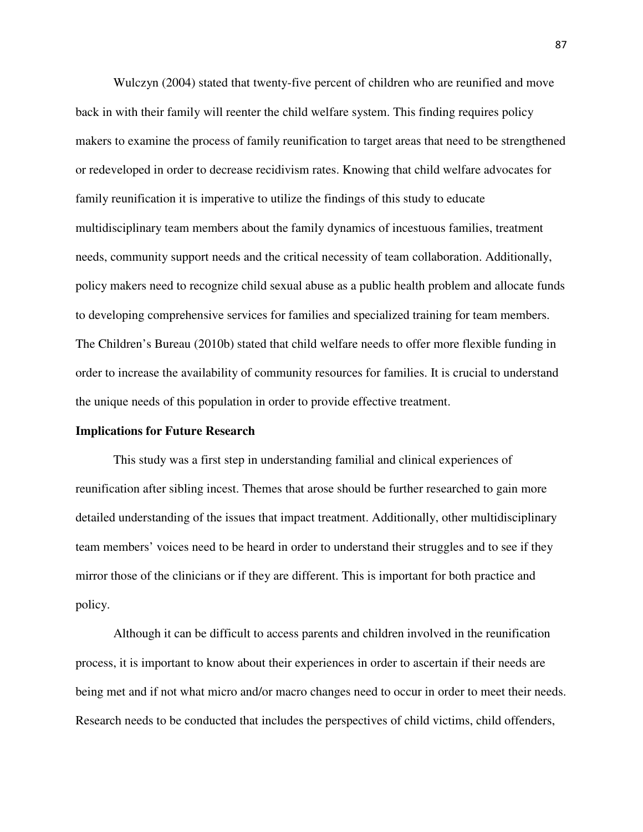Wulczyn (2004) stated that twenty-five percent of children who are reunified and move back in with their family will reenter the child welfare system. This finding requires policy makers to examine the process of family reunification to target areas that need to be strengthened or redeveloped in order to decrease recidivism rates. Knowing that child welfare advocates for family reunification it is imperative to utilize the findings of this study to educate multidisciplinary team members about the family dynamics of incestuous families, treatment needs, community support needs and the critical necessity of team collaboration. Additionally, policy makers need to recognize child sexual abuse as a public health problem and allocate funds to developing comprehensive services for families and specialized training for team members. The Children's Bureau (2010b) stated that child welfare needs to offer more flexible funding in order to increase the availability of community resources for families. It is crucial to understand the unique needs of this population in order to provide effective treatment.

### **Implications for Future Research**

This study was a first step in understanding familial and clinical experiences of reunification after sibling incest. Themes that arose should be further researched to gain more detailed understanding of the issues that impact treatment. Additionally, other multidisciplinary team members' voices need to be heard in order to understand their struggles and to see if they mirror those of the clinicians or if they are different. This is important for both practice and policy.

Although it can be difficult to access parents and children involved in the reunification process, it is important to know about their experiences in order to ascertain if their needs are being met and if not what micro and/or macro changes need to occur in order to meet their needs. Research needs to be conducted that includes the perspectives of child victims, child offenders,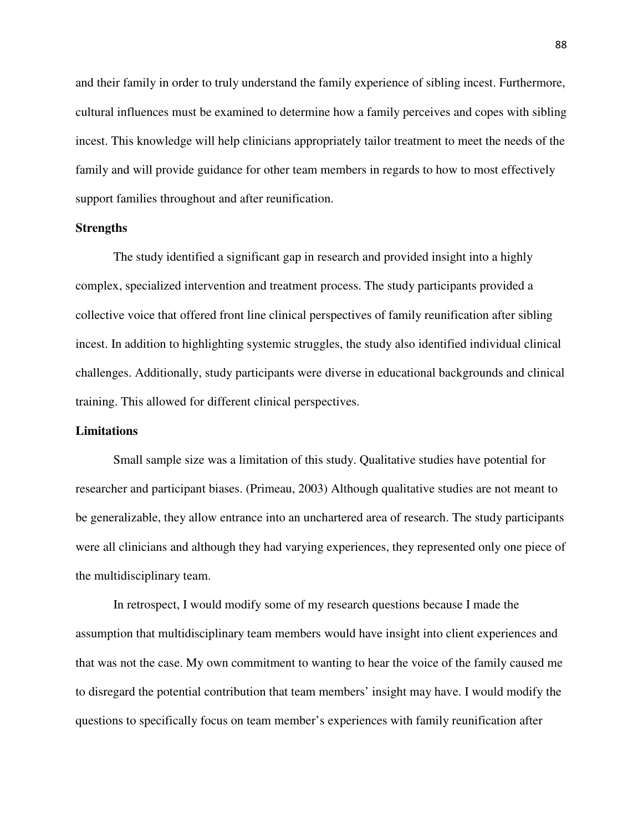and their family in order to truly understand the family experience of sibling incest. Furthermore, cultural influences must be examined to determine how a family perceives and copes with sibling incest. This knowledge will help clinicians appropriately tailor treatment to meet the needs of the family and will provide guidance for other team members in regards to how to most effectively support families throughout and after reunification.

### **Strengths**

The study identified a significant gap in research and provided insight into a highly complex, specialized intervention and treatment process. The study participants provided a collective voice that offered front line clinical perspectives of family reunification after sibling incest. In addition to highlighting systemic struggles, the study also identified individual clinical challenges. Additionally, study participants were diverse in educational backgrounds and clinical training. This allowed for different clinical perspectives.

### **Limitations**

Small sample size was a limitation of this study. Qualitative studies have potential for researcher and participant biases. (Primeau, 2003) Although qualitative studies are not meant to be generalizable, they allow entrance into an unchartered area of research. The study participants were all clinicians and although they had varying experiences, they represented only one piece of the multidisciplinary team.

In retrospect, I would modify some of my research questions because I made the assumption that multidisciplinary team members would have insight into client experiences and that was not the case. My own commitment to wanting to hear the voice of the family caused me to disregard the potential contribution that team members' insight may have. I would modify the questions to specifically focus on team member's experiences with family reunification after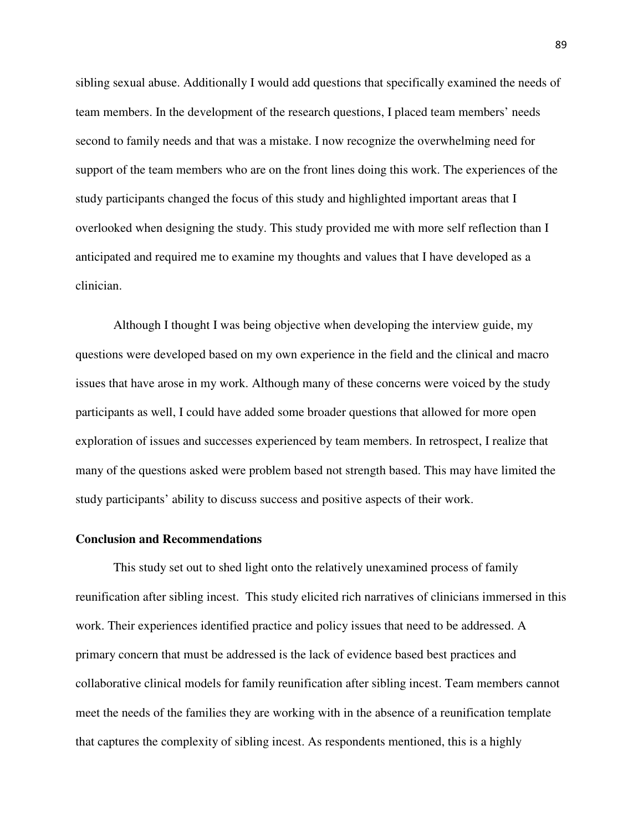sibling sexual abuse. Additionally I would add questions that specifically examined the needs of team members. In the development of the research questions, I placed team members' needs second to family needs and that was a mistake. I now recognize the overwhelming need for support of the team members who are on the front lines doing this work. The experiences of the study participants changed the focus of this study and highlighted important areas that I overlooked when designing the study. This study provided me with more self reflection than I anticipated and required me to examine my thoughts and values that I have developed as a clinician.

Although I thought I was being objective when developing the interview guide, my questions were developed based on my own experience in the field and the clinical and macro issues that have arose in my work. Although many of these concerns were voiced by the study participants as well, I could have added some broader questions that allowed for more open exploration of issues and successes experienced by team members. In retrospect, I realize that many of the questions asked were problem based not strength based. This may have limited the study participants' ability to discuss success and positive aspects of their work.

## **Conclusion and Recommendations**

This study set out to shed light onto the relatively unexamined process of family reunification after sibling incest. This study elicited rich narratives of clinicians immersed in this work. Their experiences identified practice and policy issues that need to be addressed. A primary concern that must be addressed is the lack of evidence based best practices and collaborative clinical models for family reunification after sibling incest. Team members cannot meet the needs of the families they are working with in the absence of a reunification template that captures the complexity of sibling incest. As respondents mentioned, this is a highly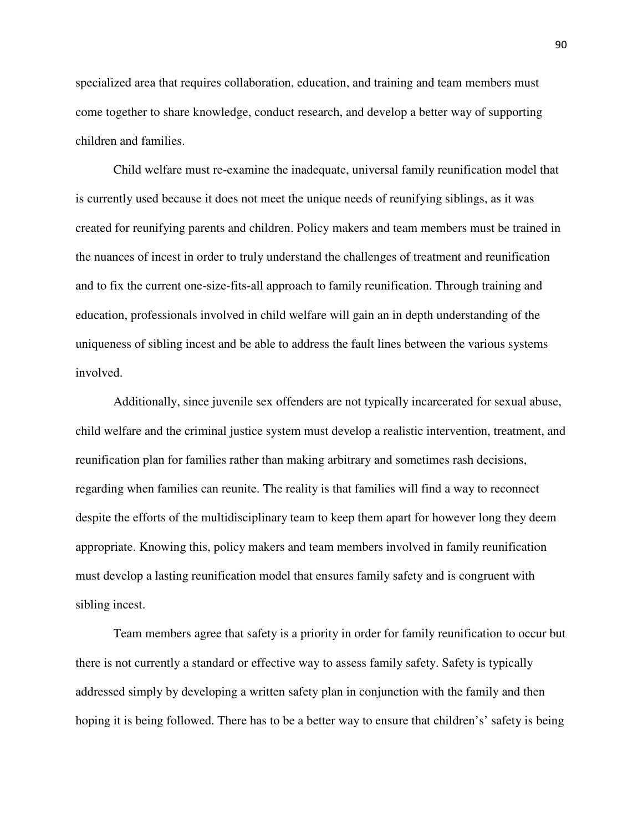specialized area that requires collaboration, education, and training and team members must come together to share knowledge, conduct research, and develop a better way of supporting children and families.

Child welfare must re-examine the inadequate, universal family reunification model that is currently used because it does not meet the unique needs of reunifying siblings, as it was created for reunifying parents and children. Policy makers and team members must be trained in the nuances of incest in order to truly understand the challenges of treatment and reunification and to fix the current one-size-fits-all approach to family reunification. Through training and education, professionals involved in child welfare will gain an in depth understanding of the uniqueness of sibling incest and be able to address the fault lines between the various systems involved.

Additionally, since juvenile sex offenders are not typically incarcerated for sexual abuse, child welfare and the criminal justice system must develop a realistic intervention, treatment, and reunification plan for families rather than making arbitrary and sometimes rash decisions, regarding when families can reunite. The reality is that families will find a way to reconnect despite the efforts of the multidisciplinary team to keep them apart for however long they deem appropriate. Knowing this, policy makers and team members involved in family reunification must develop a lasting reunification model that ensures family safety and is congruent with sibling incest.

Team members agree that safety is a priority in order for family reunification to occur but there is not currently a standard or effective way to assess family safety. Safety is typically addressed simply by developing a written safety plan in conjunction with the family and then hoping it is being followed. There has to be a better way to ensure that children's' safety is being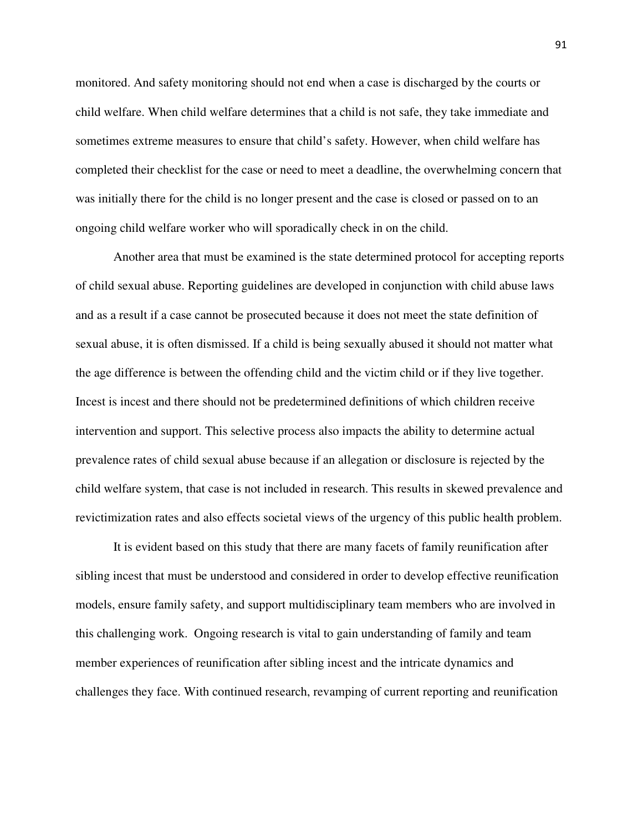monitored. And safety monitoring should not end when a case is discharged by the courts or child welfare. When child welfare determines that a child is not safe, they take immediate and sometimes extreme measures to ensure that child's safety. However, when child welfare has completed their checklist for the case or need to meet a deadline, the overwhelming concern that was initially there for the child is no longer present and the case is closed or passed on to an ongoing child welfare worker who will sporadically check in on the child.

Another area that must be examined is the state determined protocol for accepting reports of child sexual abuse. Reporting guidelines are developed in conjunction with child abuse laws and as a result if a case cannot be prosecuted because it does not meet the state definition of sexual abuse, it is often dismissed. If a child is being sexually abused it should not matter what the age difference is between the offending child and the victim child or if they live together. Incest is incest and there should not be predetermined definitions of which children receive intervention and support. This selective process also impacts the ability to determine actual prevalence rates of child sexual abuse because if an allegation or disclosure is rejected by the child welfare system, that case is not included in research. This results in skewed prevalence and revictimization rates and also effects societal views of the urgency of this public health problem.

 It is evident based on this study that there are many facets of family reunification after sibling incest that must be understood and considered in order to develop effective reunification models, ensure family safety, and support multidisciplinary team members who are involved in this challenging work. Ongoing research is vital to gain understanding of family and team member experiences of reunification after sibling incest and the intricate dynamics and challenges they face. With continued research, revamping of current reporting and reunification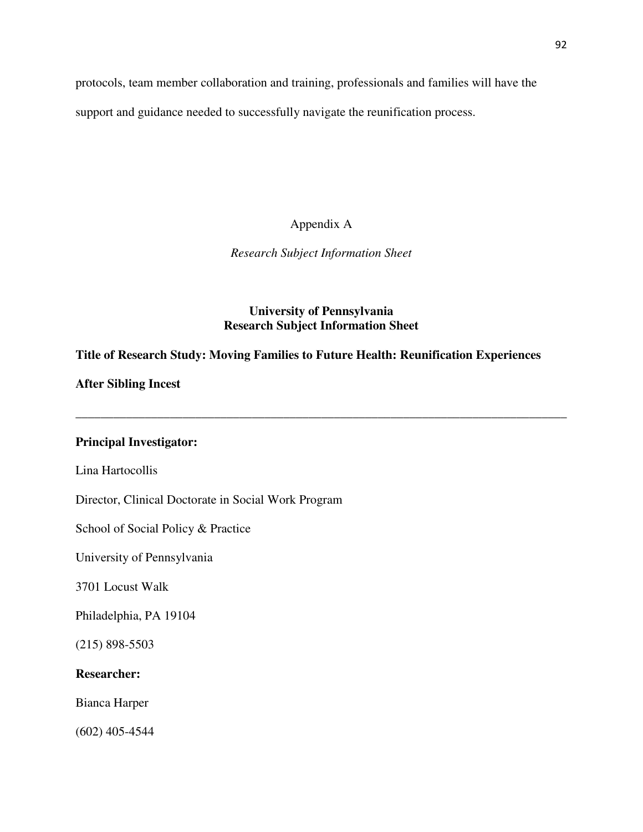protocols, team member collaboration and training, professionals and families will have the support and guidance needed to successfully navigate the reunification process.

Appendix A

*Research Subject Information Sheet* 

# **University of Pennsylvania Research Subject Information Sheet**

**\_\_\_\_\_\_\_\_\_\_\_\_\_\_\_\_\_\_\_\_\_\_\_\_\_\_\_\_\_\_\_\_\_\_\_\_\_\_\_\_\_\_\_\_\_\_\_\_\_\_\_\_\_\_\_\_\_\_\_\_\_\_\_\_\_\_\_\_\_\_\_\_\_\_\_\_\_\_** 

# **Title of Research Study: Moving Families to Future Health: Reunification Experiences**

**After Sibling Incest** 

# **Principal Investigator:**

Lina Hartocollis

Director, Clinical Doctorate in Social Work Program

School of Social Policy & Practice

University of Pennsylvania

3701 Locust Walk

Philadelphia, PA 19104

(215) 898-5503

# **Researcher:**

Bianca Harper

(602) 405-4544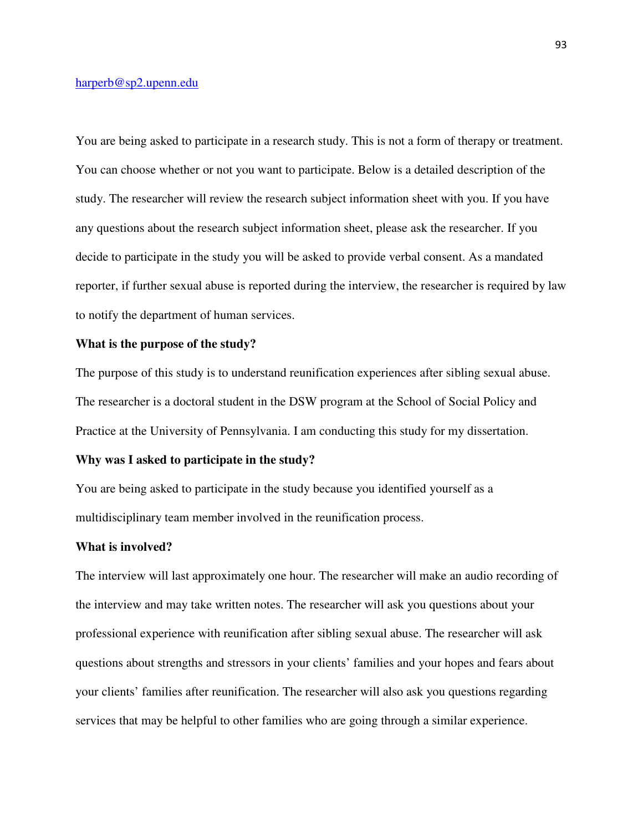### harperb@sp2.upenn.edu

You are being asked to participate in a research study. This is not a form of therapy or treatment. You can choose whether or not you want to participate. Below is a detailed description of the study. The researcher will review the research subject information sheet with you. If you have any questions about the research subject information sheet, please ask the researcher. If you decide to participate in the study you will be asked to provide verbal consent. As a mandated reporter, if further sexual abuse is reported during the interview, the researcher is required by law to notify the department of human services.

### **What is the purpose of the study?**

The purpose of this study is to understand reunification experiences after sibling sexual abuse. The researcher is a doctoral student in the DSW program at the School of Social Policy and Practice at the University of Pennsylvania. I am conducting this study for my dissertation.

### **Why was I asked to participate in the study?**

You are being asked to participate in the study because you identified yourself as a multidisciplinary team member involved in the reunification process.

### **What is involved?**

The interview will last approximately one hour. The researcher will make an audio recording of the interview and may take written notes. The researcher will ask you questions about your professional experience with reunification after sibling sexual abuse. The researcher will ask questions about strengths and stressors in your clients' families and your hopes and fears about your clients' families after reunification. The researcher will also ask you questions regarding services that may be helpful to other families who are going through a similar experience.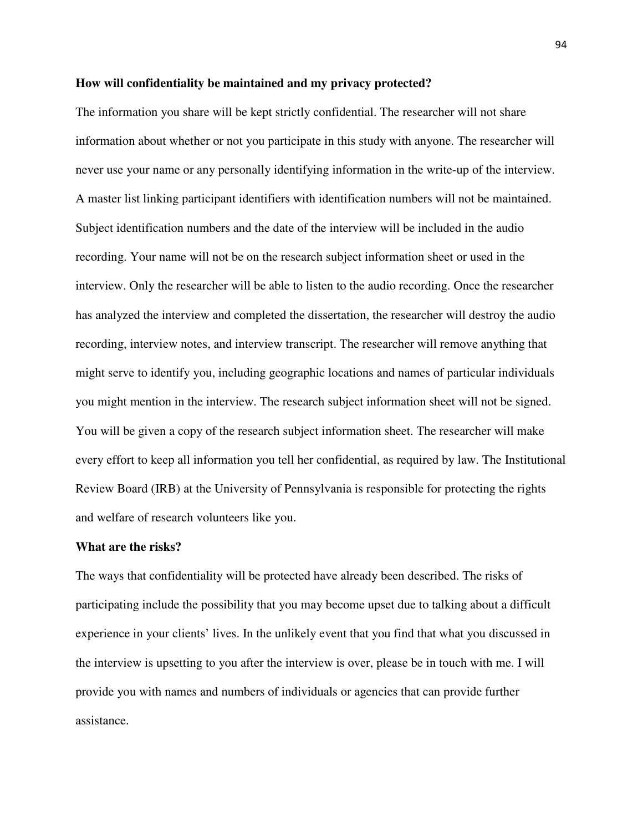### **How will confidentiality be maintained and my privacy protected?**

The information you share will be kept strictly confidential. The researcher will not share information about whether or not you participate in this study with anyone. The researcher will never use your name or any personally identifying information in the write-up of the interview. A master list linking participant identifiers with identification numbers will not be maintained. Subject identification numbers and the date of the interview will be included in the audio recording. Your name will not be on the research subject information sheet or used in the interview. Only the researcher will be able to listen to the audio recording. Once the researcher has analyzed the interview and completed the dissertation, the researcher will destroy the audio recording, interview notes, and interview transcript. The researcher will remove anything that might serve to identify you, including geographic locations and names of particular individuals you might mention in the interview. The research subject information sheet will not be signed. You will be given a copy of the research subject information sheet. The researcher will make every effort to keep all information you tell her confidential, as required by law. The Institutional Review Board (IRB) at the University of Pennsylvania is responsible for protecting the rights and welfare of research volunteers like you.

#### **What are the risks?**

The ways that confidentiality will be protected have already been described. The risks of participating include the possibility that you may become upset due to talking about a difficult experience in your clients' lives. In the unlikely event that you find that what you discussed in the interview is upsetting to you after the interview is over, please be in touch with me. I will provide you with names and numbers of individuals or agencies that can provide further assistance.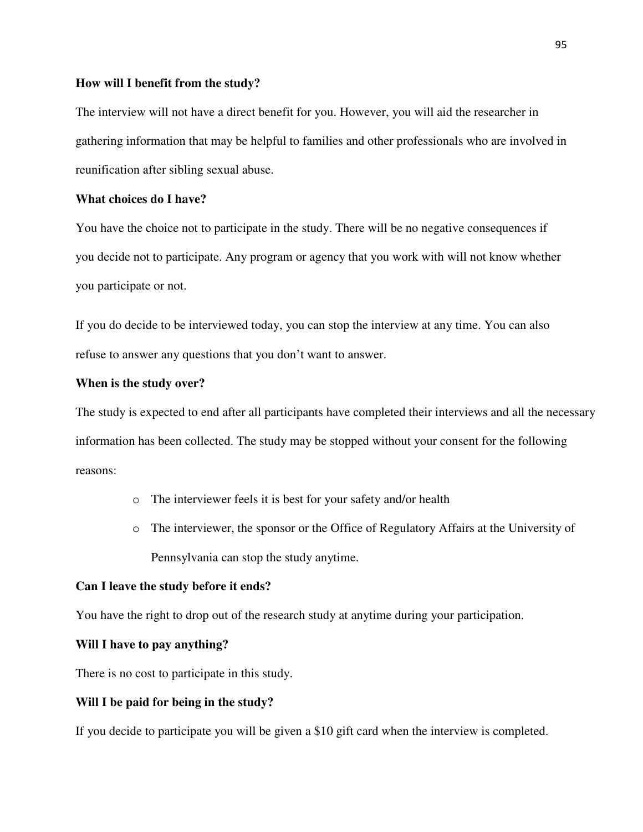## **How will I benefit from the study?**

The interview will not have a direct benefit for you. However, you will aid the researcher in gathering information that may be helpful to families and other professionals who are involved in reunification after sibling sexual abuse.

# **What choices do I have?**

You have the choice not to participate in the study. There will be no negative consequences if you decide not to participate. Any program or agency that you work with will not know whether you participate or not.

If you do decide to be interviewed today, you can stop the interview at any time. You can also refuse to answer any questions that you don't want to answer.

## **When is the study over?**

The study is expected to end after all participants have completed their interviews and all the necessary information has been collected. The study may be stopped without your consent for the following reasons:

- o The interviewer feels it is best for your safety and/or health
- o The interviewer, the sponsor or the Office of Regulatory Affairs at the University of Pennsylvania can stop the study anytime.

### **Can I leave the study before it ends?**

You have the right to drop out of the research study at anytime during your participation.

#### **Will I have to pay anything?**

There is no cost to participate in this study.

### **Will I be paid for being in the study?**

If you decide to participate you will be given a \$10 gift card when the interview is completed.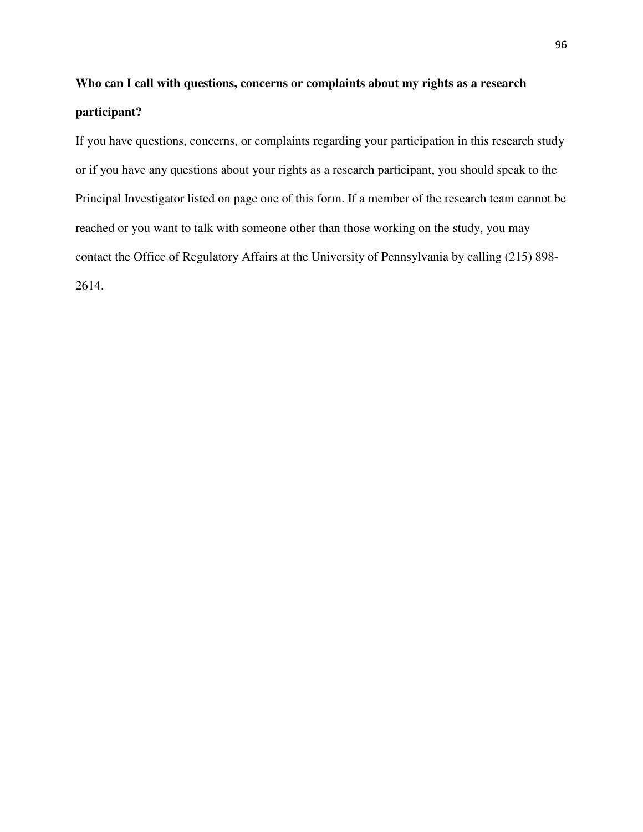# **Who can I call with questions, concerns or complaints about my rights as a research participant?**

If you have questions, concerns, or complaints regarding your participation in this research study or if you have any questions about your rights as a research participant, you should speak to the Principal Investigator listed on page one of this form. If a member of the research team cannot be reached or you want to talk with someone other than those working on the study, you may contact the Office of Regulatory Affairs at the University of Pennsylvania by calling (215) 898- 2614.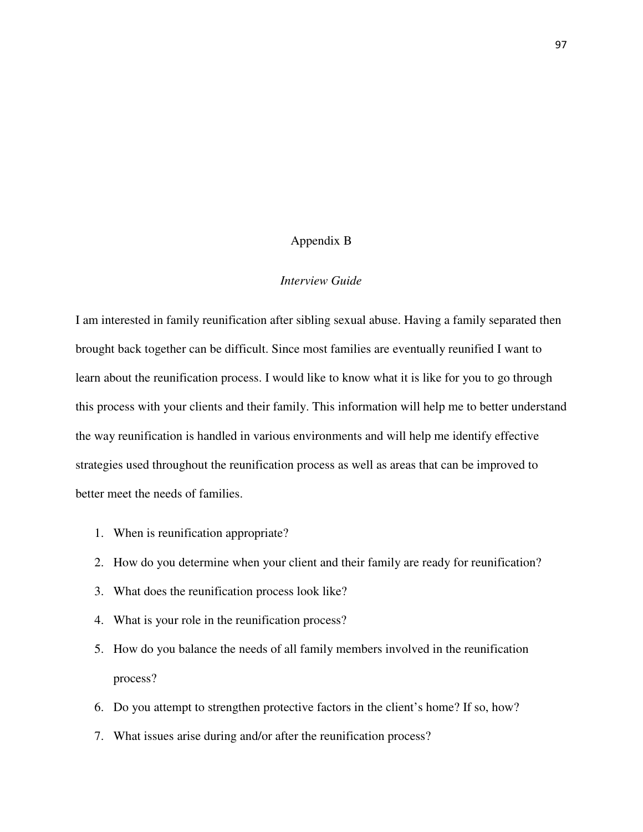## Appendix B

## *Interview Guide*

I am interested in family reunification after sibling sexual abuse. Having a family separated then brought back together can be difficult. Since most families are eventually reunified I want to learn about the reunification process. I would like to know what it is like for you to go through this process with your clients and their family. This information will help me to better understand the way reunification is handled in various environments and will help me identify effective strategies used throughout the reunification process as well as areas that can be improved to better meet the needs of families.

- 1. When is reunification appropriate?
- 2. How do you determine when your client and their family are ready for reunification?
- 3. What does the reunification process look like?
- 4. What is your role in the reunification process?
- 5. How do you balance the needs of all family members involved in the reunification process?
- 6. Do you attempt to strengthen protective factors in the client's home? If so, how?
- 7. What issues arise during and/or after the reunification process?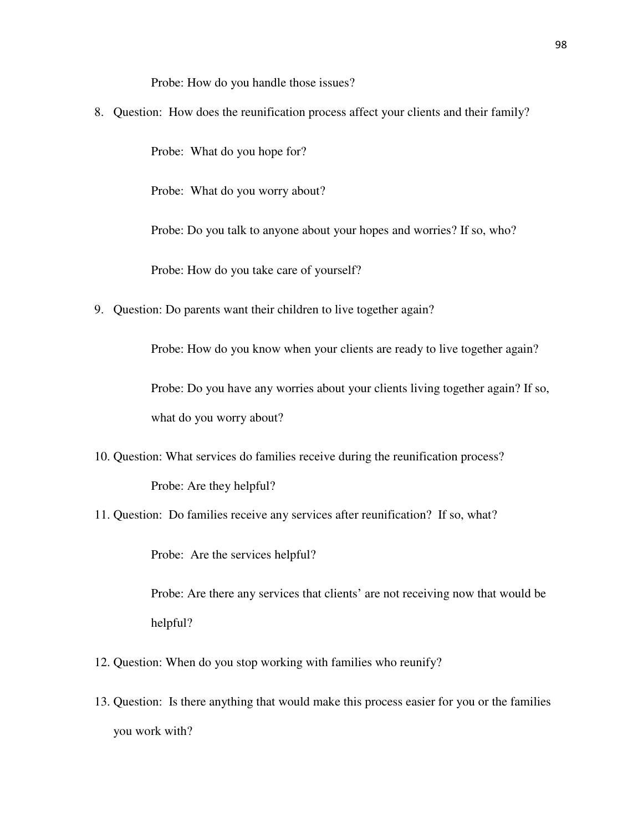Probe: How do you handle those issues?

8. Question: How does the reunification process affect your clients and their family?

Probe: What do you hope for?

Probe: What do you worry about?

Probe: Do you talk to anyone about your hopes and worries? If so, who?

Probe: How do you take care of yourself?

9. Question: Do parents want their children to live together again?

Probe: How do you know when your clients are ready to live together again?

Probe: Do you have any worries about your clients living together again? If so, what do you worry about?

- 10. Question: What services do families receive during the reunification process? Probe: Are they helpful?
- 11. Question: Do families receive any services after reunification? If so, what?

Probe: Are the services helpful?

Probe: Are there any services that clients' are not receiving now that would be helpful?

- 12. Question: When do you stop working with families who reunify?
- 13. Question: Is there anything that would make this process easier for you or the families you work with?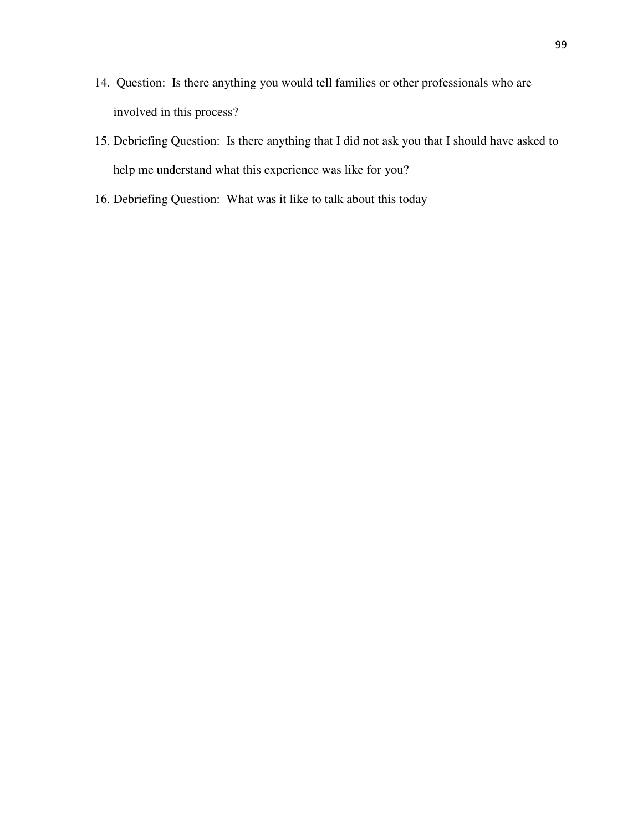- 14. Question: Is there anything you would tell families or other professionals who are involved in this process?
- 15. Debriefing Question: Is there anything that I did not ask you that I should have asked to help me understand what this experience was like for you?
- 16. Debriefing Question: What was it like to talk about this today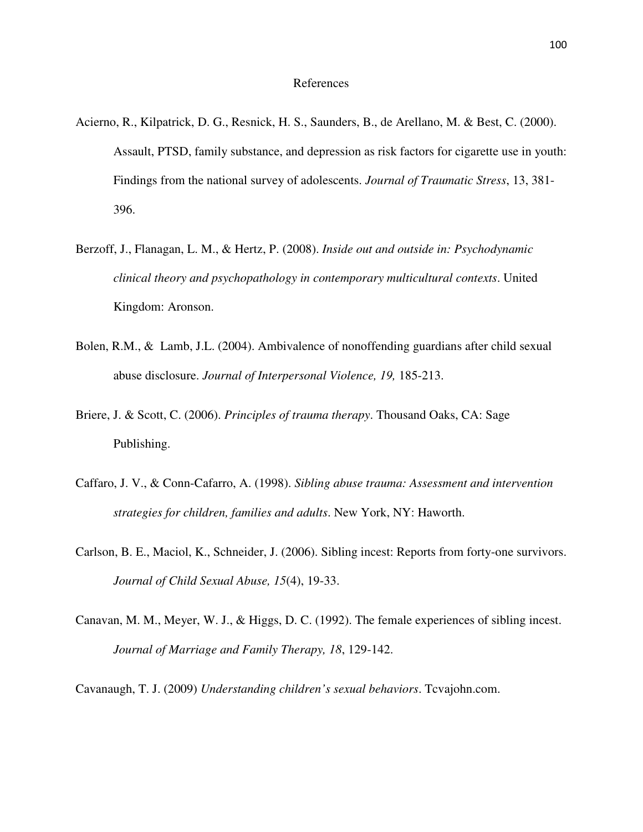## References

- Acierno, R., Kilpatrick, D. G., Resnick, H. S., Saunders, B., de Arellano, M. & Best, C. (2000). Assault, PTSD, family substance, and depression as risk factors for cigarette use in youth: Findings from the national survey of adolescents. *Journal of Traumatic Stress*, 13, 381- 396.
- Berzoff, J., Flanagan, L. M., & Hertz, P. (2008). *Inside out and outside in: Psychodynamic clinical theory and psychopathology in contemporary multicultural contexts*. United Kingdom: Aronson.
- Bolen, R.M., & Lamb, J.L. (2004). Ambivalence of nonoffending guardians after child sexual abuse disclosure. *Journal of Interpersonal Violence, 19,* 185-213.
- Briere, J. & Scott, C. (2006). *Principles of trauma therapy*. Thousand Oaks, CA: Sage Publishing.
- Caffaro, J. V., & Conn-Cafarro, A. (1998). *Sibling abuse trauma: Assessment and intervention strategies for children, families and adults*. New York, NY: Haworth.
- Carlson, B. E., Maciol, K., Schneider, J. (2006). Sibling incest: Reports from forty-one survivors. *Journal of Child Sexual Abuse, 15*(4), 19-33.
- Canavan, M. M., Meyer, W. J., & Higgs, D. C. (1992). The female experiences of sibling incest. *Journal of Marriage and Family Therapy, 18*, 129-142.

Cavanaugh, T. J. (2009) *Understanding children's sexual behaviors*. Tcvajohn.com.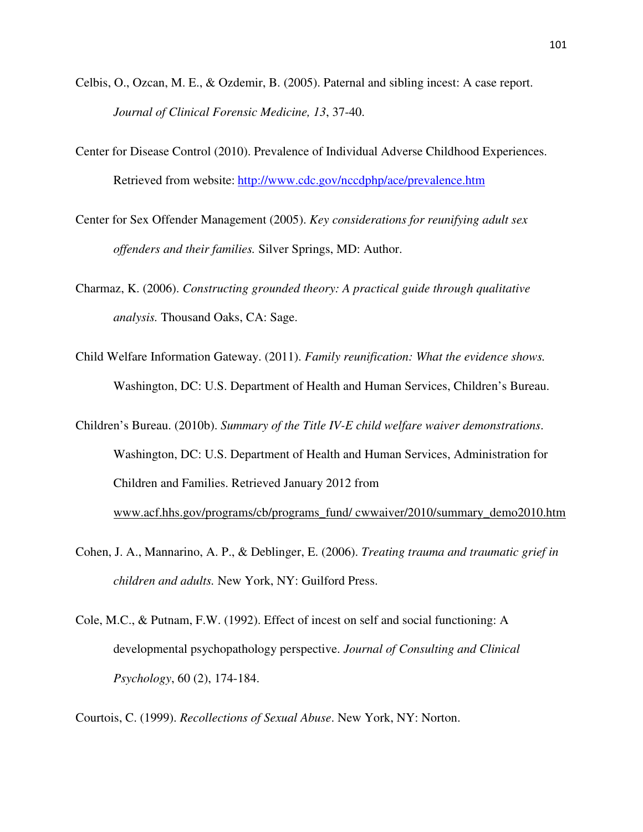- Celbis, O., Ozcan, M. E., & Ozdemir, B. (2005). Paternal and sibling incest: A case report. *Journal of Clinical Forensic Medicine, 13*, 37-40.
- Center for Disease Control (2010). Prevalence of Individual Adverse Childhood Experiences. Retrieved from website: http://www.cdc.gov/nccdphp/ace/prevalence.htm
- Center for Sex Offender Management (2005). *Key considerations for reunifying adult sex offenders and their families.* Silver Springs, MD: Author.
- Charmaz, K. (2006). *Constructing grounded theory: A practical guide through qualitative analysis.* Thousand Oaks, CA: Sage.
- Child Welfare Information Gateway. (2011). *Family reunification: What the evidence shows.*  Washington, DC: U.S. Department of Health and Human Services, Children's Bureau.
- Children's Bureau. (2010b). *Summary of the Title IV-E child welfare waiver demonstrations*. Washington, DC: U.S. Department of Health and Human Services, Administration for Children and Families. Retrieved January 2012 from www.acf.hhs.gov/programs/cb/programs\_fund/ cwwaiver/2010/summary\_demo2010.htm
- Cohen, J. A., Mannarino, A. P., & Deblinger, E. (2006). *Treating trauma and traumatic grief in children and adults.* New York, NY: Guilford Press.
- Cole, M.C., & Putnam, F.W. (1992). Effect of incest on self and social functioning: A developmental psychopathology perspective. *Journal of Consulting and Clinical Psychology*, 60 (2), 174-184.

Courtois, C. (1999). *Recollections of Sexual Abuse*. New York, NY: Norton.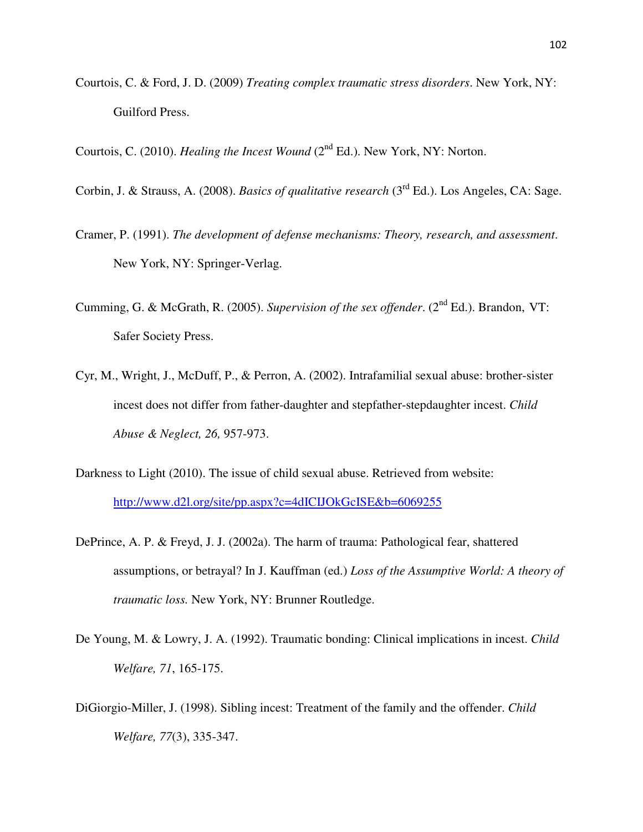Courtois, C. & Ford, J. D. (2009) *Treating complex traumatic stress disorders*. New York, NY: Guilford Press.

Courtois, C. (2010). *Healing the Incest Wound* (2<sup>nd</sup> Ed.). New York, NY: Norton.

- Corbin, J. & Strauss, A. (2008). *Basics of qualitative research* (3rd Ed.). Los Angeles, CA: Sage.
- Cramer, P. (1991). *The development of defense mechanisms: Theory, research, and assessment*. New York, NY: Springer-Verlag.
- Cumming, G. & McGrath, R. (2005). *Supervision of the sex offender*. (2nd Ed.). Brandon, VT: Safer Society Press.
- Cyr, M., Wright, J., McDuff, P., & Perron, A. (2002). Intrafamilial sexual abuse: brother-sister incest does not differ from father-daughter and stepfather-stepdaughter incest. *Child Abuse & Neglect, 26,* 957-973.
- Darkness to Light (2010). The issue of child sexual abuse. Retrieved from website: http://www.d2l.org/site/pp.aspx?c=4dICIJOkGcISE&b=6069255
- DePrince, A. P. & Freyd, J. J. (2002a). The harm of trauma: Pathological fear, shattered assumptions, or betrayal? In J. Kauffman (ed.) *Loss of the Assumptive World: A theory of traumatic loss.* New York, NY: Brunner Routledge.
- De Young, M. & Lowry, J. A. (1992). Traumatic bonding: Clinical implications in incest. *Child Welfare, 71*, 165-175.
- DiGiorgio-Miller, J. (1998). Sibling incest: Treatment of the family and the offender. *Child Welfare, 77*(3), 335-347.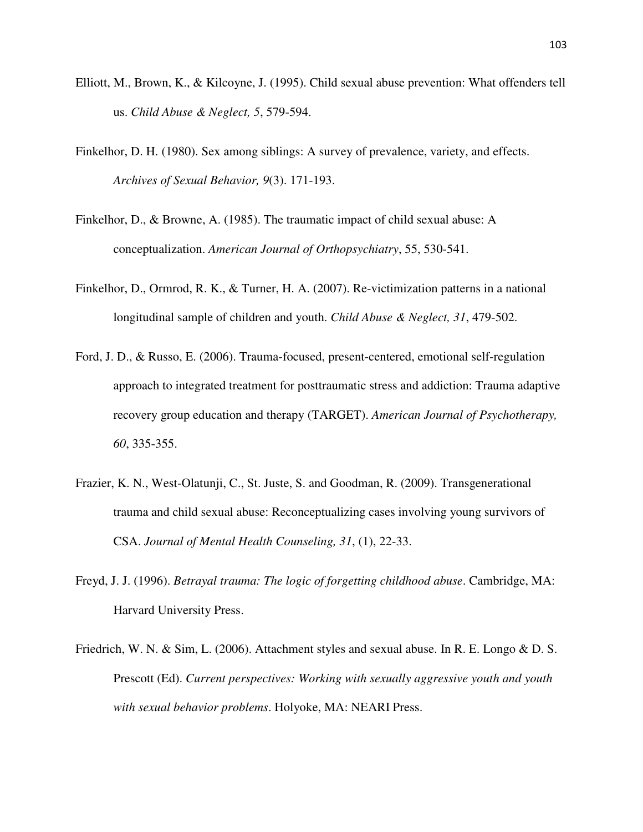- Elliott, M., Brown, K., & Kilcoyne, J. (1995). Child sexual abuse prevention: What offenders tell us. *Child Abuse & Neglect, 5*, 579-594.
- Finkelhor, D. H. (1980). Sex among siblings: A survey of prevalence, variety, and effects. *Archives of Sexual Behavior, 9*(3). 171-193.
- Finkelhor, D., & Browne, A. (1985). The traumatic impact of child sexual abuse: A conceptualization. *American Journal of Orthopsychiatry*, 55, 530-541.
- Finkelhor, D., Ormrod, R. K., & Turner, H. A. (2007). Re-victimization patterns in a national longitudinal sample of children and youth. *Child Abuse & Neglect, 31*, 479-502.
- Ford, J. D., & Russo, E. (2006). Trauma-focused, present-centered, emotional self-regulation approach to integrated treatment for posttraumatic stress and addiction: Trauma adaptive recovery group education and therapy (TARGET). *American Journal of Psychotherapy, 60*, 335-355.
- Frazier, K. N., West-Olatunji, C., St. Juste, S. and Goodman, R. (2009). Transgenerational trauma and child sexual abuse: Reconceptualizing cases involving young survivors of CSA. *Journal of Mental Health Counseling, 31*, (1), 22-33.
- Freyd, J. J. (1996). *Betrayal trauma: The logic of forgetting childhood abuse*. Cambridge, MA: Harvard University Press.
- Friedrich, W. N. & Sim, L. (2006). Attachment styles and sexual abuse. In R. E. Longo & D. S. Prescott (Ed). *Current perspectives: Working with sexually aggressive youth and youth with sexual behavior problems*. Holyoke, MA: NEARI Press.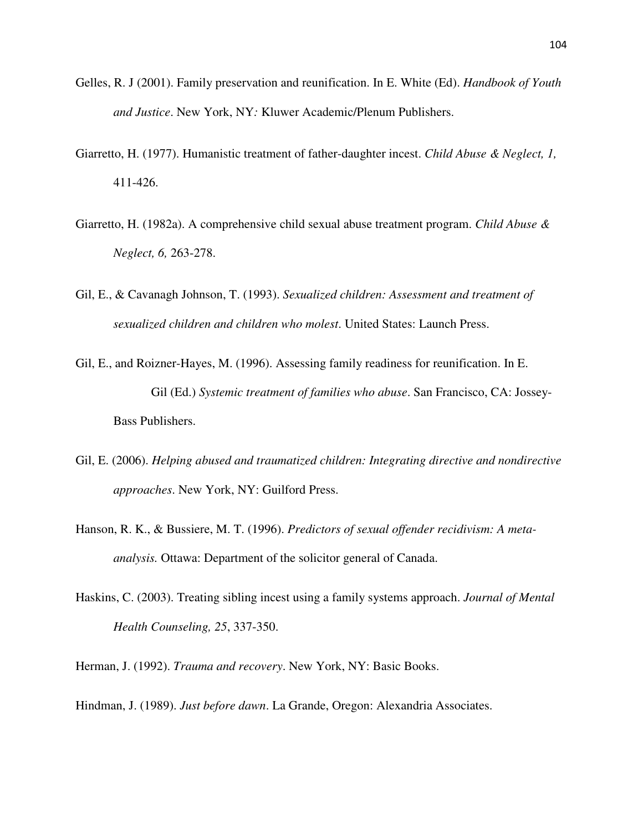- Gelles, R. J (2001). Family preservation and reunification. In E. White (Ed). *Handbook of Youth and Justice*. New York, NY*:* Kluwer Academic/Plenum Publishers.
- Giarretto, H. (1977). Humanistic treatment of father-daughter incest. *Child Abuse & Neglect, 1,* 411-426.
- Giarretto, H. (1982a). A comprehensive child sexual abuse treatment program. *Child Abuse & Neglect, 6,* 263-278.
- Gil, E., & Cavanagh Johnson, T. (1993). *Sexualized children: Assessment and treatment of sexualized children and children who molest*. United States: Launch Press.
- Gil, E., and Roizner-Hayes, M. (1996). Assessing family readiness for reunification. In E. Gil (Ed.) *Systemic treatment of families who abuse*. San Francisco, CA: Jossey-Bass Publishers.
- Gil, E. (2006). *Helping abused and traumatized children: Integrating directive and nondirective approaches*. New York, NY: Guilford Press.
- Hanson, R. K., & Bussiere, M. T. (1996). *Predictors of sexual offender recidivism: A metaanalysis.* Ottawa: Department of the solicitor general of Canada.
- Haskins, C. (2003). Treating sibling incest using a family systems approach. *Journal of Mental Health Counseling, 25*, 337-350.
- Herman, J. (1992). *Trauma and recovery*. New York, NY: Basic Books.
- Hindman, J. (1989). *Just before dawn*. La Grande, Oregon: Alexandria Associates.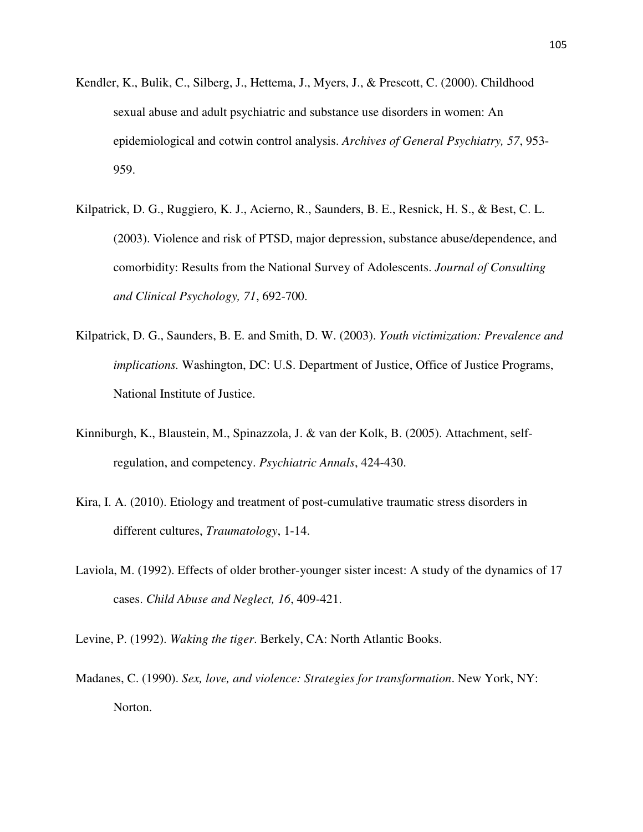- Kendler, K., Bulik, C., Silberg, J., Hettema, J., Myers, J., & Prescott, C. (2000). Childhood sexual abuse and adult psychiatric and substance use disorders in women: An epidemiological and cotwin control analysis. *Archives of General Psychiatry, 57*, 953- 959.
- Kilpatrick, D. G., Ruggiero, K. J., Acierno, R., Saunders, B. E., Resnick, H. S., & Best, C. L. (2003). Violence and risk of PTSD, major depression, substance abuse/dependence, and comorbidity: Results from the National Survey of Adolescents. *Journal of Consulting and Clinical Psychology, 71*, 692-700.
- Kilpatrick, D. G., Saunders, B. E. and Smith, D. W. (2003). *Youth victimization: Prevalence and implications.* Washington, DC: U.S. Department of Justice, Office of Justice Programs, National Institute of Justice.
- Kinniburgh, K., Blaustein, M., Spinazzola, J. & van der Kolk, B. (2005). Attachment, selfregulation, and competency. *Psychiatric Annals*, 424-430.
- Kira, I. A. (2010). Etiology and treatment of post-cumulative traumatic stress disorders in different cultures, *Traumatology*, 1-14.
- Laviola, M. (1992). Effects of older brother-younger sister incest: A study of the dynamics of 17 cases. *Child Abuse and Neglect, 16*, 409-421.
- Levine, P. (1992). *Waking the tiger*. Berkely, CA: North Atlantic Books.
- Madanes, C. (1990). *Sex, love, and violence: Strategies for transformation*. New York, NY: Norton.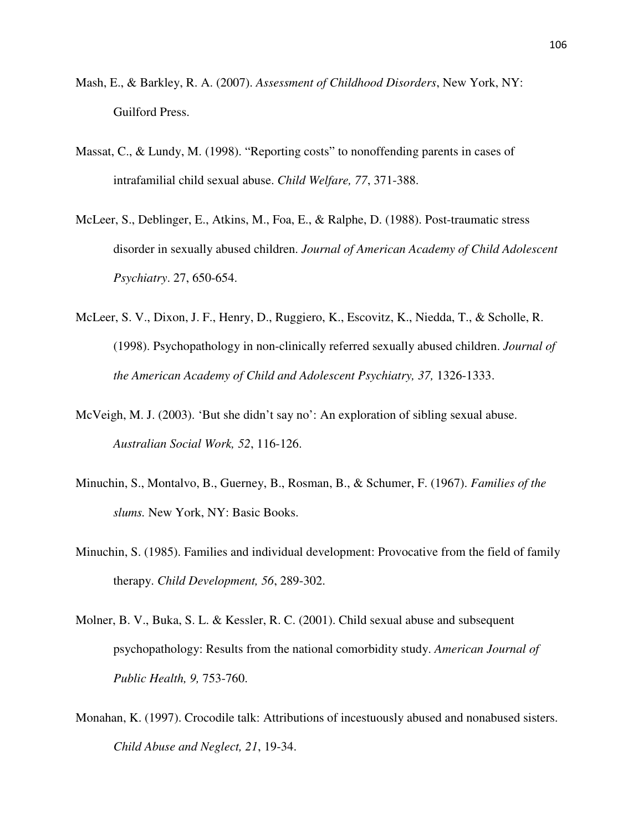- Mash, E., & Barkley, R. A. (2007). *Assessment of Childhood Disorders*, New York, NY: Guilford Press.
- Massat, C., & Lundy, M. (1998). "Reporting costs" to nonoffending parents in cases of intrafamilial child sexual abuse. *Child Welfare, 77*, 371-388.
- McLeer, S., Deblinger, E., Atkins, M., Foa, E., & Ralphe, D. (1988). Post-traumatic stress disorder in sexually abused children. *Journal of American Academy of Child Adolescent Psychiatry*. 27, 650-654.
- McLeer, S. V., Dixon, J. F., Henry, D., Ruggiero, K., Escovitz, K., Niedda, T., & Scholle, R. (1998). Psychopathology in non-clinically referred sexually abused children. *Journal of the American Academy of Child and Adolescent Psychiatry, 37,* 1326-1333.
- McVeigh, M. J. (2003). 'But she didn't say no': An exploration of sibling sexual abuse. *Australian Social Work, 52*, 116-126.
- Minuchin, S., Montalvo, B., Guerney, B., Rosman, B., & Schumer, F. (1967). *Families of the slums.* New York, NY: Basic Books.
- Minuchin, S. (1985). Families and individual development: Provocative from the field of family therapy. *Child Development, 56*, 289-302.
- Molner, B. V., Buka, S. L. & Kessler, R. C. (2001). Child sexual abuse and subsequent psychopathology: Results from the national comorbidity study. *American Journal of Public Health, 9,* 753-760.
- Monahan, K. (1997). Crocodile talk: Attributions of incestuously abused and nonabused sisters. *Child Abuse and Neglect, 21*, 19-34.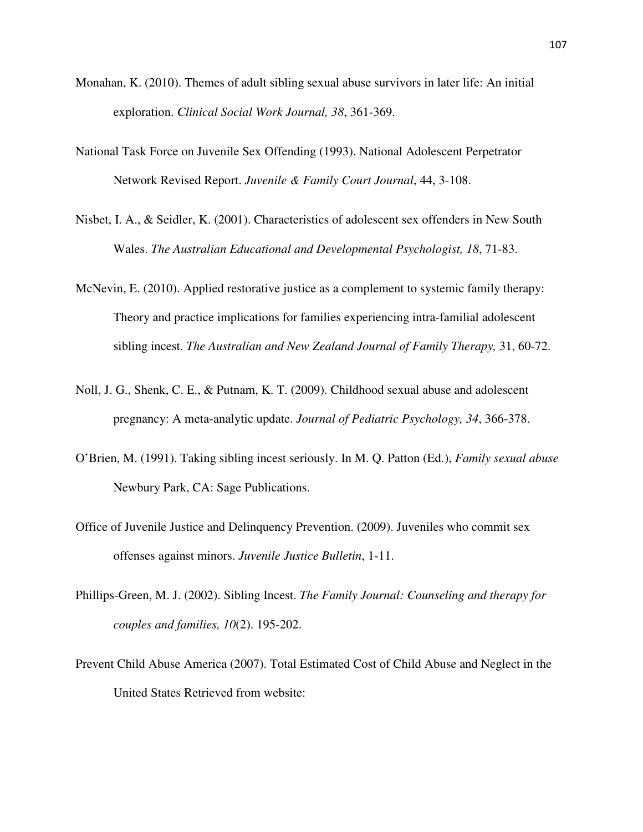- Monahan, K. (2010). Themes of adult sibling sexual abuse survivors in later life: An initial exploration. *Clinical Social Work Journal, 38*, 361-369.
- National Task Force on Juvenile Sex Offending (1993). National Adolescent Perpetrator Network Revised Report. *Juvenile & Family Court Journal*, 44, 3-108.
- Nisbet, I. A., & Seidler, K. (2001). Characteristics of adolescent sex offenders in New South Wales. *The Australian Educational and Developmental Psychologist, 18*, 71-83.
- McNevin, E. (2010). Applied restorative justice as a complement to systemic family therapy: Theory and practice implications for families experiencing intra-familial adolescent sibling incest. *The Australian and New Zealand Journal of Family Therapy,* 31, 60-72.
- Noll, J. G., Shenk, C. E., & Putnam, K. T. (2009). Childhood sexual abuse and adolescent pregnancy: A meta-analytic update. *Journal of Pediatric Psychology, 34*, 366-378.
- O'Brien, M. (1991). Taking sibling incest seriously. In M. Q. Patton (Ed.), *Family sexual abuse* Newbury Park, CA: Sage Publications.
- Office of Juvenile Justice and Delinquency Prevention. (2009). Juveniles who commit sex offenses against minors. *Juvenile Justice Bulletin*, 1-11.
- Phillips-Green, M. J. (2002). Sibling Incest. *The Family Journal: Counseling and therapy for couples and families, 10*(2). 195-202.
- Prevent Child Abuse America (2007). Total Estimated Cost of Child Abuse and Neglect in the United States Retrieved from website: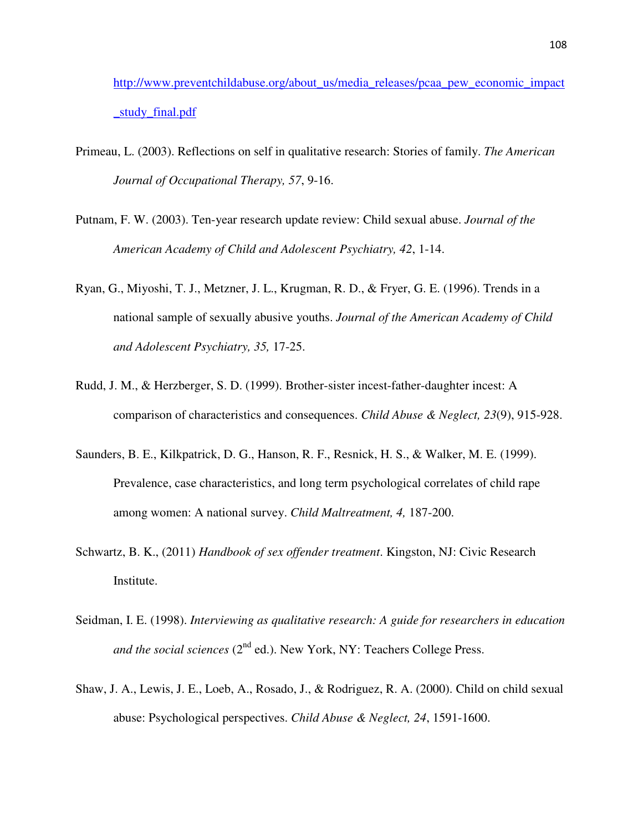http://www.preventchildabuse.org/about\_us/media\_releases/pcaa\_pew\_economic\_impact \_study\_final.pdf

- Primeau, L. (2003). Reflections on self in qualitative research: Stories of family. *The American Journal of Occupational Therapy, 57*, 9-16.
- Putnam, F. W. (2003). Ten-year research update review: Child sexual abuse. *Journal of the American Academy of Child and Adolescent Psychiatry, 42*, 1-14.
- Ryan, G., Miyoshi, T. J., Metzner, J. L., Krugman, R. D., & Fryer, G. E. (1996). Trends in a national sample of sexually abusive youths. *Journal of the American Academy of Child and Adolescent Psychiatry, 35,* 17-25.
- Rudd, J. M., & Herzberger, S. D. (1999). Brother-sister incest-father-daughter incest: A comparison of characteristics and consequences. *Child Abuse & Neglect, 23*(9), 915-928.
- Saunders, B. E., Kilkpatrick, D. G., Hanson, R. F., Resnick, H. S., & Walker, M. E. (1999). Prevalence, case characteristics, and long term psychological correlates of child rape among women: A national survey. *Child Maltreatment, 4,* 187-200.
- Schwartz, B. K., (2011) *Handbook of sex offender treatment*. Kingston, NJ: Civic Research Institute.
- Seidman, I. E. (1998). *Interviewing as qualitative research: A guide for researchers in education and the social sciences* (2<sup>nd</sup> ed.). New York, NY: Teachers College Press.
- Shaw, J. A., Lewis, J. E., Loeb, A., Rosado, J., & Rodriguez, R. A. (2000). Child on child sexual abuse: Psychological perspectives. *Child Abuse & Neglect, 24*, 1591-1600.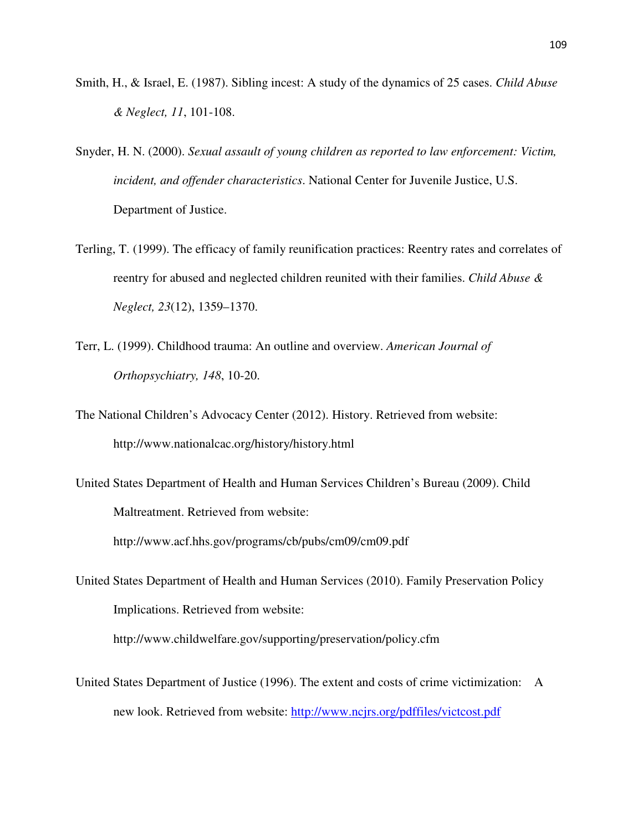- Smith, H., & Israel, E. (1987). Sibling incest: A study of the dynamics of 25 cases. *Child Abuse & Neglect, 11*, 101-108.
- Snyder, H. N. (2000). *Sexual assault of young children as reported to law enforcement: Victim, incident, and offender characteristics*. National Center for Juvenile Justice, U.S. Department of Justice.
- Terling, T. (1999). The efficacy of family reunification practices: Reentry rates and correlates of reentry for abused and neglected children reunited with their families. *Child Abuse & Neglect, 23*(12), 1359–1370.
- Terr, L. (1999). Childhood trauma: An outline and overview. *American Journal of Orthopsychiatry, 148*, 10-20.
- The National Children's Advocacy Center (2012). History. Retrieved from website: http://www.nationalcac.org/history/history.html
- United States Department of Health and Human Services Children's Bureau (2009). Child Maltreatment. Retrieved from website: http://www.acf.hhs.gov/programs/cb/pubs/cm09/cm09.pdf

United States Department of Health and Human Services (2010). Family Preservation Policy Implications. Retrieved from website: http://www.childwelfare.gov/supporting/preservation/policy.cfm

United States Department of Justice (1996). The extent and costs of crime victimization: A new look. Retrieved from website: http://www.ncjrs.org/pdffiles/victcost.pdf